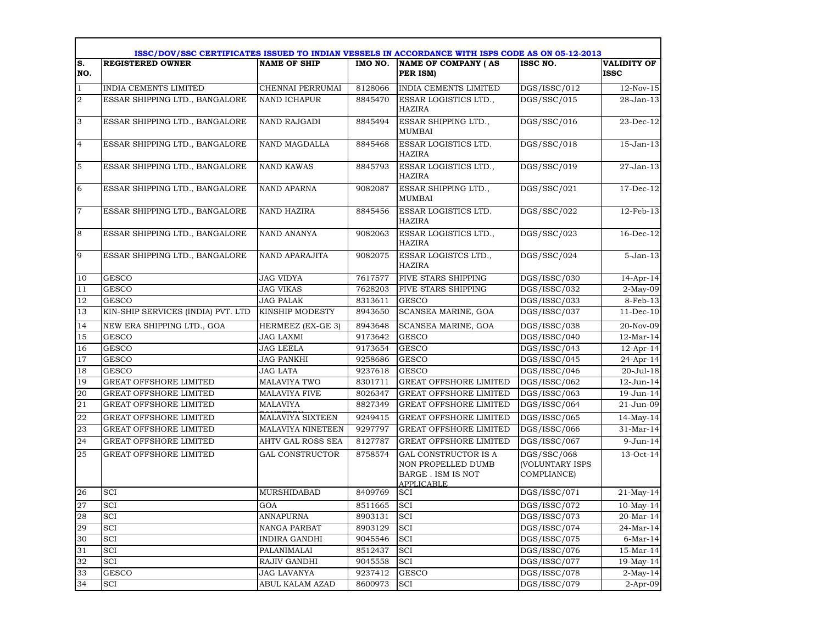|                 | ISSC/DOV/SSC CERTIFICATES ISSUED TO INDIAN VESSELS IN ACCORDANCE WITH ISPS CODE AS ON 05-12-2013 |                         |         |                                                                                                     |                                                             |                                   |
|-----------------|--------------------------------------------------------------------------------------------------|-------------------------|---------|-----------------------------------------------------------------------------------------------------|-------------------------------------------------------------|-----------------------------------|
| lS.<br>NO.      | <b>REGISTERED OWNER</b>                                                                          | <b>NAME OF SHIP</b>     | IMO NO. | <b>NAME OF COMPANY (AS</b><br>PER ISM)                                                              | ISSC NO.                                                    | <b>VALIDITY OF</b><br><b>ISSC</b> |
| $\vert$ 1       | INDIA CEMENTS LIMITED                                                                            | CHENNAI PERRUMAI        | 8128066 | <b>INDIA CEMENTS LIMITED</b>                                                                        | DGS/ISSC/012                                                | $12-Nov-15$                       |
| $\sqrt{2}$      | ESSAR SHIPPING LTD., BANGALORE                                                                   | <b>NAND ICHAPUR</b>     | 8845470 | ESSAR LOGISTICS LTD.,<br><b>HAZIRA</b>                                                              | DGS/SSC/015                                                 | 28-Jan-13                         |
| 3               | ESSAR SHIPPING LTD., BANGALORE                                                                   | <b>NAND RAJGADI</b>     | 8845494 | ESSAR SHIPPING LTD.,<br><b>MUMBAI</b>                                                               | DGS/SSC/016                                                 | 23-Dec-12                         |
| $\overline{4}$  | ESSAR SHIPPING LTD., BANGALORE                                                                   | NAND MAGDALLA           | 8845468 | ESSAR LOGISTICS LTD.<br>HAZIRA                                                                      | DGS/SSC/018                                                 | 15-Jan-13                         |
| 5               | ESSAR SHIPPING LTD., BANGALORE                                                                   | <b>NAND KAWAS</b>       | 8845793 | ESSAR LOGISTICS LTD.,<br><b>HAZIRA</b>                                                              | DGS/SSC/019                                                 | 27-Jan-13                         |
| 6               | ESSAR SHIPPING LTD., BANGALORE                                                                   | <b>NAND APARNA</b>      | 9082087 | ESSAR SHIPPING LTD.,<br>MUMBAI                                                                      | DGS/SSC/021                                                 | 17-Dec-12                         |
| 17              | ESSAR SHIPPING LTD., BANGALORE                                                                   | <b>NAND HAZIRA</b>      | 8845456 | ESSAR LOGISTICS LTD.<br>HAZIRA                                                                      | DGS/SSC/022                                                 | 12-Feb-13                         |
| 8               | ESSAR SHIPPING LTD., BANGALORE                                                                   | <b>NAND ANANYA</b>      | 9082063 | ESSAR LOGISTICS LTD.,<br><b>HAZIRA</b>                                                              | DGS/SSC/023                                                 | $16$ -Dec- $12$                   |
| 9               | ESSAR SHIPPING LTD., BANGALORE                                                                   | NAND APARAJITA          | 9082075 | ESSAR LOGISTCS LTD.,<br><b>HAZIRA</b>                                                               | DGS/SSC/024                                                 | $5 - Jan-13$                      |
| 10              | <b>GESCO</b>                                                                                     | <b>JAG VIDYA</b>        | 7617577 | FIVE STARS SHIPPING                                                                                 | DGS/ISSC/030                                                | 14-Apr-14                         |
| 11              | <b>GESCO</b>                                                                                     | <b>JAG VIKAS</b>        | 7628203 | FIVE STARS SHIPPING                                                                                 | DGS/ISSC/032                                                | $2-May-09$                        |
| 12              | <b>GESCO</b>                                                                                     | <b>JAG PALAK</b>        | 8313611 | <b>GESCO</b>                                                                                        | DGS/ISSC/033                                                | 8-Feb-13                          |
| 13              | KIN-SHIP SERVICES (INDIA) PVT. LTD                                                               | KINSHIP MODESTY         | 8943650 | SCANSEA MARINE, GOA                                                                                 | DGS/ISSC/037                                                | $11-Dec-10$                       |
| 14              | NEW ERA SHIPPING LTD., GOA                                                                       | HERMEEZ (EX-GE 3)       | 8943648 | SCANSEA MARINE, GOA                                                                                 | DGS/ISSC/038                                                | 20-Nov-09                         |
| 15              | <b>GESCO</b>                                                                                     | JAG LAXMI               | 9173642 | <b>GESCO</b>                                                                                        | DGS/ISSC/040                                                | $12-Mar-14$                       |
| 16              | <b>GESCO</b>                                                                                     | JAG LEELA               | 9173654 | <b>GESCO</b>                                                                                        | DGS/ISSC/043                                                | $12$ -Apr-14                      |
| 17              | <b>GESCO</b>                                                                                     | JAG PANKHI              | 9258686 | <b>GESCO</b>                                                                                        | DGS/ISSC/045                                                | 24-Apr-14                         |
| 18              | <b>GESCO</b>                                                                                     | <b>JAG LATA</b>         | 9237618 | <b>GESCO</b>                                                                                        | DGS/ISSC/046                                                | 20-Jul-18                         |
| 19              | <b>GREAT OFFSHORE LIMITED</b>                                                                    | <b>MALAVIYA TWO</b>     | 8301711 | <b>GREAT OFFSHORE LIMITED</b>                                                                       | DGS/ISSC/062                                                | 12-Jun-14                         |
| 20              | <b>GREAT OFFSHORE LIMITED</b>                                                                    | <b>MALAVIYA FIVE</b>    | 8026347 | <b>GREAT OFFSHORE LIMITED</b>                                                                       | DGS/ISSC/063                                                | 19-Jun-14                         |
| 21              | <b>GREAT OFFSHORE LIMITED</b>                                                                    | <b>MALAVIYA</b>         | 8827349 | GREAT OFFSHORE LIMITED                                                                              | DGS/ISSC/064                                                | 21-Jun-09                         |
| 22              | <b>GREAT OFFSHORE LIMITED</b>                                                                    | <b>MALAVIYA SIXTEEN</b> | 9249415 | <b>GREAT OFFSHORE LIMITED</b>                                                                       | DGS/ISSC/065                                                | $14$ -May-14                      |
| 23              | <b>GREAT OFFSHORE LIMITED</b>                                                                    | MALAVIYA NINETEEN       | 9297797 | <b>GREAT OFFSHORE LIMITED</b>                                                                       | DGS/ISSC/066                                                | 31-Mar-14                         |
| $\overline{24}$ | <b>GREAT OFFSHORE LIMITED</b>                                                                    | AHTV GAL ROSS SEA       | 8127787 | <b>GREAT OFFSHORE LIMITED</b>                                                                       | DGS/ISSC/067                                                | 9-Jun-14                          |
| 25              | <b>GREAT OFFSHORE LIMITED</b>                                                                    | <b>GAL CONSTRUCTOR</b>  | 8758574 | <b>GAL CONSTRUCTOR IS A</b><br>NON PROPELLED DUMB<br><b>BARGE . ISM IS NOT</b><br><b>APPLICABLE</b> | DGS/SSC/068<br><b>(VOLUNTARY ISPS</b><br><b>COMPLIANCE)</b> | 13-Oct-14                         |
| 26              | SCI                                                                                              | MURSHIDABAD             | 8409769 | <b>SCI</b>                                                                                          | DGS/ISSC/071                                                | $21$ -May-14                      |
| 27              | <b>SCI</b>                                                                                       | GOA                     | 8511665 | <b>SCI</b>                                                                                          | DGS/ISSC/072                                                | $10$ -May- $14$                   |
| 28              | SCI                                                                                              | ANNAPURNA               | 8903131 | <b>SCI</b>                                                                                          | DGS/ISSC/073                                                | 20-Mar-14                         |
| 29              | SCI                                                                                              | NANGA PARBAT            | 8903129 | SCI                                                                                                 | DGS/ISSC/074                                                | 24-Mar-14                         |
| 30              | SCI                                                                                              | <b>INDIRA GANDHI</b>    | 9045546 | <b>SCI</b>                                                                                          | DGS/ISSC/075                                                | $6$ -Mar-14                       |
| 31              | <b>SCI</b>                                                                                       | PALANIMALAI             | 8512437 | <b>SCI</b>                                                                                          | DGS/ISSC/076                                                | 15-Mar-14                         |
| 32              | SCI                                                                                              | RAJIV GANDHI            | 9045558 | <b>SCI</b>                                                                                          | DGS/ISSC/077                                                | 19-May-14                         |
| 33              | GESCO                                                                                            | <b>JAG LAVANYA</b>      | 9237412 | <b>GESCO</b>                                                                                        | DGS/ISSC/078                                                | $2-May-14$                        |
| 34              | SCI                                                                                              | ABUL KALAM AZAD         | 8600973 | SCI                                                                                                 | DGS/ISSC/079                                                | $2-Apr-09$                        |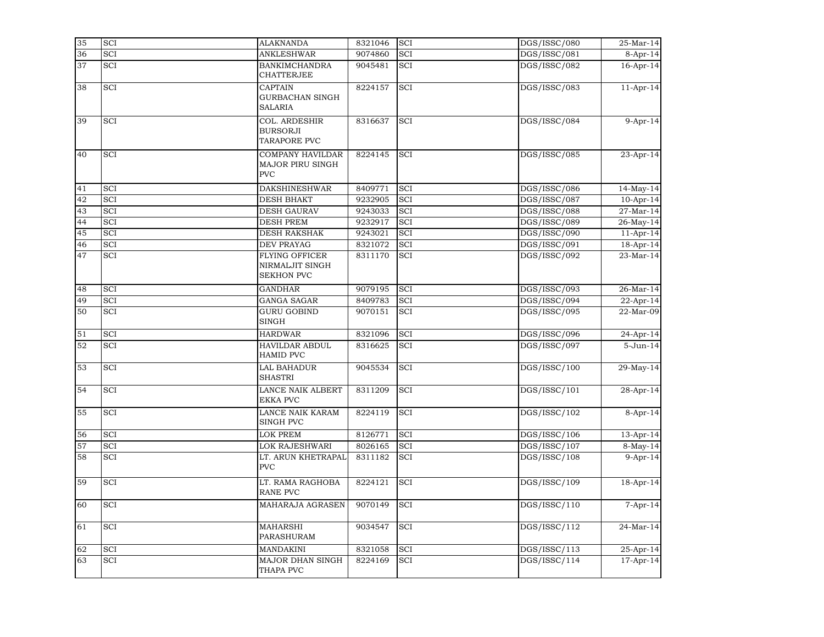| 35 | SCI        | <b>ALAKNANDA</b>                                                 | 8321046 | SCI        | DGS/ISSC/080 | $25-Mar-14$ |
|----|------------|------------------------------------------------------------------|---------|------------|--------------|-------------|
| 36 | SCI        | <b>ANKLESHWAR</b>                                                | 9074860 | SCI        | DGS/ISSC/081 | 8-Apr-14    |
| 37 | <b>SCI</b> | <b>BANKIMCHANDRA</b><br><b>CHATTERJEE</b>                        | 9045481 | SCI        | DGS/ISSC/082 | 16-Apr-14   |
| 38 | <b>SCI</b> | <b>CAPTAIN</b><br><b>GURBACHAN SINGH</b><br><b>SALARIA</b>       | 8224157 | <b>SCI</b> | DGS/ISSC/083 | $11-Apr-14$ |
| 39 | SCI        | COL. ARDESHIR<br><b>BURSORJI</b><br>TARAPORE PVC                 | 8316637 | <b>SCI</b> | DGS/ISSC/084 | $9-Apr-14$  |
| 40 | SCI        | <b>COMPANY HAVILDAR</b><br><b>MAJOR PIRU SINGH</b><br><b>PVC</b> | 8224145 | <b>SCI</b> | DGS/ISSC/085 | 23-Apr-14   |
| 41 | SCI        | <b>DAKSHINESHWAR</b>                                             | 8409771 | SCI        | DGS/ISSC/086 | 14-May-14   |
| 42 | SCI        | <b>DESH BHAKT</b>                                                | 9232905 | <b>SCI</b> | DGS/ISSC/087 | 10-Apr-14   |
| 43 | <b>SCI</b> | <b>DESH GAURAV</b>                                               | 9243033 | <b>SCI</b> | DGS/ISSC/088 | 27-Mar-14   |
| 44 | <b>SCI</b> | <b>DESH PREM</b>                                                 | 9232917 | SCI        | DGS/ISSC/089 | 26-May-14   |
| 45 | SCI        | <b>DESH RAKSHAK</b>                                              | 9243021 | SCI        | DGS/ISSC/090 | $11-Apr-14$ |
| 46 | SCI        | DEV PRAYAG                                                       | 8321072 | SCI        | DGS/ISSC/091 | 18-Apr-14   |
| 47 | SCI        | <b>FLYING OFFICER</b><br>NIRMALJIT SINGH<br><b>SEKHON PVC</b>    | 8311170 | SCI        | DGS/ISSC/092 | 23-Mar-14   |
| 48 | SCI        | <b>GANDHAR</b>                                                   | 9079195 | SCI        | DGS/ISSC/093 | 26-Mar-14   |
| 49 | SCI        | <b>GANGA SAGAR</b>                                               | 8409783 | SCI        | DGS/ISSC/094 | 22-Apr-14   |
| 50 | SCI        | <b>GURU GOBIND</b><br><b>SINGH</b>                               | 9070151 | SCI        | DGS/ISSC/095 | 22-Mar-09   |
| 51 | SCI        | <b>HARDWAR</b>                                                   | 8321096 | SCI        | DGS/ISSC/096 | 24-Apr-14   |
| 52 | SCI        | <b>HAVILDAR ABDUL</b><br><b>HAMID PVC</b>                        | 8316625 | <b>SCI</b> | DGS/ISSC/097 | 5-Jun-14    |
| 53 | SCI        | <b>LAL BAHADUR</b><br><b>SHASTRI</b>                             | 9045534 | SCI        | DGS/ISSC/100 | 29-May-14   |
| 54 | SCI        | <b>LANCE NAIK ALBERT</b><br><b>EKKA PVC</b>                      | 8311209 | SCI        | DGS/ISSC/101 | 28-Apr-14   |
| 55 | SCI        | LANCE NAIK KARAM<br>SINGH PVC                                    | 8224119 | <b>SCI</b> | DGS/ISSC/102 | 8-Apr-14    |
| 56 | SCI        | <b>LOK PREM</b>                                                  | 8126771 | SCI        | DGS/ISSC/106 | 13-Apr-14   |
| 57 | SCI        | LOK RAJESHWARI                                                   | 8026165 | SCI        | DGS/ISSC/107 | 8-May-14    |
| 58 | SCI        | LT. ARUN KHETRAPAL<br><b>PVC</b>                                 | 8311182 | SCI        | DGS/ISSC/108 | $9-Apr-14$  |
| 59 | SCI        | LT. RAMA RAGHOBA<br><b>RANE PVC</b>                              | 8224121 | SCI        | DGS/ISSC/109 | 18-Apr-14   |
| 60 | SCI        | MAHARAJA AGRASEN                                                 | 9070149 | SCI        | DGS/ISSC/110 | $7-Apr-14$  |
| 61 | SCI        | <b>MAHARSHI</b><br>PARASHURAM                                    | 9034547 | SCI        | DGS/ISSC/112 | 24-Mar-14   |
| 62 | SCI        | <b>MANDAKINI</b>                                                 | 8321058 | SCI        | DGS/ISSC/113 | 25-Apr-14   |
| 63 | SCI        | <b>MAJOR DHAN SINGH</b><br>THAPA PVC                             | 8224169 | <b>SCI</b> | DGS/ISSC/114 | 17-Apr-14   |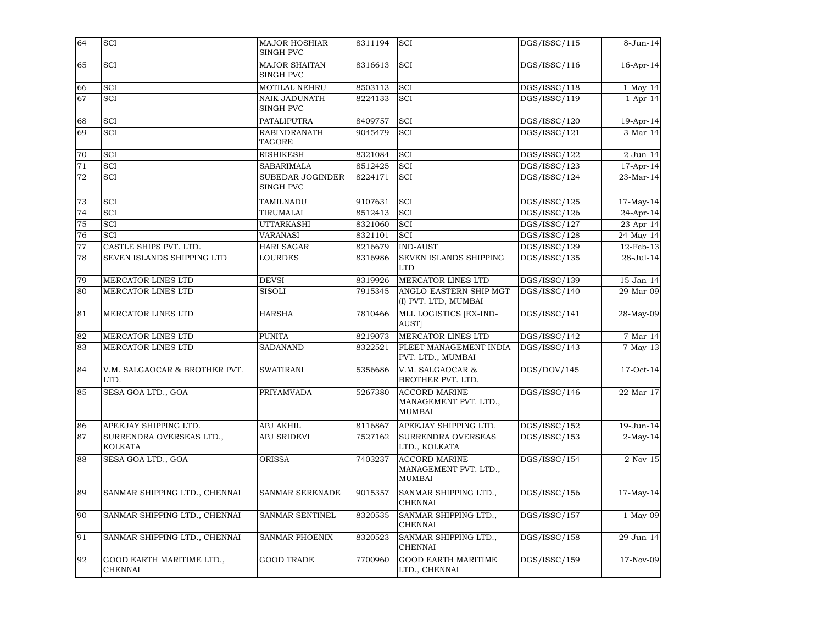| 64              | SCI                                         | <b>MAJOR HOSHIAR</b><br><b>SINGH PVC</b> | 8311194 | <b>SCI</b>                                                     | DGS/ISSC/115 | 8-Jun-14        |
|-----------------|---------------------------------------------|------------------------------------------|---------|----------------------------------------------------------------|--------------|-----------------|
| 65              | <b>SCI</b>                                  | <b>MAJOR SHAITAN</b><br><b>SINGH PVC</b> | 8316613 | <b>SCI</b>                                                     | DGS/ISSC/116 | 16-Apr-14       |
| 66              | SCI                                         | MOTILAL NEHRU                            | 8503113 | SCI                                                            | DGS/ISSC/118 | $1-May-14$      |
| 67              | SCI                                         | <b>NAIK JADUNATH</b><br>SINGH PVC        | 8224133 | <b>SCI</b>                                                     | DGS/ISSC/119 | $1-Apr-14$      |
| 68              | SCI                                         | <b>PATALIPUTRA</b>                       | 8409757 | <b>SCI</b>                                                     | DGS/ISSC/120 | 19-Apr-14       |
| 69              | SCI                                         | <b>RABINDRANATH</b><br><b>TAGORE</b>     | 9045479 | <b>SCI</b>                                                     | DGS/ISSC/121 | $3-Mar-14$      |
| 70              | SCI                                         | <b>RISHIKESH</b>                         | 8321084 | SCI                                                            | DGS/ISSC/122 | $2$ -Jun-14     |
| 71              | <b>SCI</b>                                  | <b>SABARIMALA</b>                        | 8512425 | <b>SCI</b>                                                     | DGS/ISSC/123 | 17-Apr-14       |
| $\overline{72}$ | SCI                                         | <b>SUBEDAR JOGINDER</b><br>SINGH PVC     | 8224171 | <b>SCI</b>                                                     | DGS/ISSC/124 | 23-Mar-14       |
| 73              | SCI                                         | TAMILNADU                                | 9107631 | SCI                                                            | DGS/ISSC/125 | 17-May-14       |
| 74              | SCI                                         | TIRUMALAI                                | 8512413 | <b>SCI</b>                                                     | DGS/ISSC/126 | 24-Apr-14       |
| 75              | SCI                                         | <b>UTTARKASHI</b>                        | 8321060 | <b>SCI</b>                                                     | DGS/ISSC/127 | 23-Apr-14       |
| 76              | SCI                                         | VARANASI                                 | 8321101 | <b>SCI</b>                                                     | DGS/ISSC/128 | 24-May-14       |
| 77              | CASTLE SHIPS PVT. LTD.                      | <b>HARI SAGAR</b>                        | 8216679 | <b>IND-AUST</b>                                                | DGS/ISSC/129 | 12-Feb-13       |
| 78              | SEVEN ISLANDS SHIPPING LTD                  | <b>LOURDES</b>                           | 8316986 | SEVEN ISLANDS SHIPPING<br>LTD                                  | DGS/ISSC/135 | $28 - Jul - 14$ |
| 79              | MERCATOR LINES LTD                          | <b>DEVSI</b>                             | 8319926 | MERCATOR LINES LTD                                             | DGS/ISSC/139 | 15-Jan-14       |
| 80              | <b>MERCATOR LINES LTD</b>                   | <b>SISOLI</b>                            | 7915345 | ANGLO-EASTERN SHIP MGT<br>(I) PVT. LTD, MUMBAI                 | DGS/ISSC/140 | 29-Mar-09       |
| 81              | MERCATOR LINES LTD                          | <b>HARSHA</b>                            | 7810466 | MLL LOGISTICS [EX-IND-<br><b>AUST</b>                          | DGS/ISSC/141 | 28-May-09       |
| 82              | MERCATOR LINES LTD                          | <b>PUNITA</b>                            | 8219073 | <b>MERCATOR LINES LTD</b>                                      | DGS/ISSC/142 | $7-Mar-14$      |
| 83              | MERCATOR LINES LTD                          | <b>SADANAND</b>                          | 8322521 | FLEET MANAGEMENT INDIA<br>PVT. LTD., MUMBAI                    | DGS/ISSC/143 | $7-May-13$      |
| 84              | V.M. SALGAOCAR & BROTHER PVT.<br>LTD.       | <b>SWATIRANI</b>                         | 5356686 | V.M. SALGAOCAR &<br>BROTHER PVT. LTD.                          | DGS/DOV/145  | 17-Oct-14       |
| 85              | SESA GOA LTD., GOA                          | <b>PRIYAMVADA</b>                        | 5267380 | <b>ACCORD MARINE</b><br>MANAGEMENT PVT. LTD.,<br>MUMBAI        | DGS/ISSC/146 | 22-Mar-17       |
| 86              | APEEJAY SHIPPING LTD.                       | <b>APJ AKHIL</b>                         | 8116867 | APEEJAY SHIPPING LTD.                                          | DGS/ISSC/152 | 19-Jun-14       |
| 87              | SURRENDRA OVERSEAS LTD.,<br><b>KOLKATA</b>  | <b>APJ SRIDEVI</b>                       | 7527162 | SURRENDRA OVERSEAS<br>LTD., KOLKATA                            | DGS/ISSC/153 | $2-May-14$      |
| 88              | SESA GOA LTD., GOA                          | <b>ORISSA</b>                            | 7403237 | <b>ACCORD MARINE</b><br>MANAGEMENT PVT. LTD.,<br><b>MUMBAI</b> | DGS/ISSC/154 | $2-Nov-15$      |
| 89              | SANMAR SHIPPING LTD., CHENNAI               | <b>SANMAR SERENADE</b>                   | 9015357 | SANMAR SHIPPING LTD.,<br><b>CHENNAI</b>                        | DGS/ISSC/156 | $17-May-14$     |
| 90              | SANMAR SHIPPING LTD., CHENNAI               | <b>SANMAR SENTINEL</b>                   | 8320535 | SANMAR SHIPPING LTD.,<br><b>CHENNAI</b>                        | DGS/ISSC/157 | $1-May-09$      |
| 91              | SANMAR SHIPPING LTD., CHENNAI               | <b>SANMAR PHOENIX</b>                    | 8320523 | SANMAR SHIPPING LTD.,<br><b>CHENNAI</b>                        | DGS/ISSC/158 | 29-Jun-14       |
| 92              | GOOD EARTH MARITIME LTD.,<br><b>CHENNAI</b> | <b>GOOD TRADE</b>                        | 7700960 | <b>GOOD EARTH MARITIME</b><br>LTD., CHENNAI                    | DGS/ISSC/159 | 17-Nov-09       |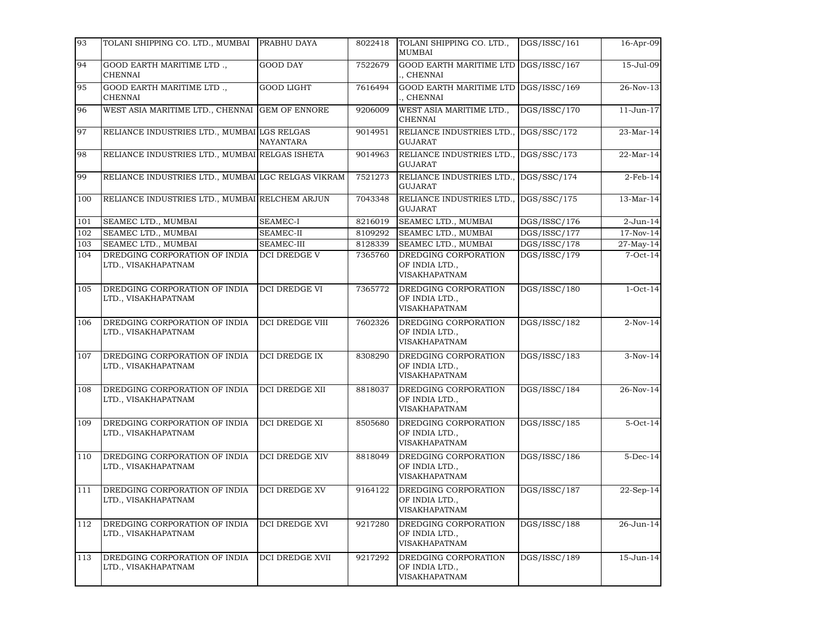| 93  | TOLANI SHIPPING CO. LTD., MUMBAI                     | PRABHU DAYA            | 8022418 | TOLANI SHIPPING CO. LTD.,<br>MUMBAI                            | DGS/ISSC/161 | 16-Apr-09    |
|-----|------------------------------------------------------|------------------------|---------|----------------------------------------------------------------|--------------|--------------|
| 94  | GOOD EARTH MARITIME LTD.,<br><b>CHENNAI</b>          | <b>GOOD DAY</b>        | 7522679 | GOOD EARTH MARITIME LTD<br>, CHENNAI                           | DGS/ISSC/167 | 15-Jul-09    |
| 95  | GOOD EARTH MARITIME LTD.,<br><b>CHENNAI</b>          | <b>GOOD LIGHT</b>      | 7616494 | <b>GOOD EARTH MARITIME LTD</b><br>, CHENNAI                    | DGS/ISSC/169 | 26-Nov-13    |
| 96  | WEST ASIA MARITIME LTD., CHENNAI GEM OF ENNORE       |                        | 9206009 | WEST ASIA MARITIME LTD.,<br><b>CHENNAI</b>                     | DGS/ISSC/170 | 11-Jun-17    |
| 97  | RELIANCE INDUSTRIES LTD., MUMBAI LGS RELGAS          | <b>NAYANTARA</b>       | 9014951 | RELIANCE INDUSTRIES LTD.,<br><b>GUJARAT</b>                    | DGS/SSC/172  | 23-Mar-14    |
| 98  | RELIANCE INDUSTRIES LTD., MUMBAI RELGAS ISHETA       |                        | 9014963 | RELIANCE INDUSTRIES LTD.,<br><b>GUJARAT</b>                    | DGS/SSC/173  | 22-Mar-14    |
| 99  | RELIANCE INDUSTRIES LTD., MUMBAI LGC RELGAS VIKRAM   |                        | 7521273 | RELIANCE INDUSTRIES LTD.,<br><b>GUJARAT</b>                    | DGS/SSC/174  | $2$ -Feb-14  |
| 100 | RELIANCE INDUSTRIES LTD., MUMBAI RELCHEM ARJUN       |                        | 7043348 | RELIANCE INDUSTRIES LTD.,<br><b>GUJARAT</b>                    | DGS/SSC/175  | 13-Mar-14    |
| 101 | SEAMEC LTD., MUMBAI                                  | <b>SEAMEC-I</b>        | 8216019 | SEAMEC LTD., MUMBAI                                            | DGS/ISSC/176 | $2$ -Jun-14  |
| 102 | SEAMEC LTD., MUMBAI                                  | <b>SEAMEC-II</b>       | 8109292 | SEAMEC LTD., MUMBAI                                            | DGS/ISSC/177 | 17-Nov-14    |
| 103 | SEAMEC LTD., MUMBAI                                  | SEAMEC-III             | 8128339 | SEAMEC LTD., MUMBAI                                            | DGS/ISSC/178 | $27$ -May-14 |
| 104 | DREDGING CORPORATION OF INDIA<br>LTD., VISAKHAPATNAM | <b>DCI DREDGE V</b>    | 7365760 | DREDGING CORPORATION<br>OF INDIA LTD.,<br><b>VISAKHAPATNAM</b> | DGS/ISSC/179 | $7-Oct-14$   |
| 105 | DREDGING CORPORATION OF INDIA<br>LTD., VISAKHAPATNAM | DCI DREDGE VI          | 7365772 | DREDGING CORPORATION<br>OF INDIA LTD.,<br><b>VISAKHAPATNAM</b> | DGS/ISSC/180 | $1-Oct-14$   |
| 106 | DREDGING CORPORATION OF INDIA<br>LTD., VISAKHAPATNAM | DCI DREDGE VIII        | 7602326 | DREDGING CORPORATION<br>OF INDIA LTD.,<br><b>VISAKHAPATNAM</b> | DGS/ISSC/182 | $2-Nov-14$   |
| 107 | DREDGING CORPORATION OF INDIA<br>LTD., VISAKHAPATNAM | DCI DREDGE IX          | 8308290 | DREDGING CORPORATION<br>OF INDIA LTD.,<br>VISAKHAPATNAM        | DGS/ISSC/183 | $3-Nov-14$   |
| 108 | DREDGING CORPORATION OF INDIA<br>LTD., VISAKHAPATNAM | <b>DCI DREDGE XII</b>  | 8818037 | DREDGING CORPORATION<br>OF INDIA LTD.,<br><b>VISAKHAPATNAM</b> | DGS/ISSC/184 | 26-Nov-14    |
| 109 | DREDGING CORPORATION OF INDIA<br>LTD., VISAKHAPATNAM | <b>DCI DREDGE XI</b>   | 8505680 | DREDGING CORPORATION<br>OF INDIA LTD.,<br>VISAKHAPATNAM        | DGS/ISSC/185 | $5-Oct-14$   |
| 110 | DREDGING CORPORATION OF INDIA<br>LTD., VISAKHAPATNAM | DCI DREDGE XIV         | 8818049 | DREDGING CORPORATION<br>OF INDIA LTD.,<br><b>VISAKHAPATNAM</b> | DGS/ISSC/186 | $5-Dec-14$   |
| 111 | DREDGING CORPORATION OF INDIA<br>LTD., VISAKHAPATNAM | <b>DCI DREDGE XV</b>   | 9164122 | DREDGING CORPORATION<br>OF INDIA LTD.,<br>VISAKHAPATNAM        | DGS/ISSC/187 | 22-Sep-14    |
| 112 | DREDGING CORPORATION OF INDIA<br>LTD., VISAKHAPATNAM | DCI DREDGE XVI         | 9217280 | DREDGING CORPORATION<br>OF INDIA LTD.,<br>VISAKHAPATNAM        | DGS/ISSC/188 | 26-Jun-14    |
| 113 | DREDGING CORPORATION OF INDIA<br>LTD., VISAKHAPATNAM | <b>DCI DREDGE XVII</b> | 9217292 | DREDGING CORPORATION<br>OF INDIA LTD.,<br>VISAKHAPATNAM        | DGS/ISSC/189 | 15-Jun-14    |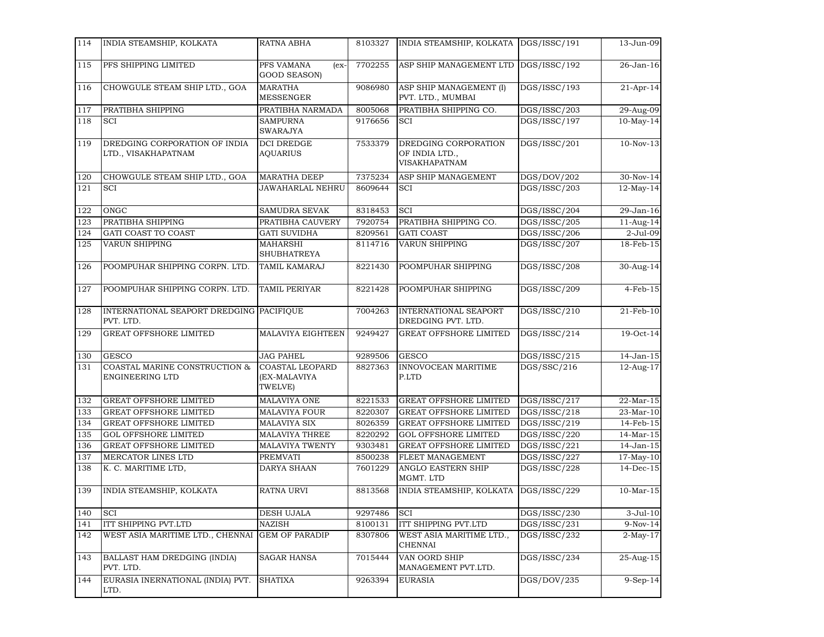| 114 | INDIA STEAMSHIP, KOLKATA                                | RATNA ABHA                                        | 8103327 | INDIA STEAMSHIP, KOLKATA                                | DGS/ISSC/191 | 13-Jun-09               |
|-----|---------------------------------------------------------|---------------------------------------------------|---------|---------------------------------------------------------|--------------|-------------------------|
| 115 | PFS SHIPPING LIMITED                                    | PFS VAMANA<br>$(ex-$<br><b>GOOD SEASON)</b>       | 7702255 | ASP SHIP MANAGEMENT LTD                                 | DGS/ISSC/192 | 26-Jan-16               |
| 116 | CHOWGULE STEAM SHIP LTD., GOA                           | <b>MARATHA</b><br><b>MESSENGER</b>                | 9086980 | ASP SHIP MANAGEMENT (I)<br>PVT. LTD., MUMBAI            | DGS/ISSC/193 | $21-Apr-14$             |
| 117 | PRATIBHA SHIPPING                                       | PRATIBHA NARMADA                                  | 8005068 | PRATIBHA SHIPPING CO.                                   | DGS/ISSC/203 | 29-Aug-09               |
| 118 | <b>SCI</b>                                              | <b>SAMPURNA</b><br><b>SWARAJYA</b>                | 9176656 | <b>SCI</b>                                              | DGS/ISSC/197 | $10$ -May-14            |
| 119 | DREDGING CORPORATION OF INDIA<br>LTD., VISAKHAPATNAM    | <b>DCI DREDGE</b><br><b>AOUARIUS</b>              | 7533379 | DREDGING CORPORATION<br>OF INDIA LTD.,<br>VISAKHAPATNAM | DGS/ISSC/201 | $10-Nov-13$             |
| 120 | CHOWGULE STEAM SHIP LTD., GOA                           | <b>MARATHA DEEP</b>                               | 7375234 | ASP SHIP MANAGEMENT                                     | DGS/DOV/202  | 30-Nov-14               |
| 121 | SCI                                                     | <b>JAWAHARLAL NEHRU</b>                           | 8609644 | SCI                                                     | DGS/ISSC/203 | 12-May-14               |
| 122 | ONGC                                                    | <b>SAMUDRA SEVAK</b>                              | 8318453 | SCI                                                     | DGS/ISSC/204 | 29-Jan-16               |
| 123 | PRATIBHA SHIPPING                                       | PRATIBHA CAUVERY                                  | 7920754 | PRATIBHA SHIPPING CO.                                   | DGS/ISSC/205 | $\overline{11}$ -Aug-14 |
| 124 | GATI COAST TO COAST                                     | <b>GATI SUVIDHA</b>                               | 8209561 | <b>GATI COAST</b>                                       | DGS/ISSC/206 | 2-Jul-09                |
| 125 | VARUN SHIPPING                                          | <b>MAHARSHI</b><br><b>SHUBHATREYA</b>             | 8114716 | VARUN SHIPPING                                          | DGS/ISSC/207 | 18-Feb-15               |
| 126 | POOMPUHAR SHIPPING CORPN. LTD.                          | <b>TAMIL KAMARAJ</b>                              | 8221430 | POOMPUHAR SHIPPING                                      | DGS/ISSC/208 | 30-Aug-14               |
| 127 | POOMPUHAR SHIPPING CORPN. LTD.                          | TAMIL PERIYAR                                     | 8221428 | POOMPUHAR SHIPPING                                      | DGS/ISSC/209 | $4-Feb-15$              |
| 128 | INTERNATIONAL SEAPORT DREDGING PACIFIQUE<br>PVT. LTD.   |                                                   | 7004263 | <b>INTERNATIONAL SEAPORT</b><br>DREDGING PVT. LTD.      | DGS/ISSC/210 | 21-Feb-10               |
| 129 | <b>GREAT OFFSHORE LIMITED</b>                           | MALAVIYA EIGHTEEN                                 | 9249427 | <b>GREAT OFFSHORE LIMITED</b>                           | DGS/ISSC/214 | 19-Oct-14               |
| 130 | <b>GESCO</b>                                            | <b>JAG PAHEL</b>                                  | 9289506 | <b>GESCO</b>                                            | DGS/ISSC/215 | 14-Jan-15               |
| 131 | COASTAL MARINE CONSTRUCTION &<br><b>ENGINEERING LTD</b> | <b>COASTAL LEOPARD</b><br>(EX-MALAVIYA<br>TWELVE) | 8827363 | INNOVOCEAN MARITIME<br>P.LTD                            | DGS/SSC/216  | 12-Aug-17               |
| 132 | <b>GREAT OFFSHORE LIMITED</b>                           | <b>MALAVIYA ONE</b>                               | 8221533 | <b>GREAT OFFSHORE LIMITED</b>                           | DGS/ISSC/217 | 22-Mar-15               |
| 133 | <b>GREAT OFFSHORE LIMITED</b>                           | <b>MALAVIYA FOUR</b>                              | 8220307 | GREAT OFFSHORE LIMITED                                  | DGS/ISSC/218 | 23-Mar-10               |
| 134 | <b>GREAT OFFSHORE LIMITED</b>                           | <b>MALAVIYA SIX</b>                               | 8026359 | <b>GREAT OFFSHORE LIMITED</b>                           | DGS/ISSC/219 | 14-Feb-15               |
| 135 | <b>GOL OFFSHORE LIMITED</b>                             | <b>MALAVIYA THREE</b>                             | 8220292 | <b>GOL OFFSHORE LIMITED</b>                             | DGS/ISSC/220 | 14-Mar-15               |
| 136 | <b>GREAT OFFSHORE LIMITED</b>                           | <b>MALAVIYA TWENTY</b>                            | 9303481 | <b>GREAT OFFSHORE LIMITED</b>                           | DGS/ISSC/221 | 14-Jan-15               |
| 137 | MERCATOR LINES LTD                                      | <b>PREMVATI</b>                                   | 8500238 | FLEET MANAGEMENT                                        | DGS/ISSC/227 | $17-May-10$             |
| 138 | K. C. MARITIME LTD,                                     | DARYA SHAAN                                       | 7601229 | ANGLO EASTERN SHIP<br>MGMT. LTD                         | DGS/ISSC/228 | $14$ -Dec- $15$         |
| 139 | INDIA STEAMSHIP, KOLKATA                                | <b>RATNA URVI</b>                                 | 8813568 | INDIA STEAMSHIP, KOLKATA                                | DGS/ISSC/229 | 10-Mar-15               |
| 140 | <b>SCI</b>                                              | DESH UJALA                                        | 9297486 | <b>SCI</b>                                              | DGS/ISSC/230 | $3-Jul-10$              |
| 141 | ITT SHIPPING PVT.LTD                                    | NAZISH                                            | 8100131 | ITT SHIPPING PVT.LTD                                    | DGS/ISSC/231 | $9-Nov-14$              |
| 142 | WEST ASIA MARITIME LTD., CHENNAI                        | <b>GEM OF PARADIP</b>                             | 8307806 | WEST ASIA MARITIME LTD.,<br><b>CHENNAI</b>              | DGS/ISSC/232 | $2-May-17$              |
| 143 | BALLAST HAM DREDGING (INDIA)<br>PVT. LTD.               | <b>SAGAR HANSA</b>                                | 7015444 | VAN OORD SHIP<br>MANAGEMENT PVT.LTD.                    | DGS/ISSC/234 | 25-Aug-15               |
| 144 | EURASIA INERNATIONAL (INDIA) PVT.<br>LTD.               | <b>SHATIXA</b>                                    | 9263394 | <b>EURASIA</b>                                          | DGS/DOV/235  | $9-Sep-14$              |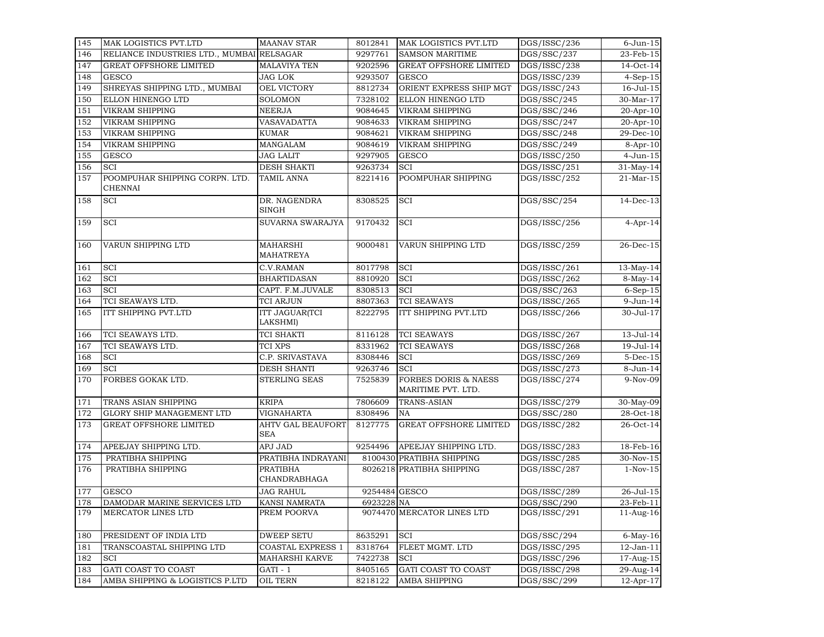| 145 | MAK LOGISTICS PVT.LTD                     | <b>MAANAV STAR</b>                     | 8012841       | MAK LOGISTICS PVT.LTD                                 | DGS/ISSC/236             | $6$ -Jun- $15$   |
|-----|-------------------------------------------|----------------------------------------|---------------|-------------------------------------------------------|--------------------------|------------------|
| 146 | RELIANCE INDUSTRIES LTD., MUMBAI RELSAGAR |                                        | 9297761       | <b>SAMSON MARITIME</b>                                | DGS/SSC/237              | 23-Feb-15        |
| 147 | <b>GREAT OFFSHORE LIMITED</b>             | <b>MALAVIYA TEN</b>                    | 9202596       | <b>GREAT OFFSHORE LIMITED</b>                         | DGS/ISSC/238             | 14-Oct-14        |
| 148 | <b>GESCO</b>                              | <b>JAG LOK</b>                         | 9293507       | <b>GESCO</b>                                          | DGS/ISSC/239             | $4-Sep-15$       |
| 149 | SHREYAS SHIPPING LTD., MUMBAI             | OEL VICTORY                            | 8812734       | ORIENT EXPRESS SHIP MGT                               | DGS/ISSC/243             | $16 -$ Jul $-15$ |
| 150 | ELLON HINENGO LTD                         | <b>SOLOMON</b>                         | 7328102       | ELLON HINENGO LTD                                     | DGS/SSC/245              | 30-Mar-17        |
| 151 | <b>VIKRAM SHIPPING</b>                    | <b>NEERJA</b>                          | 9084645       | <b>VIKRAM SHIPPING</b>                                | DGS/SSC/246              | 20-Apr-10        |
| 152 | <b>VIKRAM SHIPPING</b>                    | VASAVADATTA                            | 9084633       | <b>VIKRAM SHIPPING</b>                                | DGS/SSC/247              | 20-Apr-10        |
| 153 | VIKRAM SHIPPING                           | <b>KUMAR</b>                           | 9084621       | <b>VIKRAM SHIPPING</b>                                | DGS/SSC/248              | 29-Dec-10        |
| 154 | VIKRAM SHIPPING                           | MANGALAM                               | 9084619       | <b>VIKRAM SHIPPING</b>                                | DGS/SSC/249              | 8-Apr-10         |
| 155 | <b>GESCO</b>                              | <b>JAG LALIT</b>                       | 9297905       | <b>GESCO</b>                                          | DGS/ISSC/250             | $4-Jun-15$       |
| 156 | <b>SCI</b>                                | <b>DESH SHAKTI</b>                     | 9263734       | <b>SCI</b>                                            | $\overline{DS/ISSC}/251$ | 31-May-14        |
| 157 | POOMPUHAR SHIPPING CORPN. LTD.<br>CHENNAI | <b>TAMIL ANNA</b>                      | 8221416       | POOMPUHAR SHIPPING                                    | DGS/ISSC/252             | $21-Mar-15$      |
| 158 | SCI                                       | DR. NAGENDRA<br>SINGH                  | 8308525       | <b>SCI</b>                                            | DGS/SSC/254              | $14$ -Dec-13     |
| 159 | SCI                                       | SUVARNA SWARAJYA                       | 9170432       | <b>SCI</b>                                            | DGS/ISSC/256             | $4-Apr-14$       |
| 160 | VARUN SHIPPING LTD                        | <b>MAHARSHI</b><br>MAHATREYA           | 9000481       | <b>VARUN SHIPPING LTD</b>                             | DGS/ISSC/259             | 26-Dec-15        |
| 161 | SCI                                       | C.V.RAMAN                              | 8017798       | <b>SCI</b>                                            | DGS/ISSC/261             | $13-May-14$      |
| 162 | SCI                                       | <b>BHARTIDASAN</b>                     | 8810920       | <b>SCI</b>                                            | DGS/ISSC/262             | $8-May-14$       |
| 163 | SCI                                       | CAPT. F.M.JUVALE                       | 8308513       | <b>SCI</b>                                            | DGS/SSC/263              | $6-Sep-15$       |
| 164 | TCI SEAWAYS LTD.                          | TCI ARJUN                              | 8807363       | <b>TCI SEAWAYS</b>                                    | DGS/ISSC/265             | 9-Jun-14         |
| 165 | ITT SHIPPING PVT.LTD                      | <b>ITT JAGUAR(TCI</b><br>LAKSHMI)      | 8222795       | ITT SHIPPING PVT.LTD                                  | DGS/ISSC/266             | 30-Jul-17        |
| 166 | TCI SEAWAYS LTD.                          | <b>TCI SHAKTI</b>                      | 8116128       | <b>TCI SEAWAYS</b>                                    | DGS/ISSC/267             | 13-Jul-14        |
| 167 | TCI SEAWAYS LTD.                          | TCI XPS                                | 8331962       | <b>TCI SEAWAYS</b>                                    | DGS/ISSC/268             | 19-Jul-14        |
| 168 | SCI                                       | C.P. SRIVASTAVA                        | 8308446       | <b>SCI</b>                                            | DGS/ISSC/269             | $5-Dec-15$       |
| 169 | SCI                                       | <b>DESH SHANTI</b>                     | 9263746       | <b>SCI</b>                                            | DGS/ISSC/273             | $8$ -Jun-14      |
| 170 | FORBES GOKAK LTD.                         | STERLING SEAS                          | 7525839       | <b>FORBES DORIS &amp; NAESS</b><br>MARITIME PVT. LTD. | DGS/ISSC/274             | 9-Nov-09         |
| 171 | TRANS ASIAN SHIPPING                      | <b>KRIPA</b>                           | 7806609       | <b>TRANS-ASIAN</b>                                    | DGS/ISSC/279             | 30-May-09        |
| 172 | GLORY SHIP MANAGEMENT LTD                 | VIGNAHARTA                             | 8308496       | <b>NA</b>                                             | DGS/SSC/280              | 28-Oct-18        |
| 173 | <b>GREAT OFFSHORE LIMITED</b>             | <b>AHTV GAL BEAUFORT</b><br><b>SEA</b> | 8127775       | <b>GREAT OFFSHORE LIMITED</b>                         | DGS/ISSC/282             | 26-Oct-14        |
| 174 | APEEJAY SHIPPING LTD.                     | APJ JAD                                | 9254496       | APEEJAY SHIPPING LTD.                                 | DGS/ISSC/283             | 18-Feb-16        |
| 175 | PRATIBHA SHIPPING                         | PRATIBHA INDRAYANI                     |               | 8100430 PRATIBHA SHIPPING                             | DGS/ISSC/285             | 30-Nov-15        |
| 176 | PRATIBHA SHIPPING                         | <b>PRATIBHA</b><br>CHANDRABHAGA        |               | 8026218 PRATIBHA SHIPPING                             | DGS/ISSC/287             | $1-Nov-15$       |
| 177 | <b>GESCO</b>                              | <b>JAG RAHUL</b>                       | 9254484 GESCO |                                                       | DGS/ISSC/289             | 26-Jul-15        |
| 178 | DAMODAR MARINE SERVICES LTD               | <b>KANSI NAMRATA</b>                   | 6923228 NA    |                                                       | DGS/SSC/290              | 23-Feb-11        |
| 179 | MERCATOR LINES LTD                        | PREM POORVA                            |               | 9074470 MERCATOR LINES LTD                            | DGS/ISSC/291             | 11-Aug-16        |
| 180 | PRESIDENT OF INDIA LTD                    | <b>DWEEP SETU</b>                      | 8635291       | <b>SCI</b>                                            | DGS/SSC/294              | $6$ -May-16      |
| 181 | TRANSCOASTAL SHIPPING LTD                 | <b>COASTAL EXPRESS 1</b>               | 8318764       | FLEET MGMT. LTD                                       | DGS/ISSC/295             | $12-Jan-11$      |
| 182 | SCI                                       | MAHARSHI KARVE                         | 7422738       | <b>SCI</b>                                            | DGS/ISSC/296             | 17-Aug-15        |
| 183 | GATI COAST TO COAST                       | $GATI - 1$                             | 8405165       | GATI COAST TO COAST                                   | DGS/ISSC/298             | 29-Aug-14        |
| 184 | AMBA SHIPPING & LOGISTICS P.LTD           | <b>OIL TERN</b>                        | 8218122       | <b>AMBA SHIPPING</b>                                  | DGS/SSC/299              | 12-Apr-17        |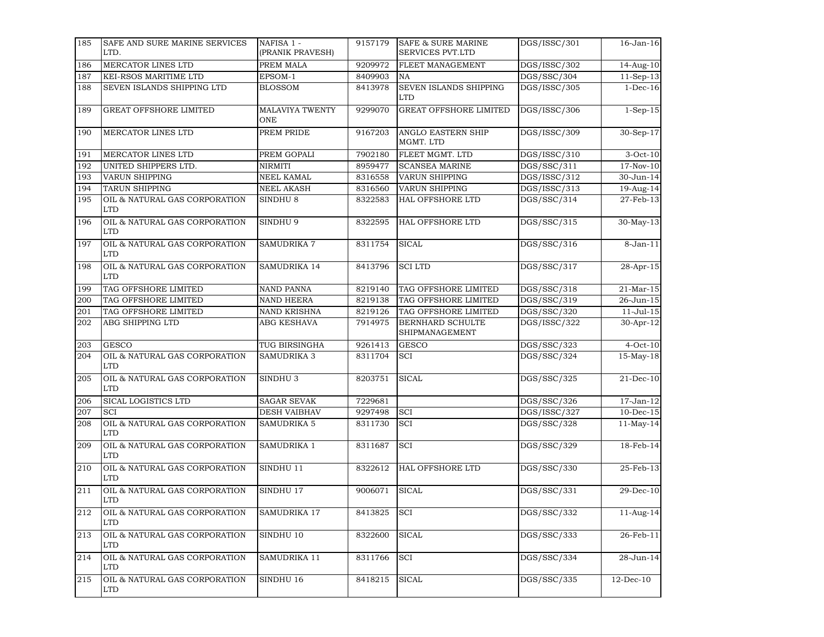| 185 | SAFE AND SURE MARINE SERVICES<br>LTD.       | NAFISA 1 -<br>(PRANIK PRAVESH) | 9157179 | <b>SAFE &amp; SURE MARINE</b><br>SERVICES PVT.LTD | DGS/ISSC/301 | 16-Jan-16        |
|-----|---------------------------------------------|--------------------------------|---------|---------------------------------------------------|--------------|------------------|
| 186 | MERCATOR LINES LTD                          | PREM MALA                      | 9209972 | FLEET MANAGEMENT                                  | DGS/ISSC/302 | 14-Aug-10        |
| 187 | KEI-RSOS MARITIME LTD                       | EPSOM-1                        | 8409903 | NA                                                | DGS/SSC/304  | $11-Sep-13$      |
| 188 | SEVEN ISLANDS SHIPPING LTD                  | <b>BLOSSOM</b>                 | 8413978 | SEVEN ISLANDS SHIPPING<br><b>LTD</b>              | DGS/ISSC/305 | $1-Dec-16$       |
| 189 | <b>GREAT OFFSHORE LIMITED</b>               | <b>MALAVIYA TWENTY</b><br>ONE  | 9299070 | <b>GREAT OFFSHORE LIMITED</b>                     | DGS/ISSC/306 | $1-Sep-15$       |
| 190 | MERCATOR LINES LTD                          | PREM PRIDE                     | 9167203 | ANGLO EASTERN SHIP<br>MGMT. LTD                   | DGS/ISSC/309 | $30-Sep-17$      |
| 191 | MERCATOR LINES LTD                          | PREM GOPALI                    | 7902180 | FLEET MGMT. LTD                                   | DGS/ISSC/310 | $3-Oct-10$       |
| 192 | UNITED SHIPPERS LTD.                        | <b>NIRMITI</b>                 | 8959477 | <b>SCANSEA MARINE</b>                             | DGS/SSC/311  | 17-Nov-10        |
| 193 | <b>VARUN SHIPPING</b>                       | <b>NEEL KAMAL</b>              | 8316558 | <b>VARUN SHIPPING</b>                             | DGS/ISSC/312 | 30-Jun-14        |
| 194 | <b>TARUN SHIPPING</b>                       | <b>NEEL AKASH</b>              | 8316560 | <b>VARUN SHIPPING</b>                             | DGS/ISSC/313 | 19-Aug-14        |
| 195 | OIL & NATURAL GAS CORPORATION<br><b>LTD</b> | SINDHU <sub>8</sub>            | 8322583 | HAL OFFSHORE LTD                                  | DGS/SSC/314  | 27-Feb-13        |
| 196 | OIL & NATURAL GAS CORPORATION<br><b>LTD</b> | SINDHU 9                       | 8322595 | HAL OFFSHORE LTD                                  | DGS/SSC/315  | 30-May-13        |
| 197 | OIL & NATURAL GAS CORPORATION<br><b>LTD</b> | <b>SAMUDRIKA 7</b>             | 8311754 | <b>SICAL</b>                                      | DGS/SSC/316  | $8 - Jan - 11$   |
| 198 | OIL & NATURAL GAS CORPORATION<br><b>LTD</b> | SAMUDRIKA 14                   | 8413796 | <b>SCILTD</b>                                     | DGS/SSC/317  | 28-Apr-15        |
| 199 | TAG OFFSHORE LIMITED                        | <b>NAND PANNA</b>              | 8219140 | TAG OFFSHORE LIMITED                              | DGS/SSC/318  | $21-Mar-15$      |
| 200 | TAG OFFSHORE LIMITED                        | <b>NAND HEERA</b>              | 8219138 | TAG OFFSHORE LIMITED                              | DGS/SSC/319  | 26-Jun-15        |
| 201 | TAG OFFSHORE LIMITED                        | NAND KRISHNA                   | 8219126 | TAG OFFSHORE LIMITED                              | DGS/SSC/320  | $11 -$ Jul $-15$ |
| 202 | ABG SHIPPING LTD                            | ABG KESHAVA                    | 7914975 | BERNHARD SCHULTE<br>SHIPMANAGEMENT                | DGS/ISSC/322 | $30-Apr-12$      |
| 203 | <b>GESCO</b>                                | TUG BIRSINGHA                  | 9261413 | <b>GESCO</b>                                      | DGS/SSC/323  | $4$ -Oct-10      |
| 204 | OIL & NATURAL GAS CORPORATION<br><b>LTD</b> | SAMUDRIKA 3                    | 8311704 | SCI                                               | DGS/SSC/324  | 15-May-18        |
| 205 | OIL & NATURAL GAS CORPORATION<br><b>LTD</b> | SINDHU <sub>3</sub>            | 8203751 | <b>SICAL</b>                                      | DGS/SSC/325  | $21$ -Dec-10     |
| 206 | SICAL LOGISTICS LTD                         | <b>SAGAR SEVAK</b>             | 7229681 |                                                   | DGS/SSC/326  | 17-Jan-12        |
| 207 | SCI                                         | <b>DESH VAIBHAV</b>            | 9297498 | <b>SCI</b>                                        | DGS/ISSC/327 | $10$ -Dec- $15$  |
| 208 | OIL & NATURAL GAS CORPORATION<br><b>LTD</b> | SAMUDRIKA 5                    | 8311730 | <b>SCI</b>                                        | DGS/SSC/328  | $11$ -May-14     |
| 209 | OIL & NATURAL GAS CORPORATION<br><b>LTD</b> | SAMUDRIKA 1                    | 8311687 | <b>SCI</b>                                        | DGS/SSC/329  | 18-Feb-14        |
| 210 | OIL & NATURAL GAS CORPORATION<br><b>LTD</b> | SINDHU 11                      | 8322612 | <b>HAL OFFSHORE LTD</b>                           | DGS/SSC/330  | 25-Feb-13        |
| 211 | OIL & NATURAL GAS CORPORATION<br><b>LTD</b> | SINDHU 17                      | 9006071 | <b>SICAL</b>                                      | DGS/SSC/331  | 29-Dec-10        |
| 212 | OIL & NATURAL GAS CORPORATION<br><b>LTD</b> | SAMUDRIKA 17                   | 8413825 | <b>SCI</b>                                        | DGS/SSC/332  | $11$ -Aug-14     |
| 213 | OIL & NATURAL GAS CORPORATION<br><b>LTD</b> | SINDHU 10                      | 8322600 | <b>SICAL</b>                                      | DGS/SSC/333  | $26$ -Feb-11     |
| 214 | OIL & NATURAL GAS CORPORATION<br><b>LTD</b> | SAMUDRIKA 11                   | 8311766 | <b>SCI</b>                                        | DGS/SSC/334  | 28-Jun-14        |
| 215 | OIL & NATURAL GAS CORPORATION<br><b>LTD</b> | SINDHU 16                      | 8418215 | <b>SICAL</b>                                      | DGS/SSC/335  | $12$ -Dec- $10$  |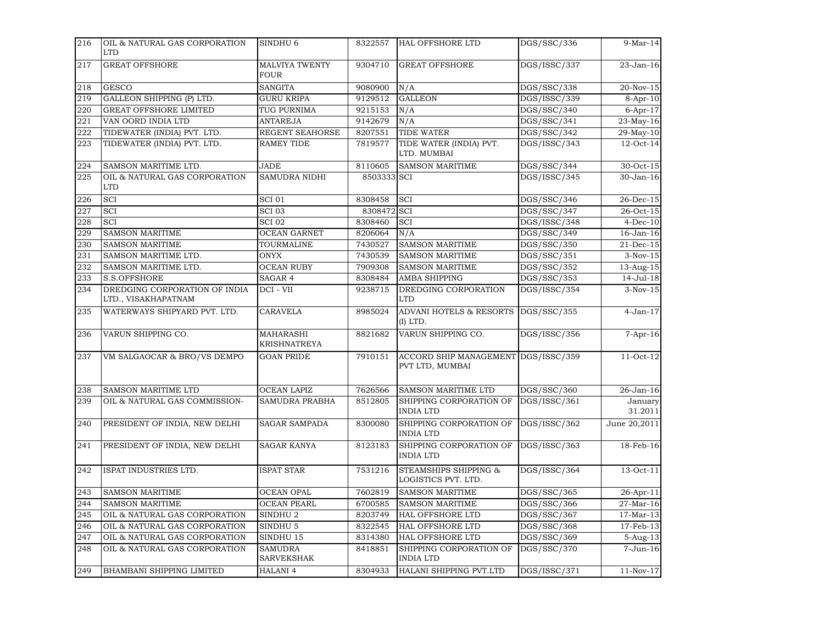| 216 | OIL & NATURAL GAS CORPORATION<br><b>LTD</b>          | SINDHU <sub>6</sub>                     | 8322557     | <b>HAL OFFSHORE LTD</b>                        | DGS/SSC/336  | $9-Mar-14$         |
|-----|------------------------------------------------------|-----------------------------------------|-------------|------------------------------------------------|--------------|--------------------|
| 217 | <b>GREAT OFFSHORE</b>                                | <b>MALVIYA TWENTY</b><br><b>FOUR</b>    | 9304710     | <b>GREAT OFFSHORE</b>                          | DGS/ISSC/337 | 23-Jan-16          |
| 218 | <b>GESCO</b>                                         | <b>SANGITA</b>                          | 9080900     | N/A                                            | DGS/SSC/338  | 20-Nov-15          |
| 219 | GALLEON SHIPPING (P) LTD.                            | <b>GURU KRIPA</b>                       | 9129512     | <b>GALLEON</b>                                 | DGS/ISSC/339 | $8-Apr-10$         |
| 220 | <b>GREAT OFFSHORE LIMITED</b>                        | TUG PURNIMA                             | 9215153     | N/A                                            | DGS/SSC/340  | $6-Apr-17$         |
| 221 | VAN OORD INDIA LTD                                   | <b>ANTAREJA</b>                         | 9142679     | N/A                                            | DGS/SSC/341  | 23-May-16          |
| 222 | TIDEWATER (INDIA) PVT. LTD.                          | REGENT SEAHORSE                         | 8207551     | <b>TIDE WATER</b>                              | DGS/SSC/342  | 29-May-10          |
| 223 | TIDEWATER (INDIA) PVT. LTD.                          | RAMEY TIDE                              | 7819577     | TIDE WATER (INDIA) PVT.<br>LTD. MUMBAI         | DGS/ISSC/343 | 12-Oct-14          |
| 224 | SAMSON MARITIME LTD.                                 | <b>JADE</b>                             | 8110605     | <b>SAMSON MARITIME</b>                         | DGS/SSC/344  | 30-Oct-15          |
| 225 | OIL & NATURAL GAS CORPORATION<br><b>LTD</b>          | SAMUDRA NIDHI                           | 8503333 SCI |                                                | DGS/ISSC/345 | 30-Jan-16          |
| 226 | <b>SCI</b>                                           | <b>SCI 01</b>                           | 8308458     | SCI                                            | DGS/SSC/346  | 26-Dec-15          |
| 227 | <b>SCI</b>                                           | SCI <sub>03</sub>                       | 8308472     | <b>SCI</b>                                     | DGS/SSC/347  | 26-Oct-15          |
| 228 | SCI                                                  | SCI <sub>02</sub>                       | 8308460     | <b>SCI</b>                                     | DGS/ISSC/348 | $4-Dec-10$         |
| 229 | <b>SAMSON MARITIME</b>                               | <b>OCEAN GARNET</b>                     | 8206064     | N/A                                            | DGS/SSC/349  | $16$ -Jan- $16$    |
| 230 | <b>SAMSON MARITIME</b>                               | TOURMALINE                              | 7430527     | <b>SAMSON MARITIME</b>                         | DGS/SSC/350  | 21-Dec-15          |
| 231 | SAMSON MARITIME LTD.                                 | <b>ONYX</b>                             | 7430539     | <b>SAMSON MARITIME</b>                         | DGS/SSC/351  | $3-Nov-15$         |
| 232 | SAMSON MARITIME LTD.                                 | <b>OCEAN RUBY</b>                       | 7909308     | <b>SAMSON MARITIME</b>                         | DGS/SSC/352  | 13-Aug-15          |
| 233 | S.S.OFFSHORE                                         | SAGAR 4                                 | 8308484     | AMBA SHIPPING                                  | DGS/SSC/353  | $14 -$ Jul- $18$   |
| 234 | DREDGING CORPORATION OF INDIA<br>LTD., VISAKHAPATNAM | DCI - VII                               | 9238715     | DREDGING CORPORATION<br><b>LTD</b>             | DGS/ISSC/354 | $3-Nov-15$         |
| 235 | WATERWAYS SHIPYARD PVT. LTD.                         | CARAVELA                                | 8985024     | <b>ADVANI HOTELS &amp; RESORTS</b><br>(I) LTD. | DGS/SSC/355  | $4-Jan-17$         |
| 236 | VARUN SHIPPING CO.                                   | <b>MAHARASHI</b><br><b>KRISHNATREYA</b> | 8821682     | VARUN SHIPPING CO.                             | DGS/ISSC/356 | $7-Apr-16$         |
| 237 | VM SALGAOCAR & BRO/VS DEMPO                          | <b>GOAN PRIDE</b>                       | 7910151     | ACCORD SHIP MANAGEMENT<br>PVT LTD, MUMBAI      | DGS/ISSC/359 | 11-Oct-12          |
| 238 | SAMSON MARITIME LTD                                  | <b>OCEAN LAPIZ</b>                      | 7626566     | SAMSON MARITIME LTD                            | DGS/SSC/360  | 26-Jan-16          |
| 239 | OIL & NATURAL GAS COMMISSION-                        | <b>SAMUDRA PRABHA</b>                   | 8512805     | SHIPPING CORPORATION OF<br><b>INDIA LTD</b>    | DGS/ISSC/361 | January<br>31.2011 |
| 240 | PRESIDENT OF INDIA, NEW DELHI                        | <b>SAGAR SAMPADA</b>                    | 8300080     | SHIPPING CORPORATION OF<br><b>INDIA LTD</b>    | DGS/ISSC/362 | June 20,2011       |
| 241 | PRESIDENT OF INDIA, NEW DELHI                        | <b>SAGAR KANYA</b>                      | 8123183     | SHIPPING CORPORATION OF<br><b>INDIA LTD</b>    | DGS/ISSC/363 | 18-Feb-16          |
| 242 | ISPAT INDUSTRIES LTD.                                | ISPAT STAR                              | 7531216     | STEAMSHIPS SHIPPING &<br>LOGISTICS PVT. LTD.   | DGS/ISSC/364 | 13-Oct-11          |
| 243 | <b>SAMSON MARITIME</b>                               | <b>OCEAN OPAL</b>                       | 7602819     | <b>SAMSON MARITIME</b>                         | DGS/SSC/365  | 26-Apr-11          |
| 244 | <b>SAMSON MARITIME</b>                               | <b>OCEAN PEARL</b>                      | 6700585     | <b>SAMSON MARITIME</b>                         | DGS/SSC/366  | 27-Mar-16          |
| 245 | OIL & NATURAL GAS CORPORATION                        | SINDHU <sub>2</sub>                     | 8203749     | HAL OFFSHORE LTD                               | DGS/SSC/367  | 17-Mar-13          |
| 246 | OIL & NATURAL GAS CORPORATION                        | SINDHU <sub>5</sub>                     | 8322545     | HAL OFFSHORE LTD                               | DGS/SSC/368  | 17-Feb-13          |
| 247 | OIL & NATURAL GAS CORPORATION                        | SINDHU 15                               | 8314380     | HAL OFFSHORE LTD                               | DGS/SSC/369  | 5-Aug-13           |
| 248 | OIL & NATURAL GAS CORPORATION                        | <b>SAMUDRA</b><br><b>SARVEKSHAK</b>     | 8418851     | SHIPPING CORPORATION OF<br><b>INDIA LTD</b>    | DGS/SSC/370  | 7-Jun-16           |
| 249 | <b>BHAMBANI SHIPPING LIMITED</b>                     | <b>HALANI 4</b>                         | 8304933     | HALANI SHIPPING PVT.LTD                        | DGS/ISSC/371 | $11-Nov-17$        |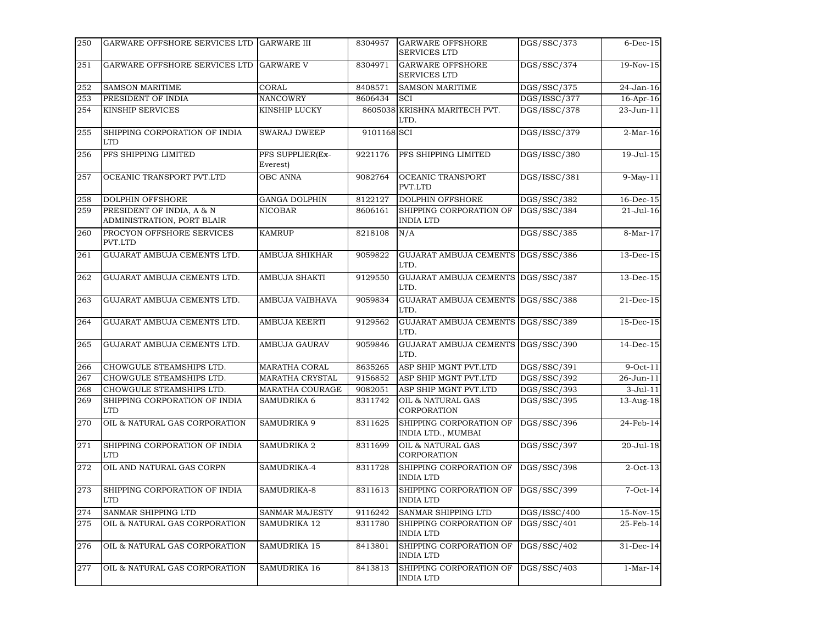| 250 | GARWARE OFFSHORE SERVICES LTD GARWARE III               |                              | 8304957     | <b>GARWARE OFFSHORE</b><br><b>SERVICES LTD</b> | DGS/SSC/373  | $6$ -Dec-15     |
|-----|---------------------------------------------------------|------------------------------|-------------|------------------------------------------------|--------------|-----------------|
| 251 | GARWARE OFFSHORE SERVICES LTD                           | <b>GARWARE V</b>             | 8304971     | <b>GARWARE OFFSHORE</b><br><b>SERVICES LTD</b> | DGS/SSC/374  | 19-Nov-15       |
| 252 | <b>SAMSON MARITIME</b>                                  | CORAL                        | 8408571     | <b>SAMSON MARITIME</b>                         | DGS/SSC/375  | 24-Jan-16       |
| 253 | PRESIDENT OF INDIA                                      | <b>NANCOWRY</b>              | 8606434     | <b>SCI</b>                                     | DGS/ISSC/377 | 16-Apr-16       |
| 254 | KINSHIP SERVICES                                        | KINSHIP LUCKY                |             | 8605038 KRISHNA MARITECH PVT.<br>LTD.          | DGS/ISSC/378 | 23-Jun-11       |
| 255 | SHIPPING CORPORATION OF INDIA<br><b>LTD</b>             | <b>SWARAJ DWEEP</b>          | 9101168 SCI |                                                | DGS/ISSC/379 | $2-Mar-16$      |
| 256 | PFS SHIPPING LIMITED                                    | PFS SUPPLIER(Ex-<br>Everest) | 9221176     | PFS SHIPPING LIMITED                           | DGS/ISSC/380 | 19-Jul-15       |
| 257 | OCEANIC TRANSPORT PVT.LTD                               | <b>OBC ANNA</b>              | 9082764     | <b>OCEANIC TRANSPORT</b><br>PVT.LTD            | DGS/ISSC/381 | $9-May-11$      |
| 258 | <b>DOLPHIN OFFSHORE</b>                                 | <b>GANGA DOLPHIN</b>         | 8122127     | <b>DOLPHIN OFFSHORE</b>                        | DGS/SSC/382  | 16-Dec-15       |
| 259 | PRESIDENT OF INDIA, A & N<br>ADMINISTRATION, PORT BLAIR | <b>NICOBAR</b>               | 8606161     | SHIPPING CORPORATION OF<br><b>INDIA LTD</b>    | DGS/SSC/384  | $21-Jul-16$     |
| 260 | PROCYON OFFSHORE SERVICES<br>PVT.LTD                    | <b>KAMRUP</b>                | 8218108     | N/A                                            | DGS/SSC/385  | 8-Mar-17        |
| 261 | GUJARAT AMBUJA CEMENTS LTD.                             | <b>AMBUJA SHIKHAR</b>        | 9059822     | GUJARAT AMBUJA CEMENTS DGS/SSC/386<br>LTD.     |              | 13-Dec-15       |
| 262 | GUJARAT AMBUJA CEMENTS LTD.                             | <b>AMBUJA SHAKTI</b>         | 9129550     | GUJARAT AMBUJA CEMENTS<br>LTD.                 | DGS/SSC/387  | 13-Dec-15       |
| 263 | GUJARAT AMBUJA CEMENTS LTD.                             | AMBUJA VAIBHAVA              | 9059834     | GUJARAT AMBUJA CEMENTS<br>LTD.                 | DGS/SSC/388  | 21-Dec-15       |
| 264 | GUJARAT AMBUJA CEMENTS LTD.                             | <b>AMBUJA KEERTI</b>         | 9129562     | GUJARAT AMBUJA CEMENTS DGS/SSC/389<br>LTD.     |              | $15$ -Dec- $15$ |
| 265 | GUJARAT AMBUJA CEMENTS LTD.                             | <b>AMBUJA GAURAV</b>         | 9059846     | GUJARAT AMBUJA CEMENTS DGS/SSC/390<br>LTD.     |              | $14$ -Dec- $15$ |
| 266 | CHOWGULE STEAMSHIPS LTD.                                | <b>MARATHA CORAL</b>         | 8635265     | ASP SHIP MGNT PVT.LTD                          | DGS/SSC/391  | $9$ -Oct-11     |
| 267 | CHOWGULE STEAMSHIPS LTD.                                | <b>MARATHA CRYSTAL</b>       | 9156852     | ASP SHIP MGNT PVT.LTD                          | DGS/SSC/392  | 26-Jun-11       |
| 268 | CHOWGULE STEAMSHIPS LTD.                                | <b>MARATHA COURAGE</b>       | 9082051     | ASP SHIP MGNT PVT.LTD                          | DGS/SSC/393  | $3-Jul-11$      |
| 269 | SHIPPING CORPORATION OF INDIA<br><b>LTD</b>             | SAMUDRIKA 6                  | 8311742     | OIL & NATURAL GAS<br>CORPORATION               | DGS/SSC/395  | 13-Aug-18       |
| 270 | OIL & NATURAL GAS CORPORATION                           | <b>SAMUDRIKA 9</b>           | 8311625     | SHIPPING CORPORATION OF<br>INDIA LTD., MUMBAI  | DGS/SSC/396  | $24-Feb-14$     |
| 271 | SHIPPING CORPORATION OF INDIA<br>LTD                    | <b>SAMUDRIKA 2</b>           | 8311699     | OIL & NATURAL GAS<br>CORPORATION               | DGS/SSC/397  | 20-Jul-18       |
| 272 | OIL AND NATURAL GAS CORPN                               | SAMUDRIKA-4                  | 8311728     | SHIPPING CORPORATION OF<br><b>INDIA LTD</b>    | DGS/SSC/398  | $2$ -Oct-13     |
| 273 | SHIPPING CORPORATION OF INDIA<br><b>LTD</b>             | SAMUDRIKA-8                  | 8311613     | SHIPPING CORPORATION OF<br><b>INDIA LTD</b>    | DGS/SSC/399  | $7$ -Oct-14     |
| 274 | SANMAR SHIPPING LTD                                     | SANMAR MAJESTY               | 9116242     | SANMAR SHIPPING LTD                            | DGS/ISSC/400 | 15-Nov-15       |
| 275 | OIL & NATURAL GAS CORPORATION                           | SAMUDRIKA 12                 | 8311780     | SHIPPING CORPORATION OF<br><b>INDIA LTD</b>    | DGS/SSC/401  | 25-Feb-14       |
| 276 | OIL & NATURAL GAS CORPORATION                           | SAMUDRIKA 15                 | 8413801     | SHIPPING CORPORATION OF<br><b>INDIA LTD</b>    | DGS/SSC/402  | 31-Dec-14       |
| 277 | OIL & NATURAL GAS CORPORATION                           | SAMUDRIKA 16                 | 8413813     | SHIPPING CORPORATION OF<br><b>INDIA LTD</b>    | DGS/SSC/403  | $1-Mar-14$      |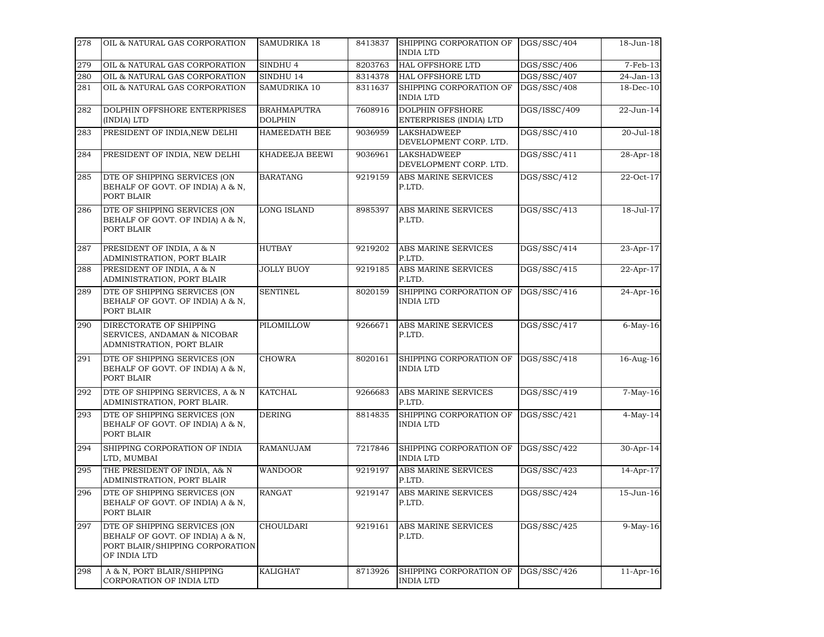| 278 | OIL & NATURAL GAS CORPORATION                                                                                       | SAMUDRIKA 18                  | 8413837 | SHIPPING CORPORATION OF<br><b>INDIA LTD</b>  | DGS/SSC/404  | 18-Jun-18        |
|-----|---------------------------------------------------------------------------------------------------------------------|-------------------------------|---------|----------------------------------------------|--------------|------------------|
| 279 | OIL & NATURAL GAS CORPORATION                                                                                       | SINDHU <sub>4</sub>           | 8203763 | HAL OFFSHORE LTD                             | DGS/SSC/406  | $7-Feb-13$       |
| 280 | OIL & NATURAL GAS CORPORATION                                                                                       | SINDHU 14                     | 8314378 | <b>HAL OFFSHORE LTD</b>                      | DGS/SSC/407  | 24-Jan-13        |
| 281 | OIL & NATURAL GAS CORPORATION                                                                                       | SAMUDRIKA 10                  | 8311637 | SHIPPING CORPORATION OF<br>INDIA LTD         | DGS/SSC/408  | 18-Dec-10        |
| 282 | DOLPHIN OFFSHORE ENTERPRISES<br>(INDIA) LTD                                                                         | <b>BRAHMAPUTRA</b><br>DOLPHIN | 7608916 | DOLPHIN OFFSHORE<br>ENTERPRISES (INDIA) LTD  | DGS/ISSC/409 | 22-Jun-14        |
| 283 | PRESIDENT OF INDIA, NEW DELHI                                                                                       | HAMEEDATH BEE                 | 9036959 | <b>LAKSHADWEEP</b><br>DEVELOPMENT CORP. LTD. | DGS/SSC/410  | 20-Jul-18        |
| 284 | PRESIDENT OF INDIA, NEW DELHI                                                                                       | KHADEEJA BEEWI                | 9036961 | <b>LAKSHADWEEP</b><br>DEVELOPMENT CORP. LTD. | DGS/SSC/411  | 28-Apr-18        |
| 285 | DTE OF SHIPPING SERVICES (ON<br>BEHALF OF GOVT. OF INDIA) A & N,<br>PORT BLAIR                                      | <b>BARATANG</b>               | 9219159 | ABS MARINE SERVICES<br>P.LTD.                | DGS/SSC/412  | 22-Oct-17        |
| 286 | DTE OF SHIPPING SERVICES (ON<br>BEHALF OF GOVT. OF INDIA) A & N,<br>PORT BLAIR                                      | <b>LONG ISLAND</b>            | 8985397 | ABS MARINE SERVICES<br>P.LTD.                | DGS/SSC/413  | $18 -$ Jul $-17$ |
| 287 | PRESIDENT OF INDIA, A & N<br>ADMINISTRATION, PORT BLAIR                                                             | <b>HUTBAY</b>                 | 9219202 | ABS MARINE SERVICES<br>P.LTD.                | DGS/SSC/414  | $23-Apr-17$      |
| 288 | PRESIDENT OF INDIA, A & N<br>ADMINISTRATION, PORT BLAIR                                                             | <b>JOLLY BUOY</b>             | 9219185 | <b>ABS MARINE SERVICES</b><br>P.LTD.         | DGS/SSC/415  | $22-Apr-17$      |
| 289 | DTE OF SHIPPING SERVICES (ON<br>BEHALF OF GOVT. OF INDIA) A & N,<br>PORT BLAIR                                      | <b>SENTINEL</b>               | 8020159 | SHIPPING CORPORATION OF<br><b>INDIA LTD</b>  | DGS/SSC/416  | 24-Apr-16        |
| 290 | DIRECTORATE OF SHIPPING<br>SERVICES, ANDAMAN & NICOBAR<br>ADMNISTRATION, PORT BLAIR                                 | PILOMILLOW                    | 9266671 | <b>ABS MARINE SERVICES</b><br>P.LTD.         | DGS/SSC/417  | $6$ -May-16      |
| 291 | DTE OF SHIPPING SERVICES (ON<br>BEHALF OF GOVT. OF INDIA) A & N,<br>PORT BLAIR                                      | <b>CHOWRA</b>                 | 8020161 | SHIPPING CORPORATION OF<br><b>INDIA LTD</b>  | DGS/SSC/418  | $16-Aug-16$      |
| 292 | DTE OF SHIPPING SERVICES, A & N<br>ADMINISTRATION, PORT BLAIR.                                                      | <b>KATCHAL</b>                | 9266683 | ABS MARINE SERVICES<br>P.LTD.                | DGS/SSC/419  | $7-May-16$       |
| 293 | DTE OF SHIPPING SERVICES (ON<br>BEHALF OF GOVT. OF INDIA) A & N,<br>PORT BLAIR                                      | <b>DERING</b>                 | 8814835 | SHIPPING CORPORATION OF<br><b>INDIA LTD</b>  | DGS/SSC/421  | $4-May-14$       |
| 294 | SHIPPING CORPORATION OF INDIA<br>LTD, MUMBAI                                                                        | <b>RAMANUJAM</b>              | 7217846 | SHIPPING CORPORATION OF<br><b>INDIA LTD</b>  | DGS/SSC/422  | 30-Apr-14        |
| 295 | THE PRESIDENT OF INDIA, A& N<br>ADMINISTRATION, PORT BLAIR                                                          | WANDOOR                       | 9219197 | ABS MARINE SERVICES<br>P.LTD.                | DGS/SSC/423  | 14-Apr-17        |
| 296 | DTE OF SHIPPING SERVICES (ON<br>BEHALF OF GOVT. OF INDIA) A & N,<br>PORT BLAIR                                      | <b>RANGAT</b>                 | 9219147 | ABS MARINE SERVICES<br>P.LTD.                | DGS/SSC/424  | 15-Jun-16        |
| 297 | DTE OF SHIPPING SERVICES (ON<br>BEHALF OF GOVT. OF INDIA) A & N,<br>PORT BLAIR/SHIPPING CORPORATION<br>OF INDIA LTD | CHOULDARI                     | 9219161 | ABS MARINE SERVICES<br>P.LTD.                | DGS/SSC/425  | $9-May-16$       |
| 298 | A & N, PORT BLAIR/SHIPPING<br>CORPORATION OF INDIA LTD                                                              | KALIGHAT                      | 8713926 | SHIPPING CORPORATION OF<br>INDIA LTD         | DGS/SSC/426  | $11-Apr-16$      |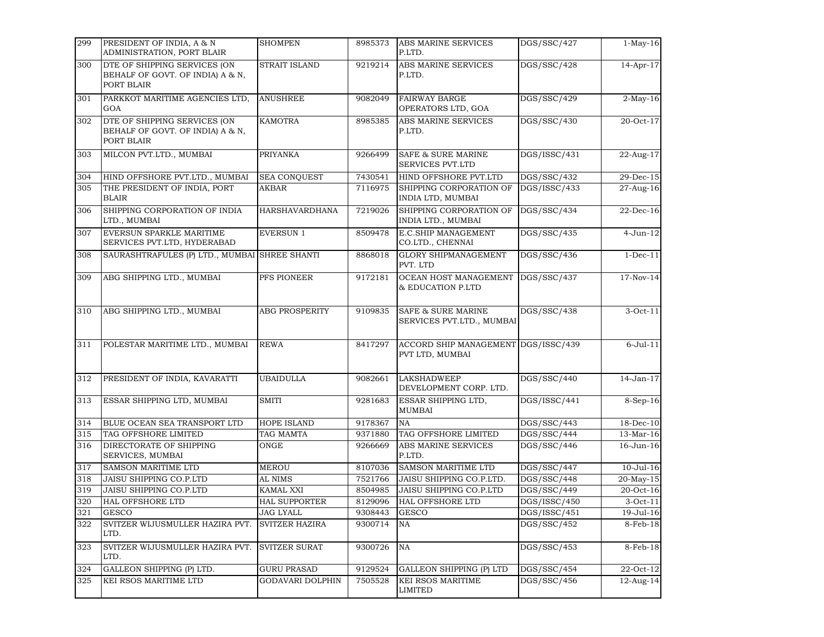| 299 | PRESIDENT OF INDIA, A & N<br>ADMINISTRATION, PORT BLAIR                        | <b>SHOMPEN</b>        | 8985373 | <b>ABS MARINE SERVICES</b><br>P.LTD.                       | DGS/SSC/427  | $1-May-16$     |
|-----|--------------------------------------------------------------------------------|-----------------------|---------|------------------------------------------------------------|--------------|----------------|
| 300 | DTE OF SHIPPING SERVICES (ON<br>BEHALF OF GOVT. OF INDIA) A & N,<br>PORT BLAIR | <b>STRAIT ISLAND</b>  | 9219214 | ABS MARINE SERVICES<br>P.LTD.                              | DGS/SSC/428  | 14-Apr-17      |
| 301 | PARKKOT MARITIME AGENCIES LTD,<br>GOA                                          | <b>ANUSHREE</b>       | 9082049 | <b>FAIRWAY BARGE</b><br>OPERATORS LTD, GOA                 | DGS/SSC/429  | $2$ -May-16    |
| 302 | DTE OF SHIPPING SERVICES (ON<br>BEHALF OF GOVT. OF INDIA) A & N,<br>PORT BLAIR | <b>KAMOTRA</b>        | 8985385 | ABS MARINE SERVICES<br>P.LTD.                              | DGS/SSC/430  | 20-Oct-17      |
| 303 | MILCON PVT.LTD., MUMBAI                                                        | <b>PRIYANKA</b>       | 9266499 | <b>SAFE &amp; SURE MARINE</b><br><b>SERVICES PVT.LTD</b>   | DGS/ISSC/431 | 22-Aug-17      |
| 304 | HIND OFFSHORE PVT.LTD., MUMBAI                                                 | <b>SEA CONOUEST</b>   | 7430541 | HIND OFFSHORE PVT.LTD                                      | DGS/SSC/432  | 29-Dec-15      |
| 305 | THE PRESIDENT OF INDIA, PORT<br><b>BLAIR</b>                                   | AKBAR                 | 7116975 | SHIPPING CORPORATION OF<br>INDIA LTD, MUMBAI               | DGS/ISSC/433 | 27-Aug-16      |
| 306 | SHIPPING CORPORATION OF INDIA<br>LTD., MUMBAI                                  | HARSHAVARDHANA        | 7219026 | SHIPPING CORPORATION OF<br>INDIA LTD., MUMBAI              | DGS/SSC/434  | 22-Dec-16      |
| 307 | EVERSUN SPARKLE MARITIME<br>SERVICES PVT.LTD, HYDERABAD                        | <b>EVERSUN 1</b>      | 8509478 | E.C.SHIP MANAGEMENT<br>CO.LTD., CHENNAI                    | DGS/SSC/435  | $4 - Jun-12$   |
| 308 | SAURASHTRAFULES (P) LTD., MUMBAI SHREE SHANTI                                  |                       | 8868018 | <b>GLORY SHIPMANAGEMENT</b><br>PVT. LTD                    | DGS/SSC/436  | $1 - Dec-11$   |
| 309 | ABG SHIPPING LTD., MUMBAI                                                      | PFS PIONEER           | 9172181 | OCEAN HOST MANAGEMENT<br>& EDUCATION P.LTD                 | DGS/SSC/437  | 17-Nov-14      |
| 310 | ABG SHIPPING LTD., MUMBAI                                                      | <b>ABG PROSPERITY</b> | 9109835 | <b>SAFE &amp; SURE MARINE</b><br>SERVICES PVT.LTD., MUMBAI | DGS/SSC/438  | $3-Oct-11$     |
| 311 | POLESTAR MARITIME LTD., MUMBAI                                                 | <b>REWA</b>           | 8417297 | ACCORD SHIP MANAGEMENT DGS/ISSC/439<br>PVT LTD, MUMBAI     |              | $6$ -Jul- $11$ |
| 312 | PRESIDENT OF INDIA, KAVARATTI                                                  | <b>UBAIDULLA</b>      | 9082661 | <b>LAKSHADWEEP</b><br>DEVELOPMENT CORP. LTD.               | DGS/SSC/440  | 14-Jan-17      |
| 313 | ESSAR SHIPPING LTD, MUMBAI                                                     | <b>SMITI</b>          | 9281683 | ESSAR SHIPPING LTD,<br><b>MUMBAI</b>                       | DGS/ISSC/441 | 8-Sep-16       |
| 314 | BLUE OCEAN SEA TRANSPORT LTD                                                   | HOPE ISLAND           | 9178367 | <b>NA</b>                                                  | DGS/SSC/443  | 18-Dec-10      |
| 315 | TAG OFFSHORE LIMITED                                                           | TAG MAMTA             | 9371880 | TAG OFFSHORE LIMITED                                       | DGS/SSC/444  | 13-Mar-16      |
| 316 | DIRECTORATE OF SHIPPING<br>SERVICES, MUMBAI                                    | ONGE                  | 9266669 | ABS MARINE SERVICES<br>P.LTD.                              | DGS/SSC/446  | 16-Jun-16      |
| 317 | SAMSON MARITIME LTD                                                            | <b>MEROU</b>          | 8107036 | SAMSON MARITIME LTD                                        | DGS/SSC/447  | $10-Jul-16$    |
| 318 | <b>JAISU SHIPPING CO.P.LTD</b>                                                 | <b>AL NIMS</b>        | 7521766 | JAISU SHIPPING CO.P.LTD.                                   | DGS/SSC/448  | 20-May-15      |
| 319 | JAISU SHIPPING CO.P.LTD                                                        | <b>KAMAL XXI</b>      | 8504985 | JAISU SHIPPING CO.P.LTD                                    | DGS/SSC/449  | 20-Oct-16      |
| 320 | HAL OFFSHORE LTD                                                               | <b>HAL SUPPORTER</b>  | 8129096 | <b>HAL OFFSHORE LTD</b>                                    | DGS/ISSC/450 | $3-Oct-11$     |
| 321 | <b>GESCO</b>                                                                   | <b>JAG LYALL</b>      | 9308443 | <b>GESCO</b>                                               | DGS/ISSC/451 | 19-Jul-16      |
| 322 | SVITZER WIJUSMULLER HAZIRA PVT.<br>LTD.                                        | SVITZER HAZIRA        | 9300714 | NA                                                         | DGS/SSC/452  | 8-Feb-18       |
| 323 | SVITZER WIJUSMULLER HAZIRA PVT.<br>LTD.                                        | SVITZER SURAT         | 9300726 | NA                                                         | DGS/SSC/453  | 8-Feb-18       |
| 324 | GALLEON SHIPPING (P) LTD.                                                      | <b>GURU PRASAD</b>    | 9129524 | <b>GALLEON SHIPPING (P) LTD</b>                            | DGS/SSC/454  | 22-Oct-12      |
| 325 | KEI RSOS MARITIME LTD                                                          | GODAVARI DOLPHIN      | 7505528 | KEI RSOS MARITIME<br><b>LIMITED</b>                        | DGS/SSC/456  | 12-Aug-14      |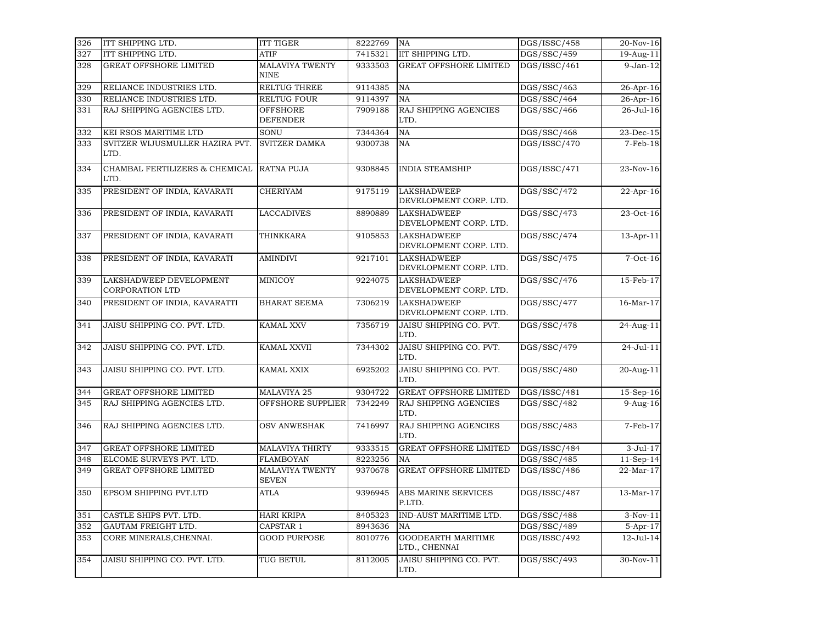| 326 | ITT SHIPPING LTD.                                 | <b>ITT TIGER</b>                       | 8222769 | <b>NA</b>                                    | DGS/ISSC/458             | 20-Nov-16       |
|-----|---------------------------------------------------|----------------------------------------|---------|----------------------------------------------|--------------------------|-----------------|
| 327 | ITT SHIPPING LTD.                                 | <b>ATIF</b>                            | 7415321 | IIT SHIPPING LTD.                            | DGS/SSC/459              | 19-Aug-11       |
| 328 | <b>GREAT OFFSHORE LIMITED</b>                     | <b>MALAVIYA TWENTY</b><br><b>NINE</b>  | 9333503 | <b>GREAT OFFSHORE LIMITED</b>                | DGS/ISSC/461             | $9$ -Jan- $12$  |
| 329 | RELIANCE INDUSTRIES LTD.                          | RELTUG THREE                           | 9114385 | NA                                           | DGS/SSC/463              | 26-Apr-16       |
| 330 | RELIANCE INDUSTRIES LTD.                          | RELTUG FOUR                            | 9114397 | <b>NA</b>                                    | DGS/SSC/464              | 26-Apr-16       |
| 331 | RAJ SHIPPING AGENCIES LTD.                        | <b>OFFSHORE</b><br><b>DEFENDER</b>     | 7909188 | RAJ SHIPPING AGENCIES<br>LTD.                | DGS/SSC/466              | 26-Jul-16       |
| 332 | KEI RSOS MARITIME LTD                             | SONU                                   | 7344364 | NA                                           | DGS/SSC/468              | 23-Dec-15       |
| 333 | SVITZER WIJUSMULLER HAZIRA PVT.<br>LTD.           | <b>SVITZER DAMKA</b>                   | 9300738 | NA                                           | DGS/ISSC/470             | $7-Feb-18$      |
| 334 | CHAMBAL FERTILIZERS & CHEMICAL<br>LTD.            | <b>RATNA PUJA</b>                      | 9308845 | <b>INDIA STEAMSHIP</b>                       | DGS/ISSC/471             | 23-Nov-16       |
| 335 | PRESIDENT OF INDIA, KAVARATI                      | <b>CHERIYAM</b>                        | 9175119 | <b>LAKSHADWEEP</b><br>DEVELOPMENT CORP. LTD. | DGS/SSC/472              | 22-Apr-16       |
| 336 | PRESIDENT OF INDIA, KAVARATI                      | <b>LACCADIVES</b>                      | 8890889 | <b>LAKSHADWEEP</b><br>DEVELOPMENT CORP. LTD. | DGS/SSC/473              | 23-Oct-16       |
| 337 | PRESIDENT OF INDIA, KAVARATI                      | THINKKARA                              | 9105853 | <b>LAKSHADWEEP</b><br>DEVELOPMENT CORP. LTD. | DGS/SSC/474              | 13-Apr-11       |
| 338 | PRESIDENT OF INDIA, KAVARATI                      | <b>AMINDIVI</b>                        | 9217101 | <b>LAKSHADWEEP</b><br>DEVELOPMENT CORP. LTD. | DGS/SSC/475              | $7-Oct-16$      |
| 339 | LAKSHADWEEP DEVELOPMENT<br><b>CORPORATION LTD</b> | <b>MINICOY</b>                         | 9224075 | <b>LAKSHADWEEP</b><br>DEVELOPMENT CORP. LTD. | DGS/SSC/476              | 15-Feb-17       |
| 340 | PRESIDENT OF INDIA, KAVARATTI                     | <b>BHARAT SEEMA</b>                    | 7306219 | <b>LAKSHADWEEP</b><br>DEVELOPMENT CORP. LTD. | DGS/SSC/477              | $16$ -Mar- $17$ |
| 341 | JAISU SHIPPING CO. PVT. LTD.                      | <b>KAMAL XXV</b>                       | 7356719 | JAISU SHIPPING CO. PVT.<br>LTD.              | DGS/SSC/478              | 24-Aug-11       |
| 342 | JAISU SHIPPING CO. PVT. LTD.                      | KAMAL XXVII                            | 7344302 | JAISU SHIPPING CO. PVT.<br>LTD.              | DGS/SSC/479              | 24-Jul-11       |
| 343 | JAISU SHIPPING CO. PVT. LTD.                      | KAMAL XXIX                             | 6925202 | JAISU SHIPPING CO. PVT.<br>LTD.              | DGS/SSC/480              | 20-Aug-11       |
| 344 | <b>GREAT OFFSHORE LIMITED</b>                     | MALAVIYA 25                            | 9304722 | <b>GREAT OFFSHORE LIMITED</b>                | DGS/ISSC/481             | 15-Sep-16       |
| 345 | RAJ SHIPPING AGENCIES LTD.                        | OFFSHORE SUPPLIER                      | 7342249 | RAJ SHIPPING AGENCIES<br>LTD.                | DGS/SSC/482              | $9$ -Aug-16     |
| 346 | RAJ SHIPPING AGENCIES LTD.                        | <b>OSV ANWESHAK</b>                    | 7416997 | RAJ SHIPPING AGENCIES<br>LTD.                | DGS/SSC/483              | 7-Feb-17        |
| 347 | GREAT OFFSHORE LIMITED                            | <b>MALAVIYA THIRTY</b>                 | 9333515 | <b>GREAT OFFSHORE LIMITED</b>                | DGS/ISSC/484             | 3-Jul-17        |
| 348 | ELCOME SURVEYS PVT. LTD.                          | <b>FLAMBOYAN</b>                       | 8223256 | NA                                           | DGS/SSC/485              | $11-Sep-14$     |
| 349 | GREAT OFFSHORE LIMITED                            | <b>MALAVIYA TWENTY</b><br><b>SEVEN</b> | 9370678 | GREAT OFFSHORE LIMITED                       | DGS/ISSC/486             | 22-Mar-17       |
| 350 | EPSOM SHIPPING PVT.LTD                            | ATLA                                   | 9396945 | ABS MARINE SERVICES<br>P.LTD.                | DGS/ISSC/487             | 13-Mar-17       |
| 351 | CASTLE SHIPS PVT. LTD.                            | <b>HARI KRIPA</b>                      | 8405323 | IND-AUST MARITIME LTD.                       | DGS/SSC/488              | $3-Nov-11$      |
| 352 | GAUTAM FREIGHT LTD.                               | CAPSTAR 1                              | 8943636 | <b>NA</b>                                    | $\overline{DGS/SSC}/489$ | $5-Apr-17$      |
| 353 | CORE MINERALS, CHENNAI.                           | <b>GOOD PURPOSE</b>                    | 8010776 | <b>GOODEARTH MARITIME</b><br>LTD., CHENNAI   | DGS/ISSC/492             | $12 -$ Jul-14   |
| 354 | JAISU SHIPPING CO. PVT. LTD.                      | TUG BETUL                              | 8112005 | JAISU SHIPPING CO. PVT.<br>LTD.              | DGS/SSC/493              | 30-Nov-11       |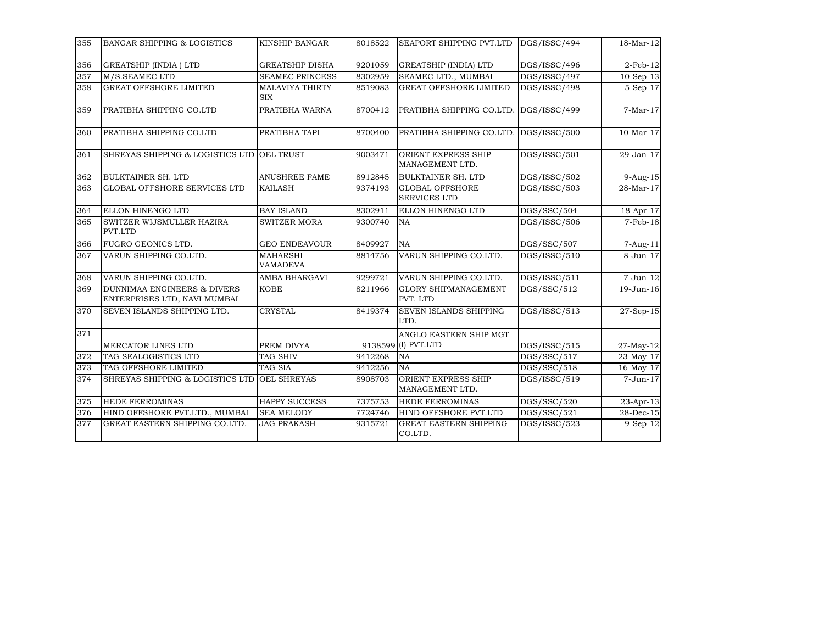| 355 | <b>BANGAR SHIPPING &amp; LOGISTICS</b>                                 | KINSHIP BANGAR                       | 8018522 | <b>SEAPORT SHIPPING PVT.LTD</b>               | DGS/ISSC/494 | 18-Mar-12       |
|-----|------------------------------------------------------------------------|--------------------------------------|---------|-----------------------------------------------|--------------|-----------------|
| 356 | <b>GREATSHIP (INDIA) LTD</b>                                           | <b>GREATSHIP DISHA</b>               | 9201059 | <b>GREATSHIP (INDIA) LTD</b>                  | DGS/ISSC/496 | $2$ -Feb- $12$  |
| 357 | M/S.SEAMEC LTD                                                         | <b>SEAMEC PRINCESS</b>               | 8302959 | SEAMEC LTD., MUMBAI                           | DGS/ISSC/497 | $10-Sep-13$     |
| 358 | <b>GREAT OFFSHORE LIMITED</b>                                          | <b>MALAVIYA THIRTY</b><br><b>SIX</b> | 8519083 | <b>GREAT OFFSHORE LIMITED</b>                 | DGS/ISSC/498 | $5-Sep-17$      |
| 359 | PRATIBHA SHIPPING CO.LTD                                               | PRATIBHA WARNA                       | 8700412 | PRATIBHA SHIPPING CO.LTD.                     | DGS/ISSC/499 | $7-Mar-17$      |
| 360 | PRATIBHA SHIPPING CO.LTD                                               | PRATIBHA TAPI                        | 8700400 | PRATIBHA SHIPPING CO.LTD.                     | DGS/ISSC/500 | $10-Mar-17$     |
| 361 | SHREYAS SHIPPING & LOGISTICS LTD OEL TRUST                             |                                      | 9003471 | ORIENT EXPRESS SHIP<br>MANAGEMENT LTD.        | DGS/ISSC/501 | 29-Jan-17       |
| 362 | <b>BULKTAINER SH. LTD</b>                                              | <b>ANUSHREE FAME</b>                 | 8912845 | <b>BULKTAINER SH. LTD</b>                     | DGS/ISSC/502 | $9-Aug-15$      |
| 363 | GLOBAL OFFSHORE SERVICES LTD                                           | <b>KAILASH</b>                       | 9374193 | <b>GLOBAL OFFSHORE</b><br><b>SERVICES LTD</b> | DGS/ISSC/503 | 28-Mar-17       |
| 364 | ELLON HINENGO LTD                                                      | <b>BAY ISLAND</b>                    | 8302911 | ELLON HINENGO LTD                             | DGS/SSC/504  | $18$ -Apr- $17$ |
| 365 | SWITZER WIJSMULLER HAZIRA<br>PVT.LTD                                   | <b>SWITZER MORA</b>                  | 9300740 | NA                                            | DGS/ISSC/506 | $7-Feb-18$      |
| 366 | FUGRO GEONICS LTD.                                                     | <b>GEO ENDEAVOUR</b>                 | 8409927 | <b>NA</b>                                     | DGS/SSC/507  | $7$ -Aug- $11$  |
| 367 | VARUN SHIPPING CO.LTD.                                                 | <b>MAHARSHI</b><br><b>VAMADEVA</b>   | 8814756 | VARUN SHIPPING CO.LTD.                        | DGS/ISSC/510 | 8-Jun-17        |
| 368 | VARUN SHIPPING CO.LTD.                                                 | AMBA BHARGAVI                        | 9299721 | VARUN SHIPPING CO.LTD.                        | DGS/ISSC/511 | 7-Jun-12        |
| 369 | <b>DUNNIMAA ENGINEERS &amp; DIVERS</b><br>ENTERPRISES LTD, NAVI MUMBAI | <b>KOBE</b>                          | 8211966 | <b>GLORY SHIPMANAGEMENT</b><br>PVT. LTD       | DGS/SSC/512  | 19-Jun-16       |
| 370 | SEVEN ISLANDS SHIPPING LTD.                                            | <b>CRYSTAL</b>                       | 8419374 | <b>SEVEN ISLANDS SHIPPING</b><br>LTD.         | DGS/ISSC/513 | 27-Sep-15       |
| 371 | MERCATOR LINES LTD                                                     | PREM DIVYA                           |         | ANGLO EASTERN SHIP MGT<br>9138599 (I) PVT.LTD | DGS/ISSC/515 | 27-May-12       |
| 372 | TAG SEALOGISTICS LTD                                                   | <b>TAG SHIV</b>                      | 9412268 | <b>NA</b>                                     | DGS/SSC/517  | 23-May-17       |
| 373 | TAG OFFSHORE LIMITED                                                   | TAG SIA                              | 9412256 | <b>NA</b>                                     | DGS/SSC/518  | $16$ -May- $17$ |
| 374 | SHREYAS SHIPPING & LOGISTICS LTD                                       | <b>OEL SHREYAS</b>                   | 8908703 | <b>ORIENT EXPRESS SHIP</b><br>MANAGEMENT LTD. | DGS/ISSC/519 | 7-Jun-17        |
| 375 | <b>HEDE FERROMINAS</b>                                                 | <b>HAPPY SUCCESS</b>                 | 7375753 | <b>HEDE FERROMINAS</b>                        | DGS/SSC/520  | 23-Apr-13       |
| 376 | HIND OFFSHORE PVT.LTD., MUMBAI                                         | <b>SEA MELODY</b>                    | 7724746 | HIND OFFSHORE PVT.LTD                         | DGS/SSC/521  | 28-Dec-15       |
| 377 | GREAT EASTERN SHIPPING CO.LTD.                                         | <b>JAG PRAKASH</b>                   | 9315721 | <b>GREAT EASTERN SHIPPING</b><br>CO.LTD.      | DGS/ISSC/523 | $9-Sep-12$      |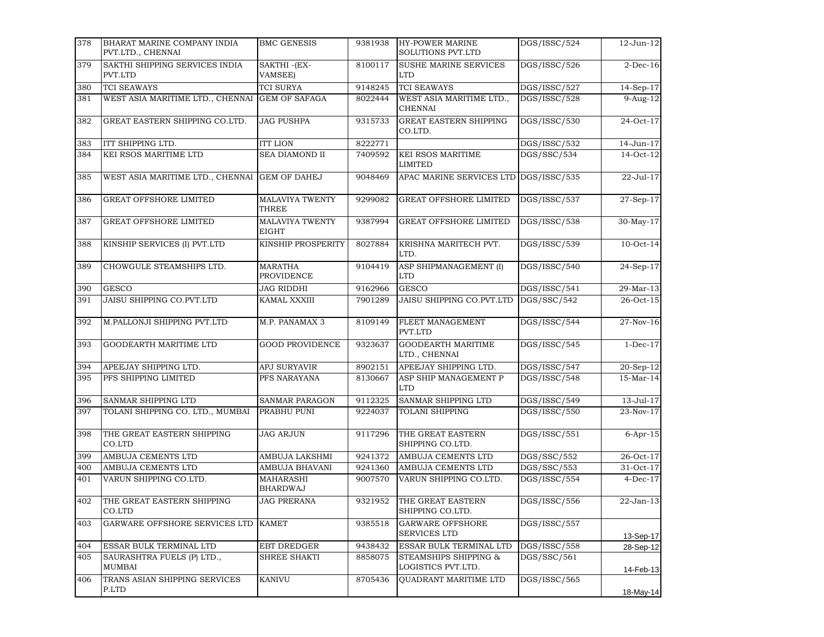| 378 | BHARAT MARINE COMPANY INDIA<br>PVT.LTD., CHENNAI | <b>BMC GENESIS</b>                  | 9381938 | <b>HY-POWER MARINE</b><br>SOLUTIONS PVT.LTD   | DGS/ISSC/524 | 12-Jun-12   |
|-----|--------------------------------------------------|-------------------------------------|---------|-----------------------------------------------|--------------|-------------|
| 379 | SAKTHI SHIPPING SERVICES INDIA<br>PVT.LTD        | SAKTHI-(EX-<br>VAMSEE)              | 8100117 | <b>SUSHE MARINE SERVICES</b><br><b>LTD</b>    | DGS/ISSC/526 | $2$ -Dec-16 |
| 380 | <b>TCI SEAWAYS</b>                               | <b>TCI SURYA</b>                    | 9148245 | <b>TCI SEAWAYS</b>                            | DGS/ISSC/527 | 14-Sep-17   |
| 381 | WEST ASIA MARITIME LTD., CHENNAI                 | <b>GEM OF SAFAGA</b>                | 8022444 | WEST ASIA MARITIME LTD.,<br><b>CHENNAI</b>    | DGS/ISSC/528 | $9-Aug-12$  |
| 382 | GREAT EASTERN SHIPPING CO.LTD.                   | <b>JAG PUSHPA</b>                   | 9315733 | <b>GREAT EASTERN SHIPPING</b><br>CO.LTD.      | DGS/ISSC/530 | 24-Oct-17   |
| 383 | ITT SHIPPING LTD.                                | <b>ITT LION</b>                     | 8222771 |                                               | DGS/ISSC/532 | 14-Jun-17   |
| 384 | KEI RSOS MARITIME LTD                            | <b>SEA DIAMOND II</b>               | 7409592 | <b>KEI RSOS MARITIME</b><br><b>LIMITED</b>    | DGS/SSC/534  | $14-Oct-12$ |
| 385 | WEST ASIA MARITIME LTD., CHENNAI                 | <b>GEM OF DAHEJ</b>                 | 9048469 | APAC MARINE SERVICES LTD                      | DGS/ISSC/535 | 22-Jul-17   |
| 386 | <b>GREAT OFFSHORE LIMITED</b>                    | MALAVIYA TWENTY<br>THREE            | 9299082 | <b>GREAT OFFSHORE LIMITED</b>                 | DGS/ISSC/537 | 27-Sep-17   |
| 387 | GREAT OFFSHORE LIMITED                           | MALAVIYA TWENTY<br><b>EIGHT</b>     | 9387994 | <b>GREAT OFFSHORE LIMITED</b>                 | DGS/ISSC/538 | 30-May-17   |
| 388 | KINSHIP SERVICES (I) PVT.LTD                     | KINSHIP PROSPERITY                  | 8027884 | KRISHNA MARITECH PVT.<br>LTD.                 | DGS/ISSC/539 | 10-Oct-14   |
| 389 | CHOWGULE STEAMSHIPS LTD.                         | <b>MARATHA</b><br>PROVIDENCE        | 9104419 | ASP SHIPMANAGEMENT (I)<br><b>LTD</b>          | DGS/ISSC/540 | 24-Sep-17   |
| 390 | <b>GESCO</b>                                     | <b>JAG RIDDHI</b>                   | 9162966 | <b>GESCO</b>                                  | DGS/ISSC/541 | 29-Mar-13   |
| 391 | JAISU SHIPPING CO.PVT.LTD                        | KAMAL XXXIII                        | 7901289 | JAISU SHIPPING CO.PVT.LTD                     | DGS/SSC/542  | 26-Oct-15   |
| 392 | M.PALLONJI SHIPPING PVT.LTD                      | M.P. PANAMAX 3                      | 8109149 | FLEET MANAGEMENT<br>PVT.LTD                   | DGS/ISSC/544 | $27-Nov-16$ |
| 393 | GOODEARTH MARITIME LTD                           | <b>GOOD PROVIDENCE</b>              | 9323637 | <b>GOODEARTH MARITIME</b><br>LTD., CHENNAI    | DGS/ISSC/545 | $1-Dec-17$  |
| 394 | APEEJAY SHIPPING LTD.                            | APJ SURYAVIR                        | 8902151 | APEEJAY SHIPPING LTD.                         | DGS/ISSC/547 | 20-Sep-12   |
| 395 | PFS SHIPPING LIMITED                             | PFS NARAYANA                        | 8130667 | ASP SHIP MANAGEMENT P<br><b>LTD</b>           | DGS/ISSC/548 | 15-Mar-14   |
| 396 | SANMAR SHIPPING LTD                              | <b>SANMAR PARAGON</b>               | 9112325 | SANMAR SHIPPING LTD                           | DGS/ISSC/549 | 13-Jul-17   |
| 397 | TOLANI SHIPPING CO. LTD., MUMBAI                 | PRABHU PUNI                         | 9224037 | <b>TOLANI SHIPPING</b>                        | DGS/ISSC/550 | 23-Nov-17   |
| 398 | THE GREAT EASTERN SHIPPING<br>CO.LTD             | <b>JAG ARJUN</b>                    | 9117296 | THE GREAT EASTERN<br>SHIPPING CO.LTD.         | DGS/ISSC/551 | $6-Apr-15$  |
| 399 | AMBUJA CEMENTS LTD                               | AMBUJA LAKSHMI                      | 9241372 | AMBUJA CEMENTS LTD                            | DGS/SSC/552  | 26-Oct-17   |
| 400 | AMBUJA CEMENTS LTD                               | AMBUJA BHAVANI                      | 9241360 | AMBUJA CEMENTS LTD                            | DGS/SSC/553  | 31-Oct-17   |
| 401 | VARUN SHIPPING CO.LTD.                           | <b>MAHARASHI</b><br><b>BHARDWAJ</b> | 9007570 | VARUN SHIPPING CO.LTD.                        | DGS/ISSC/554 | $4-Dec-17$  |
| 402 | THE GREAT EASTERN SHIPPING<br>CO.LTD             | <b>JAG PRERANA</b>                  |         | 9321952 THE GREAT EASTERN<br>SHIPPING CO.LTD. | DGS/ISSC/556 | 22-Jan-13   |
| 403 | GARWARE OFFSHORE SERVICES LTD KAMET              |                                     | 9385518 | <b>GARWARE OFFSHORE</b><br>SERVICES LTD       | DGS/ISSC/557 | 13-Sep-17   |
| 404 | ESSAR BULK TERMINAL LTD                          | EBT DREDGER                         | 9438432 | ESSAR BULK TERMINAL LTD                       | DGS/ISSC/558 | 28-Sep-12   |
| 405 | SAURASHTRA FUELS (P) LTD.,<br>MUMBAI             | SHREE SHAKTI                        | 8858075 | STEAMSHIPS SHIPPING &<br>LOGISTICS PVT.LTD.   | DGS/SSC/561  | 14-Feb-13   |
| 406 | TRANS ASIAN SHIPPING SERVICES<br>P.LTD           | <b>KANIVU</b>                       | 8705436 | <b>OUADRANT MARITIME LTD</b>                  | DGS/ISSC/565 | 18-May-14   |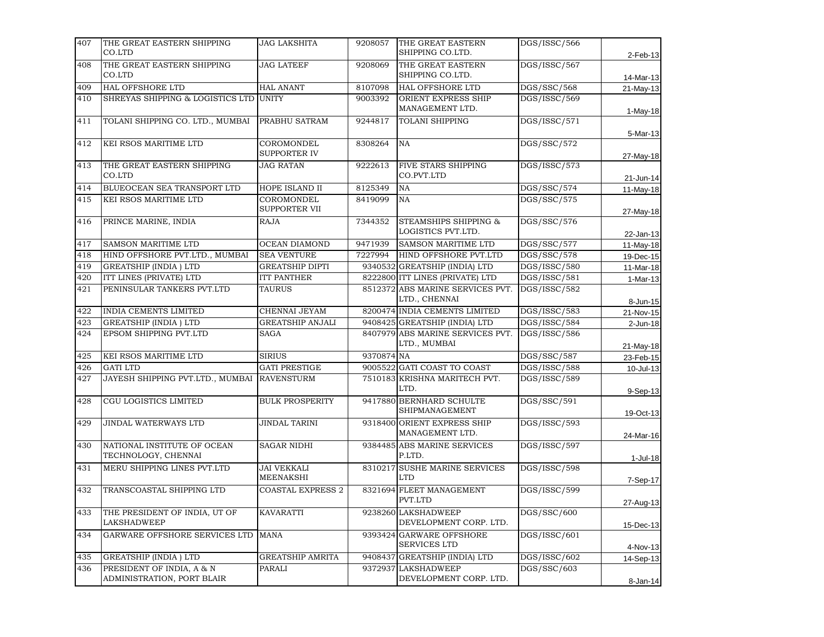| THE GREAT EASTERN SHIPPING<br>CO.LTD                    | <b>JAG LAKSHITA</b>                                     | 9208057                              | SHIPPING CO.LTD.                            | DGS/ISSC/566                                                                                                                                                                                                                                                                                                                                                                                                                                                                                                                                                                                                                         | 2-Feb-13                    |
|---------------------------------------------------------|---------------------------------------------------------|--------------------------------------|---------------------------------------------|--------------------------------------------------------------------------------------------------------------------------------------------------------------------------------------------------------------------------------------------------------------------------------------------------------------------------------------------------------------------------------------------------------------------------------------------------------------------------------------------------------------------------------------------------------------------------------------------------------------------------------------|-----------------------------|
| THE GREAT EASTERN SHIPPING<br>CO.LTD                    | <b>JAG LATEEF</b>                                       | 9208069                              | THE GREAT EASTERN                           | DGS/ISSC/567                                                                                                                                                                                                                                                                                                                                                                                                                                                                                                                                                                                                                         | 14-Mar-13                   |
|                                                         |                                                         |                                      |                                             |                                                                                                                                                                                                                                                                                                                                                                                                                                                                                                                                                                                                                                      | 21-May-13                   |
| SHREYAS SHIPPING & LOGISTICS LTD                        | <b>UNITY</b>                                            | 9003392                              | ORIENT EXPRESS SHIP<br>MANAGEMENT LTD.      | DGS/ISSC/569                                                                                                                                                                                                                                                                                                                                                                                                                                                                                                                                                                                                                         | 1-May-18                    |
| TOLANI SHIPPING CO. LTD., MUMBAI                        | PRABHU SATRAM                                           | 9244817                              | TOLANI SHIPPING                             | DGS/ISSC/571                                                                                                                                                                                                                                                                                                                                                                                                                                                                                                                                                                                                                         | 5-Mar-13                    |
| KEI RSOS MARITIME LTD                                   | COROMONDEL<br>SUPPORTER IV                              | 8308264                              |                                             | DGS/SSC/572                                                                                                                                                                                                                                                                                                                                                                                                                                                                                                                                                                                                                          | 27-May-18                   |
| THE GREAT EASTERN SHIPPING<br>CO.LTD                    | <b>JAG RATAN</b>                                        | 9222613                              | FIVE STARS SHIPPING<br>CO.PVT.LTD           | DGS/ISSC/573                                                                                                                                                                                                                                                                                                                                                                                                                                                                                                                                                                                                                         | 21-Jun-14                   |
| BLUEOCEAN SEA TRANSPORT LTD                             | HOPE ISLAND II                                          | 8125349                              | NA                                          | DGS/SSC/574                                                                                                                                                                                                                                                                                                                                                                                                                                                                                                                                                                                                                          | 11-May-18                   |
| KEI RSOS MARITIME LTD                                   | COROMONDEL<br>SUPPORTER VII                             | 8419099                              | <b>NA</b>                                   | DGS/SSC/575                                                                                                                                                                                                                                                                                                                                                                                                                                                                                                                                                                                                                          | 27-May-18                   |
| PRINCE MARINE, INDIA                                    | <b>RAJA</b>                                             | 7344352                              | STEAMSHIPS SHIPPING &<br>LOGISTICS PVT.LTD. | DGS/SSC/576                                                                                                                                                                                                                                                                                                                                                                                                                                                                                                                                                                                                                          | 22-Jan-13                   |
| SAMSON MARITIME LTD                                     | OCEAN DIAMOND                                           | 9471939                              | SAMSON MARITIME LTD                         | DGS/SSC/577                                                                                                                                                                                                                                                                                                                                                                                                                                                                                                                                                                                                                          | 11-May-18                   |
| HIND OFFSHORE PVT.LTD., MUMBAI                          | <b>SEA VENTURE</b>                                      | 7227994                              | HIND OFFSHORE PVT.LTD                       | DGS/SSC/578                                                                                                                                                                                                                                                                                                                                                                                                                                                                                                                                                                                                                          | 19-Dec-15                   |
| <b>GREATSHIP (INDIA) LTD</b>                            | <b>GREATSHIP DIPTI</b>                                  |                                      |                                             | DGS/ISSC/580                                                                                                                                                                                                                                                                                                                                                                                                                                                                                                                                                                                                                         | $11-Mar-18$                 |
| ITT LINES (PRIVATE) LTD                                 | <b>ITT PANTHER</b>                                      |                                      |                                             | DGS/ISSC/581                                                                                                                                                                                                                                                                                                                                                                                                                                                                                                                                                                                                                         | 1-Mar-13                    |
| PENINSULAR TANKERS PVT.LTD                              | <b>TAURUS</b>                                           |                                      | LTD., CHENNAI                               | DGS/ISSC/582                                                                                                                                                                                                                                                                                                                                                                                                                                                                                                                                                                                                                         | 8-Jun-15                    |
| INDIA CEMENTS LIMITED                                   | CHENNAI JEYAM                                           |                                      |                                             | DGS/ISSC/583                                                                                                                                                                                                                                                                                                                                                                                                                                                                                                                                                                                                                         | 21-Nov-15                   |
| <b>GREATSHIP (INDIA) LTD</b>                            | <b>GREATSHIP ANJALI</b>                                 |                                      |                                             | DGS/ISSC/584                                                                                                                                                                                                                                                                                                                                                                                                                                                                                                                                                                                                                         | $2$ -Jun-18                 |
| EPSOM SHIPPING PVT.LTD                                  | SAGA                                                    |                                      | LTD., MUMBAI                                | DGS/ISSC/586                                                                                                                                                                                                                                                                                                                                                                                                                                                                                                                                                                                                                         | 21-May-18                   |
| KEI RSOS MARITIME LTD                                   | <b>SIRIUS</b>                                           |                                      |                                             | DGS/SSC/587                                                                                                                                                                                                                                                                                                                                                                                                                                                                                                                                                                                                                          | 23-Feb-15                   |
| <b>GATI LTD</b>                                         | <b>GATI PRESTIGE</b>                                    |                                      |                                             | DGS/ISSC/588                                                                                                                                                                                                                                                                                                                                                                                                                                                                                                                                                                                                                         | 10-Jul-13                   |
| JAYESH SHIPPING PVT.LTD., MUMBAI                        | <b>RAVENSTURM</b>                                       |                                      | LTD.                                        | DGS/ISSC/589                                                                                                                                                                                                                                                                                                                                                                                                                                                                                                                                                                                                                         | 9-Sep-13                    |
| CGU LOGISTICS LIMITED                                   | <b>BULK PROSPERITY</b>                                  |                                      | SHIPMANAGEMENT                              | DGS/SSC/591                                                                                                                                                                                                                                                                                                                                                                                                                                                                                                                                                                                                                          | 19-Oct-13                   |
| <b>JINDAL WATERWAYS LTD</b>                             | <b>JINDAL TARINI</b>                                    |                                      | MANAGEMENT LTD.                             | DGS/ISSC/593                                                                                                                                                                                                                                                                                                                                                                                                                                                                                                                                                                                                                         | 24-Mar-16                   |
| NATIONAL INSTITUTE OF OCEAN<br>TECHNOLOGY, CHENNAI      | <b>SAGAR NIDHI</b>                                      |                                      | P.LTD.                                      | DGS/ISSC/597                                                                                                                                                                                                                                                                                                                                                                                                                                                                                                                                                                                                                         | $1-Jul-18$                  |
| MERU SHIPPING LINES PVT.LTD                             | <b>JAI VEKKALI</b><br><b>MEENAKSHI</b>                  |                                      | <b>LTD</b>                                  | DGS/ISSC/598                                                                                                                                                                                                                                                                                                                                                                                                                                                                                                                                                                                                                         | 7-Sep-17                    |
| TRANSCOASTAL SHIPPING LTD                               | <b>COASTAL EXPRESS 2</b>                                |                                      | PVT.LTD                                     | DGS/ISSC/599                                                                                                                                                                                                                                                                                                                                                                                                                                                                                                                                                                                                                         | 27-Aug-13                   |
| THE PRESIDENT OF INDIA, UT OF<br>LAKSHADWEEP            | <b>KAVARATTI</b>                                        |                                      | DEVELOPMENT CORP. LTD.                      | DGS/SSC/600                                                                                                                                                                                                                                                                                                                                                                                                                                                                                                                                                                                                                          | 15-Dec-13                   |
| GARWARE OFFSHORE SERVICES LTD                           | <b>MANA</b>                                             |                                      | <b>SERVICES LTD</b>                         | DGS/ISSC/601                                                                                                                                                                                                                                                                                                                                                                                                                                                                                                                                                                                                                         | 4-Nov-13                    |
|                                                         |                                                         |                                      |                                             |                                                                                                                                                                                                                                                                                                                                                                                                                                                                                                                                                                                                                                      | 14-Sep-13                   |
| PRESIDENT OF INDIA, A & N<br>ADMINISTRATION, PORT BLAIR | PARALI                                                  |                                      | DEVELOPMENT CORP. LTD.                      | DGS/SSC/603                                                                                                                                                                                                                                                                                                                                                                                                                                                                                                                                                                                                                          | 8-Jan-14                    |
|                                                         | <b>HAL OFFSHORE LTD</b><br><b>GREATSHIP (INDIA) LTD</b> | <b>HAL ANANT</b><br>GREATSHIP AMRITA | 8107098                                     | THE GREAT EASTERN<br>SHIPPING CO.LTD.<br><b>HAL OFFSHORE LTD</b><br>NA<br>9340532 GREATSHIP (INDIA) LTD<br>8222800 ITT LINES (PRIVATE) LTD<br>8512372 ABS MARINE SERVICES PVT.<br>8200474 INDIA CEMENTS LIMITED<br>9408425 GREATSHIP (INDIA) LTD<br>8407979 ABS MARINE SERVICES PVT.<br>9370874 NA<br>9005522 GATI COAST TO COAST<br>7510183 KRISHNA MARITECH PVT.<br>9417880 BERNHARD SCHULTE<br>9318400 ORIENT EXPRESS SHIP<br>9384485 ABS MARINE SERVICES<br>8310217 SUSHE MARINE SERVICES<br>8321694 FLEET MANAGEMENT<br>9238260 LAKSHADWEEP<br>9393424 GARWARE OFFSHORE<br>9408437 GREATSHIP (INDIA) LTD<br>9372937 LAKSHADWEEP | DGS/SSC/568<br>DGS/ISSC/602 |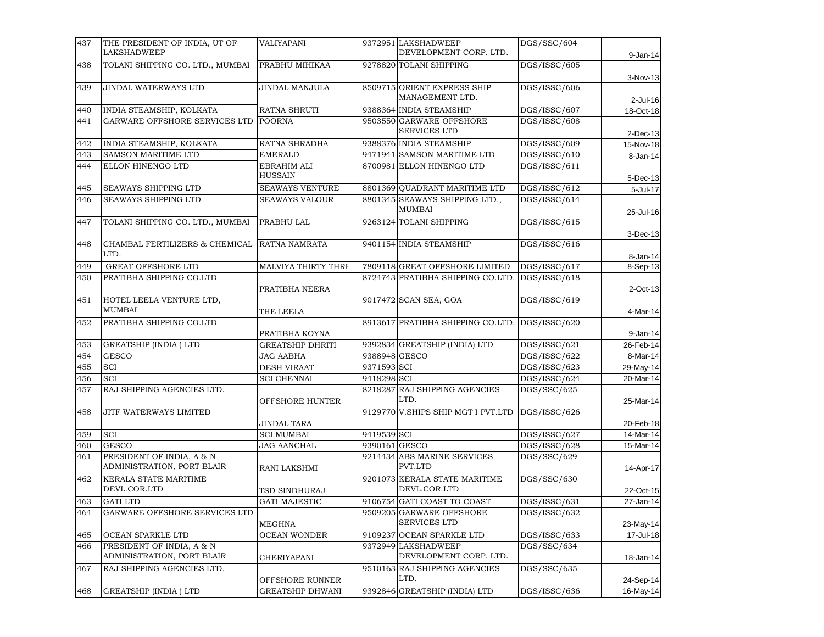| 437 | THE PRESIDENT OF INDIA, UT OF    | VALIYAPANI                    |               | 9372951 LAKSHADWEEP                             | DGS/SSC/604  |              |
|-----|----------------------------------|-------------------------------|---------------|-------------------------------------------------|--------------|--------------|
|     | <b>LAKSHADWEEP</b>               |                               |               | DEVELOPMENT CORP. LTD.                          |              | $9 - Jan-14$ |
| 438 | TOLANI SHIPPING CO. LTD., MUMBAI | PRABHU MIHIKAA                |               | 9278820 TOLANI SHIPPING                         | DGS/ISSC/605 |              |
|     |                                  |                               |               |                                                 |              | 3-Nov-13     |
| 439 | JINDAL WATERWAYS LTD             | JINDAL MANJULA                |               | 8509715 ORIENT EXPRESS SHIP<br>MANAGEMENT LTD.  | DGS/ISSC/606 |              |
|     |                                  |                               |               |                                                 |              | $2$ -Jul-16  |
| 440 | INDIA STEAMSHIP, KOLKATA         | RATNA SHRUTI                  |               | 9388364 INDIA STEAMSHIP                         | DGS/ISSC/607 | 18-Oct-18    |
| 441 | GARWARE OFFSHORE SERVICES LTD    | <b>POORNA</b>                 |               | 9503550 GARWARE OFFSHORE<br><b>SERVICES LTD</b> | DGS/ISSC/608 | $2$ -Dec-13  |
| 442 | INDIA STEAMSHIP, KOLKATA         | RATNA SHRADHA                 |               | 9388376 INDIA STEAMSHIP                         | DGS/ISSC/609 | 15-Nov-18    |
| 443 | <b>SAMSON MARITIME LTD</b>       | <b>EMERALD</b>                |               | 9471941 SAMSON MARITIME LTD                     | DGS/ISSC/610 | 8-Jan-14     |
| 444 | ELLON HINENGO LTD                | EBRAHIM ALI<br><b>HUSSAIN</b> |               | 8700981 ELLON HINENGO LTD                       | DGS/ISSC/611 | 5-Dec-13     |
| 445 | SEAWAYS SHIPPING LTD             | <b>SEAWAYS VENTURE</b>        |               | 8801369 QUADRANT MARITIME LTD                   | DGS/ISSC/612 | 5-Jul-17     |
| 446 | SEAWAYS SHIPPING LTD             | <b>SEAWAYS VALOUR</b>         |               | 8801345 SEAWAYS SHIPPING LTD.,                  | DGS/ISSC/614 |              |
|     |                                  |                               |               | MUMBAI                                          |              | 25-Jul-16    |
| 447 | TOLANI SHIPPING CO. LTD., MUMBAI | PRABHU LAL                    |               | 9263124 TOLANI SHIPPING                         | DGS/ISSC/615 |              |
|     |                                  |                               |               |                                                 |              | 3-Dec-13     |
| 448 | CHAMBAL FERTILIZERS & CHEMICAL   | RATNA NAMRATA                 |               | 9401154 INDIA STEAMSHIP                         | DGS/ISSC/616 |              |
|     | LTD.                             |                               |               |                                                 |              | 8-Jan-14     |
| 449 | <b>GREAT OFFSHORE LTD</b>        | MALVIYA THIRTY THRI           |               | 7809118 GREAT OFFSHORE LIMITED                  | DGS/ISSC/617 | 8-Sep-13     |
| 450 | PRATIBHA SHIPPING CO.LTD         |                               |               | 8724743 PRATIBHA SHIPPING CO.LTD.               | DGS/ISSC/618 |              |
|     |                                  | PRATIBHA NEERA                |               |                                                 |              | 2-Oct-13     |
| 451 | HOTEL LEELA VENTURE LTD,         |                               |               | 9017472 SCAN SEA, GOA                           | DGS/ISSC/619 |              |
|     | MUMBAI                           | THE LEELA                     |               |                                                 |              | 4-Mar-14     |
| 452 | PRATIBHA SHIPPING CO.LTD         |                               |               | 8913617 PRATIBHA SHIPPING CO.LTD.               | DGS/ISSC/620 |              |
|     |                                  | PRATIBHA KOYNA                |               |                                                 |              | $9 - Jan-14$ |
| 453 | <b>GREATSHIP (INDIA) LTD</b>     | <b>GREATSHIP DHRITI</b>       |               | 9392834 GREATSHIP (INDIA) LTD                   | DGS/ISSC/621 | 26-Feb-14    |
| 454 | <b>GESCO</b>                     | <b>JAG AABHA</b>              | 9388948 GESCO |                                                 | DGS/ISSC/622 | 8-Mar-14     |
| 455 | SCI                              | <b>DESH VIRAAT</b>            | 9371593 SCI   |                                                 | DGS/ISSC/623 | 29-May-14    |
| 456 | SCI                              | <b>SCI CHENNAI</b>            | 9418298 SCI   |                                                 | DGS/ISSC/624 | 20-Mar-14    |
| 457 | RAJ SHIPPING AGENCIES LTD.       |                               |               | 8218287 RAJ SHIPPING AGENCIES                   | DGS/SSC/625  |              |
|     |                                  | OFFSHORE HUNTER               |               | LTD.                                            |              | 25-Mar-14    |
| 458 | JITF WATERWAYS LIMITED           |                               |               | 9129770 V.SHIPS SHIP MGT I PVT.LTD              | DGS/ISSC/626 |              |
|     |                                  | JINDAL TARA                   |               |                                                 |              | 20-Feb-18    |
| 459 | SCI                              | <b>SCI MUMBAI</b>             | 9419539 SCI   |                                                 | DGS/ISSC/627 | 14-Mar-14    |
| 460 | <b>GESCO</b>                     | <b>JAG AANCHAL</b>            | 9390161 GESCO |                                                 | DGS/ISSC/628 | 15-Mar-14    |
| 461 | PRESIDENT OF INDIA, A & N        |                               |               | 9214434 ABS MARINE SERVICES                     | DGS/SSC/629  |              |
|     | ADMINISTRATION, PORT BLAIR       | RANI LAKSHMI                  |               | PVT.LTD                                         |              | 14-Apr-17    |
| 462 | KERALA STATE MARITIME            |                               |               | 9201073 KERALA STATE MARITIME                   | DGS/SSC/630  |              |
|     | DEVL.COR.LTD                     | TSD SINDHURAJ                 |               | DEVL.COR.LTD                                    |              | 22-Oct-15    |
| 463 | <b>GATI LTD</b>                  | <b>GATI MAJESTIC</b>          |               | 9106754 GATI COAST TO COAST                     | DGS/ISSC/631 | 27-Jan-14    |
| 464 | GARWARE OFFSHORE SERVICES LTD    |                               |               | 9509205 GARWARE OFFSHORE                        | DGS/ISSC/632 |              |
|     |                                  | <b>MEGHNA</b>                 |               | SERVICES LTD                                    |              | 23-May-14    |
| 465 | OCEAN SPARKLE LTD                | <b>OCEAN WONDER</b>           |               | 9109237 OCEAN SPARKLE LTD                       | DGS/ISSC/633 | 17-Jul-18    |
| 466 | PRESIDENT OF INDIA, A & N        |                               |               | 9372949 LAKSHADWEEP                             | DGS/SSC/634  |              |
|     | ADMINISTRATION, PORT BLAIR       | CHERIYAPANI                   |               | DEVELOPMENT CORP. LTD.                          |              | 18-Jan-14    |
| 467 | RAJ SHIPPING AGENCIES LTD.       |                               |               | 9510163 RAJ SHIPPING AGENCIES                   | DGS/SSC/635  |              |
|     |                                  | OFFSHORE RUNNER               |               | LTD.                                            |              | 24-Sep-14    |
| 468 | <b>GREATSHIP (INDIA) LTD</b>     | <b>GREATSHIP DHWANI</b>       |               | 9392846 GREATSHIP (INDIA) LTD                   | DGS/ISSC/636 | 16-May-14    |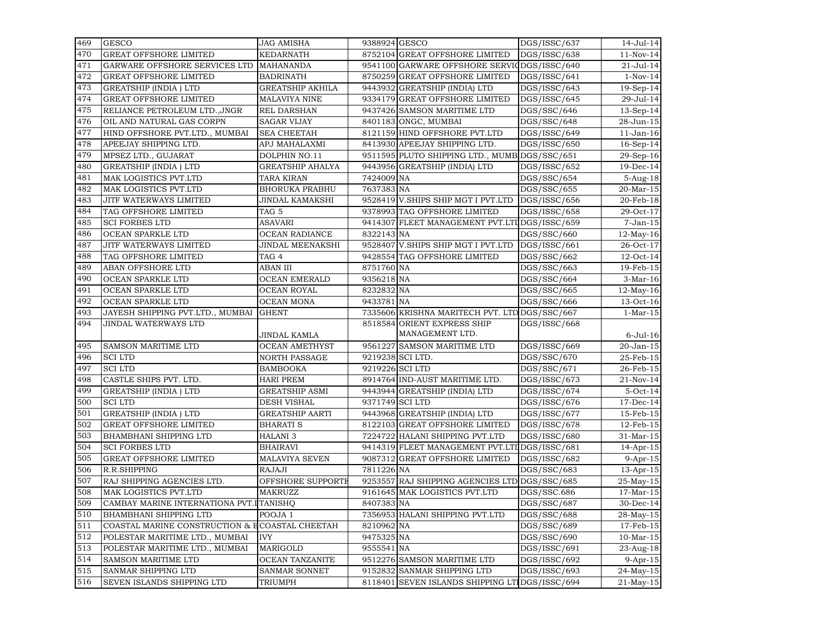| 469 | <b>GESCO</b>                                   | JAG AMISHA              | 9388924 GESCO   |                                                | DGS/ISSC/637              | 14-Jul-14               |
|-----|------------------------------------------------|-------------------------|-----------------|------------------------------------------------|---------------------------|-------------------------|
| 470 | <b>GREAT OFFSHORE LIMITED</b>                  | <b>KEDARNATH</b>        |                 | 8752104 GREAT OFFSHORE LIMITED                 | DGS/ISSC/638              | 11-Nov-14               |
| 471 | GARWARE OFFSHORE SERVICES LTD                  | <b>MAHANANDA</b>        |                 | 9541100 GARWARE OFFSHORE SERVIC                | DGS/ISSC/640              | 21-Jul-14               |
| 472 | <b>GREAT OFFSHORE LIMITED</b>                  | <b>BADRINATH</b>        |                 | 8750259 GREAT OFFSHORE LIMITED                 | DGS/ISSC/641              | $1-Nov-14$              |
| 473 | <b>GREATSHIP (INDIA) LTD</b>                   | <b>GREATSHIP AKHILA</b> |                 | 9443932 GREATSHIP (INDIA) LTD                  | DGS/ISSC/643              | $19-Sep-14$             |
| 474 | <b>GREAT OFFSHORE LIMITED</b>                  | <b>MALAVIYA NINE</b>    |                 | 9334179 GREAT OFFSHORE LIMITED                 | DGS/ISSC/645              | 29-Jul-14               |
| 475 | RELIANCE PETROLEUM LTD., JNGR                  | REL DARSHAN             |                 | 9437426 SAMSON MARITIME LTD                    | DGS/SSC/646               | $13-Sep-14$             |
| 476 | OIL AND NATURAL GAS CORPN                      | <b>SAGAR VIJAY</b>      |                 | 8401183 ONGC, MUMBAI                           | DGS/SSC/648               | 28-Jun-15               |
| 477 | HIND OFFSHORE PVT.LTD., MUMBAI                 | <b>SEA CHEETAH</b>      |                 | 8121159 HIND OFFSHORE PVT.LTD                  | DGS/ISSC/649              | $11$ -Jan- $16$         |
| 478 | APEEJAY SHIPPING LTD.                          | APJ MAHALAXMI           |                 | 8413930 APEEJAY SHIPPING LTD.                  | DGS/ISSC/650              | $16$ -Sep- $14$         |
| 479 | MPSEZ LTD., GUJARAT                            | DOLPHIN NO.11           |                 | 9511595 PLUTO SHIPPING LTD., MUMB DGS/SSC/651  |                           | 29-Sep-16               |
| 480 | <b>GREATSHIP (INDIA) LTD</b>                   | <b>GREATSHIP AHALYA</b> |                 | 9443956 GREATSHIP (INDIA) LTD                  | DGS/ISSC/652              | 19-Dec-14               |
| 481 | MAK LOGISTICS PVT.LTD                          | TARA KIRAN              | 7424009 NA      |                                                | DGS/SSC/654               | 5-Aug-18                |
| 482 | MAK LOGISTICS PVT.LTD                          | <b>BHORUKA PRABHU</b>   | 7637383 NA      |                                                | DGS/SSC/655               | 20-Mar-15               |
| 483 | JITF WATERWAYS LIMITED                         | JINDAL KAMAKSHI         |                 | 9528419 V.SHIPS SHIP MGT I PVT.LTD             | DGS/ISSC/656              | 20-Feb-18               |
| 484 | TAG OFFSHORE LIMITED                           | TAG 5                   |                 | 9378993 TAG OFFSHORE LIMITED                   | DGS/ISSC/658              | 29-Oct-17               |
| 485 | <b>SCI FORBES LTD</b>                          | ASAVARI                 |                 | 9414307 FLEET MANAGEMENT PVT.LTI DGS/ISSC/659  |                           | $7-Jan-15$              |
| 486 | OCEAN SPARKLE LTD                              | OCEAN RADIANCE          | 8322143 NA      |                                                | DGS/SSC/660               | $\overline{12}$ -May-16 |
| 487 | JITF WATERWAYS LIMITED                         | JINDAL MEENAKSHI        |                 | 9528407 V.SHIPS SHIP MGT I PVT.LTD             | DGS/ISSC/661              | 26-Oct-17               |
| 488 | TAG OFFSHORE LIMITED                           | TAG 4                   |                 | 9428554 TAG OFFSHORE LIMITED                   | DGS/SSC/662               | $12$ -Oct-14            |
| 489 | ABAN OFFSHORE LTD                              | ABAN III                | 8751760 NA      |                                                | DGS/SSC/663               | 19-Feb-15               |
| 490 | OCEAN SPARKLE LTD                              | <b>OCEAN EMERALD</b>    | 9356218 NA      |                                                | DGS/SSC/664               | $3-Mar-16$              |
| 491 | OCEAN SPARKLE LTD                              | <b>OCEAN ROYAL</b>      | 8232832 NA      |                                                | DGS/SSC/665               | $12$ -May-16            |
| 492 | <b>OCEAN SPARKLE LTD</b>                       | <b>OCEAN MONA</b>       | 9433781 NA      |                                                | DGS/SSC/666               | 13-Oct-16               |
| 493 | JAYESH SHIPPING PVT.LTD., MUMBAI               | <b>GHENT</b>            |                 | 7335606 KRISHNA MARITECH PVT. LTD DGS/SSC/667  |                           | $1-Mar-15$              |
| 494 | JINDAL WATERWAYS LTD                           |                         |                 | 8518584 ORIENT EXPRESS SHIP                    | DGS/ISSC/668              |                         |
|     |                                                | JINDAL KAMLA            |                 | MANAGEMENT LTD.                                |                           | $6$ -Jul-16             |
| 495 | <b>SAMSON MARITIME LTD</b>                     | <b>OCEAN AMETHYST</b>   |                 | 9561227 SAMSON MARITIME LTD                    | DGS/ISSC/669              | 20-Jan-15               |
| 496 | <b>SCILTD</b>                                  | <b>NORTH PASSAGE</b>    |                 | 9219238 SCI LTD.                               | DGS/SSC/670               | 25-Feb-15               |
| 497 | <b>SCILTD</b>                                  | BAMBOOKA                |                 | 9219226 SCI LTD                                | DGS/SSC/671               | 26-Feb-15               |
| 498 | CASTLE SHIPS PVT. LTD.                         | <b>HARI PREM</b>        |                 | 8914764 IND-AUST MARITIME LTD.                 | $\overline{DGS}/ISSC/673$ | 21-Nov-14               |
| 499 | <b>GREATSHIP (INDIA) LTD</b>                   | <b>GREATSHIP ASMI</b>   |                 | 9443944 GREATSHIP (INDIA) LTD                  | DGS/ISSC/674              | $5-Oct-14$              |
| 500 | <b>SCILTD</b>                                  | <b>DESH VISHAL</b>      | 9371749 SCI LTD |                                                | DGS/ISSC/676              | 17-Dec-14               |
| 501 | <b>GREATSHIP (INDIA) LTD</b>                   | <b>GREATSHIP AARTI</b>  |                 | 9443968 GREATSHIP (INDIA) LTD                  | DGS/ISSC/677              | 15-Feb-15               |
| 502 | <b>GREAT OFFSHORE LIMITED</b>                  | <b>BHARATI S</b>        |                 | 8122103 GREAT OFFSHORE LIMITED                 | DGS/ISSC/678              | $12$ -Feb- $15$         |
| 503 | <b>BHAMBHANI SHIPPING LTD</b>                  | <b>HALANI3</b>          |                 | 7224722 HALANI SHIPPING PVT.LTD                | DGS/ISSC/680              | 31-Mar-15               |
| 504 | <b>SCI FORBES LTD</b>                          | BHAIRAVI                |                 | 9414319 FLEET MANAGEMENT PVT.LTI DGS/ISSC/681  |                           | $14$ -Apr-15            |
| 505 | <b>GREAT OFFSHORE LIMITED</b>                  | <b>MALAVIYA SEVEN</b>   |                 | 9087312 GREAT OFFSHORE LIMITED                 | DGS/ISSC/682              | $9$ -Apr-15             |
| 506 | R.R.SHIPPING                                   | RAJAJI                  | 7811226 NA      |                                                | DGS/SSC/683               | $13$ -Apr- $15$         |
| 507 | RAJ SHIPPING AGENCIES LTD.                     | OFFSHORE SUPPORTE       |                 | 9253557 RAJ SHIPPING AGENCIES LTD DGS/SSC/685  |                           | 25-May-15               |
| 508 | MAK LOGISTICS PVT.LTD                          | <b>MAKRUZZ</b>          |                 | 9161645 MAK LOGISTICS PVT.LTD                  | DGS/SSC.686               | $17-Mar-15$             |
| 509 | CAMBAY MARINE INTERNATIONA PVT.ITANISHQ        |                         | 8407383 NA      |                                                | DGS/SSC/687               | 30-Dec-14               |
| 510 | <b>BHAMBHANI SHIPPING LTD</b>                  | POOJA 1                 |                 | 7356953 HALANI SHIPPING PVT.LTD                | DGS/SSC/688               | 28-May-15               |
| 511 | COASTAL MARINE CONSTRUCTION & ECOASTAL CHEETAH |                         | 8210962 NA      |                                                | DGS/SSC/689               | 17-Feb-15               |
| 512 | POLESTAR MARITIME LTD., MUMBAI                 | <b>IVY</b>              | 9475325 NA      |                                                | DGS/SSC/690               | $10-Mar-15$             |
| 513 | POLESTAR MARITIME LTD., MUMBAI                 | <b>MARIGOLD</b>         | 9555541 NA      |                                                | DGS/ISSC/691              | 23-Aug-18               |
| 514 | SAMSON MARITIME LTD                            | OCEAN TANZANITE         |                 | 9512276 SAMSON MARITIME LTD                    | DGS/ISSC/692              | $9-Apr-15$              |
| 515 | SANMAR SHIPPING LTD                            | SANMAR SONNET           |                 | 9152832 SANMAR SHIPPING LTD                    | DGS/ISSC/693              | 24-May-15               |
| 516 | SEVEN ISLANDS SHIPPING LTD                     | TRIUMPH                 |                 | 8118401 SEVEN ISLANDS SHIPPING LT DGS/ISSC/694 |                           | $21$ -May-15            |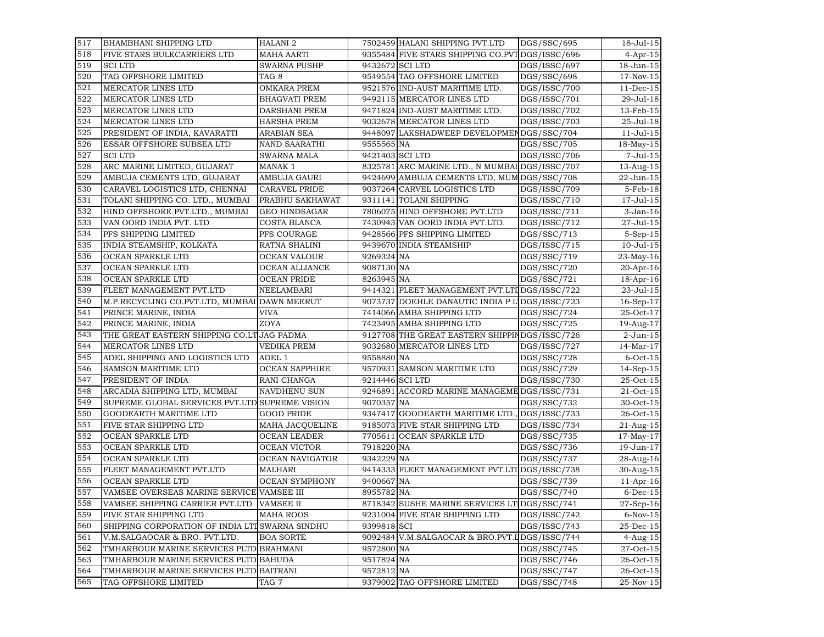| 517 | <b>BHAMBHANI SHIPPING LTD</b>                   | <b>HALANI 2</b>       |                 | 7502459 HALANI SHIPPING PVT.LTD                 | DGS/SSC/695  | $18 -$ Jul $-15$ |
|-----|-------------------------------------------------|-----------------------|-----------------|-------------------------------------------------|--------------|------------------|
| 518 | FIVE STARS BULKCARRIERS LTD                     | <b>MAHA AARTI</b>     |                 | 9355484 FIVE STARS SHIPPING CO.PVT DGS/ISSC/696 |              | $4$ -Apr-15      |
| 519 | <b>SCILTD</b>                                   | <b>SWARNA PUSHP</b>   |                 | 9432672 SCI LTD                                 | DGS/ISSC/697 | 18-Jun-15        |
| 520 | TAG OFFSHORE LIMITED                            | TAG <sub>8</sub>      |                 | 9549554 TAG OFFSHORE LIMITED                    | DGS/SSC/698  | 17-Nov-15        |
| 521 | MERCATOR LINES LTD                              | <b>OMKARA PREM</b>    |                 | 9521576 IND-AUST MARITIME LTD.                  | DGS/ISSC/700 | $11$ -Dec-15     |
| 522 | MERCATOR LINES LTD                              | <b>BHAGVATI PREM</b>  |                 | 9492115 MERCATOR LINES LTD                      | DGS/ISSC/701 | 29-Jul-18        |
| 523 | MERCATOR LINES LTD                              | DARSHANI PREM         |                 | 9471824 IND-AUST MARITIME LTD.                  | DGS/ISSC/702 | 13-Feb-15        |
| 524 | MERCATOR LINES LTD                              | <b>HARSHA PREM</b>    |                 | 9032678 MERCATOR LINES LTD                      | DGS/ISSC/703 | 25-Jul-18        |
| 525 | PRESIDENT OF INDIA, KAVARATTI                   | <b>ARABIAN SEA</b>    |                 | 9448097 LAKSHADWEEP DEVELOPMENDGS/SSC/704       |              | $11 -$ Jul $-15$ |
| 526 | ESSAR OFFSHORE SUBSEA LTD                       | <b>NAND SAARATHI</b>  | 9555565 NA      |                                                 | DGS/SSC/705  | 18-May-15        |
| 527 | <b>SCILTD</b>                                   | <b>SWARNA MALA</b>    | 9421403 SCI LTD |                                                 | DGS/ISSC/706 | $7 -$ Jul $-15$  |
| 528 | ARC MARINE LIMITED, GUJARAT                     | MANAK 1               |                 | 8325781 ARC MARINE LTD., N MUMBAI DGS/ISSC/707  |              | 13-Aug-15        |
| 529 | AMBUJA CEMENTS LTD, GUJARAT                     | AMBUJA GAURI          |                 | 9424699 AMBUJA CEMENTS LTD, MUM DGS/SSC/708     |              | 22-Jun-15        |
| 530 | CARAVEL LOGISTICS LTD, CHENNAI                  | CARAVEL PRIDE         |                 | 9037264 CARVEL LOGISTICS LTD                    | DGS/ISSC/709 | 5-Feb-18         |
| 531 | TOLANI SHIPPING CO. LTD., MUMBAI                | PRABHU SAKHAWAT       |                 | 9311141 TOLANI SHIPPING                         | DGS/ISSC/710 | 17-Jul-15        |
| 532 | HIND OFFSHORE PVT.LTD., MUMBAI                  | <b>GEO HINDSAGAR</b>  |                 | 7806075 HIND OFFSHORE PVT.LTD                   | DGS/ISSC/711 | 3-Jan-16         |
| 533 | VAN OORD INDIA PVT. LTD                         | COSTA BLANCA          |                 | 7430943 VAN OORD INDIA PVT.LTD.                 | DGS/ISSC/712 | 27-Jul-15        |
| 534 | PFS SHIPPING LIMITED                            | PFS COURAGE           |                 | 9428566 PFS SHIPPING LIMITED                    | DGS/SSC/713  | $5-Sep-15$       |
| 535 | INDIA STEAMSHIP, KOLKATA                        | RATNA SHALINI         |                 | 9439670 INDIA STEAMSHIP                         | DGS/ISSC/715 | $10 -$ Jul $-15$ |
| 536 | OCEAN SPARKLE LTD                               | OCEAN VALOUR          | 9269324 NA      |                                                 | DGS/SSC/719  | 23-May-16        |
| 537 | OCEAN SPARKLE LTD                               | OCEAN ALLIANCE        | 9087130 NA      |                                                 | DGS/SSC/720  | 20-Apr-16        |
| 538 | OCEAN SPARKLE LTD                               | <b>OCEAN PRIDE</b>    | 8263945 NA      |                                                 | DGS/SSC/721  | 18-Apr-16        |
| 539 | FLEET MANAGEMENT PVT.LTD                        | NEELAMBARI            |                 | 9414321 FLEET MANAGEMENT PVT.LTI DGS/ISSC/722   |              | 23-Jul-15        |
| 540 | M.P.RECYCLING CO.PVT.LTD, MUMBAI DAWN MEERUT    |                       |                 | 9073737 DOEHLE DANAUTIC INDIA P L'IDGS/ISSC/723 |              | 16-Sep-17        |
| 541 | PRINCE MARINE, INDIA                            | <b>VIVA</b>           |                 | 7414066 AMBA SHIPPING LTD                       | DGS/SSC/724  | 25-Oct-17        |
| 542 | PRINCE MARINE, INDIA                            | ZOYA                  |                 | 7423495 AMBA SHIPPING LTD                       | DGS/SSC/725  | 19-Aug-17        |
| 543 | THE GREAT EASTERN SHIPPING CO.LT JAG PADMA      |                       |                 | 9127708 THE GREAT EASTERN SHIPPINDGS/ISSC/726   |              | 2-Jun-15         |
| 544 | MERCATOR LINES LTD                              | <b>VEDIKA PREM</b>    |                 | 9032680 MERCATOR LINES LTD                      | DGS/ISSC/727 | $14-Mar-17$      |
| 545 | ADEL SHIPPING AND LOGISTICS LTD                 | ADEL 1                | 9558880 NA      |                                                 | DGS/SSC/728  | $6$ -Oct-15      |
| 546 | <b>SAMSON MARITIME LTD</b>                      | <b>OCEAN SAPPHIRE</b> |                 | 9570931 SAMSON MARITIME LTD                     | DGS/SSC/729  | $14-Sep-15$      |
| 547 | PRESIDENT OF INDIA                              | RANI CHANGA           |                 | 9214446 SCI LTD                                 | DGS/ISSC/730 | 25-Oct-15        |
| 548 | ARCADIA SHIPPING LTD, MUMBAI                    | <b>NAVDHENU SUN</b>   |                 | 9246891 ACCORD MARINE MANAGEME DGS/ISSC/731     |              | 21-Oct-15        |
| 549 | SUPREME GLOBAL SERVICES PVT.LTD SUPREME VISION  |                       | 9070357 NA      |                                                 | DGS/SSC/732  | 30-Oct-15        |
| 550 | GOODEARTH MARITIME LTD                          | <b>GOOD PRIDE</b>     |                 | 9347417 GOODEARTH MARITIME LTD.                 | DGS/ISSC/733 | 26-Oct-15        |
| 551 | FIVE STAR SHIPPING LTD                          | MAHA JACQUELINE       |                 | 9185073 FIVE STAR SHIPPING LTD                  | DGS/ISSC/734 | $21 - Aug - 15$  |
| 552 | OCEAN SPARKLE LTD                               | <b>OCEAN LEADER</b>   |                 | 7705611 OCEAN SPARKLE LTD                       | DGS/SSC/735  | $17$ -May- $17$  |
| 553 | OCEAN SPARKLE LTD                               | OCEAN VICTOR          | 7918220 NA      |                                                 | DGS/SSC/736  | 19-Jun-17        |
| 554 | OCEAN SPARKLE LTD                               | OCEAN NAVIGATOR       | 9342229 NA      |                                                 | DGS/SSC/737  | 28-Aug-16        |
| 555 | FLEET MANAGEMENT PVT.LTD                        | MALHARI               |                 | 9414333 FLEET MANAGEMENT PVT.LTI DGS/ISSC/738   |              | 30-Aug-15        |
| 556 | OCEAN SPARKLE LTD                               | <b>OCEAN SYMPHONY</b> | 9400667 NA      |                                                 | DGS/SSC/739  | $11$ -Apr-16     |
| 557 | VAMSEE OVERSEAS MARINE SERVICE VAMSEE III       |                       | 8955782 NA      |                                                 | DGS/SSC/740  | $6$ -Dec-15      |
| 558 | VAMSEE SHIPPING CARRIER PVT.LTD VAMSEE II       |                       |                 | 8718342 SUSHE MARINE SERVICES LT DGS/SSC/741    |              | $27-Sep-16$      |
| 559 | FIVE STAR SHIPPING LTD                          | <b>MAHA ROOS</b>      |                 | 9231004 FIVE STAR SHIPPING LTD                  | DGS/ISSC/742 | $6-Nov-15$       |
| 560 | SHIPPING CORPORATION OF INDIA LTI SWARNA SINDHU |                       | 9399818 SCI     |                                                 | DGS/ISSC/743 | 25-Dec-15        |
| 561 | V.M.SALGAOCAR & BRO. PVT.LTD.                   | <b>BOA SORTE</b>      |                 | 9092484 V.M.SALGAOCAR & BRO.PVT.LDGS/ISSC/744   |              | 4-Aug-15         |
| 562 | TMHARBOUR MARINE SERVICES PLTD BRAHMANI         |                       | 9572800 NA      |                                                 | DGS/SSC/745  | 27-Oct-15        |
| 563 | TMHARBOUR MARINE SERVICES PLTD BAHUDA           |                       | 9517824 NA      |                                                 | DGS/SSC/746  | 26-Oct-15        |
| 564 | TMHARBOUR MARINE SERVICES PLTD BAITRANI         |                       | 9572812 NA      |                                                 | DGS/SSC/747  | 26-Oct-15        |
| 565 | TAG OFFSHORE LIMITED                            | TAG 7                 |                 | 9379002 TAG OFFSHORE LIMITED                    | DGS/SSC/748  | 25-Nov-15        |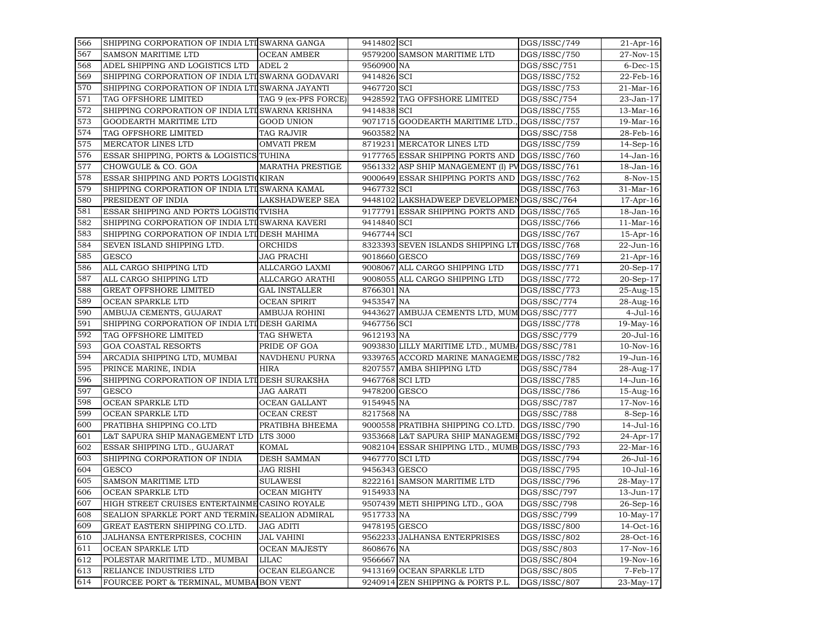| 566 | SHIPPING CORPORATION OF INDIA LTI SWARNA GANGA    |                         | 9414802 SCI     |                                                | DGS/ISSC/749             | 21-Apr-16               |
|-----|---------------------------------------------------|-------------------------|-----------------|------------------------------------------------|--------------------------|-------------------------|
| 567 | <b>SAMSON MARITIME LTD</b>                        | <b>OCEAN AMBER</b>      |                 | 9579200 SAMSON MARITIME LTD                    | DGS/ISSC/750             | 27-Nov-15               |
| 568 | ADEL SHIPPING AND LOGISTICS LTD                   | ADEL <sub>2</sub>       | 9560900 NA      |                                                | DGS/SSC/751              | $6$ -Dec-15             |
| 569 | SHIPPING CORPORATION OF INDIA LTI SWARNA GODAVARI |                         | 9414826 SCI     |                                                | DGS/ISSC/752             | 22-Feb-16               |
| 570 | SHIPPING CORPORATION OF INDIA LTI SWARNA JAYANTI  |                         | 9467720 SCI     |                                                | DGS/ISSC/753             | $21-Mar-16$             |
| 571 | TAG OFFSHORE LIMITED                              | TAG 9 (ex-PFS FORCE)    |                 | 9428592 TAG OFFSHORE LIMITED                   | DGS/SSC/754              | 23-Jan-17               |
| 572 | SHIPPING CORPORATION OF INDIA LTI SWARNA KRISHNA  |                         | 9414838 SCI     |                                                | DGS/ISSC/755             | 13-Mar-16               |
| 573 | GOODEARTH MARITIME LTD                            | <b>GOOD UNION</b>       |                 | 9071715 GOODEARTH MARITIME LTD.                | DGS/ISSC/757             | 19-Mar-16               |
| 574 | TAG OFFSHORE LIMITED                              | TAG RAJVIR              | 9603582 NA      |                                                | DGS/SSC/758              | 28-Feb-16               |
| 575 | MERCATOR LINES LTD                                | <b>OMVATI PREM</b>      |                 | 8719231 MERCATOR LINES LTD                     | DGS/ISSC/759             | $14-Sep-16$             |
| 576 | ESSAR SHIPPING, PORTS & LOGISTICS TUHINA          |                         |                 | 9177765 ESSAR SHIPPING PORTS AND DGS/ISSC/760  |                          | 14-Jan-16               |
| 577 | CHOWGULE & CO. GOA                                | <b>MARATHA PRESTIGE</b> |                 | 9561332 ASP SHIP MANAGEMENT (I) PVDGS/ISSC/761 |                          | 18-Jan-16               |
| 578 | ESSAR SHIPPING AND PORTS LOGISTICKIRAN            |                         |                 | 9000649 ESSAR SHIPPING PORTS AND               | DGS/ISSC/762             | 8-Nov-15                |
| 579 | SHIPPING CORPORATION OF INDIA LTI SWARNA KAMAL    |                         | 9467732 SCI     |                                                | DGS/ISSC/763             | 31-Mar-16               |
| 580 | PRESIDENT OF INDIA                                | LAKSHADWEEP SEA         |                 | 9448102 LAKSHADWEEP DEVELOPMENDGS/SSC/764      |                          | $17$ -Apr-16            |
| 581 | ESSAR SHIPPING AND PORTS LOGISTIC TVISHA          |                         |                 | 9177791 ESSAR SHIPPING PORTS AND DGS/ISSC/765  |                          | 18-Jan-16               |
| 582 | SHIPPING CORPORATION OF INDIA LTI SWARNA KAVERI   |                         | 9414840 SCI     |                                                | DGS/ISSC/766             | $11-Mar-16$             |
| 583 | SHIPPING CORPORATION OF INDIA LTI DESH MAHIMA     |                         | 9467744 SCI     |                                                | DGS/ISSC/767             | 15-Apr-16               |
| 584 | SEVEN ISLAND SHIPPING LTD.                        | ORCHIDS                 |                 | 8323393 SEVEN ISLANDS SHIPPING LTIDGS/ISSC/768 |                          | 22-Jun-16               |
| 585 | <b>GESCO</b>                                      | JAG PRACHI              | 9018660 GESCO   |                                                | DGS/ISSC/769             | $21$ -Apr-16            |
| 586 | ALL CARGO SHIPPING LTD                            | ALLCARGO LAXMI          |                 | 9008067 ALL CARGO SHIPPING LTD                 | DGS/ISSC/771             | 20-Sep-17               |
| 587 | ALL CARGO SHIPPING LTD                            | ALLCARGO ARATHI         |                 | 9008055 ALL CARGO SHIPPING LTD                 | DGS/ISSC/772             | 20-Sep-17               |
| 588 | <b>GREAT OFFSHORE LIMITED</b>                     | <b>GAL INSTALLER</b>    | 8766301 NA      |                                                | DGS/ISSC/773             | 25-Aug-15               |
| 589 | OCEAN SPARKLE LTD                                 | <b>OCEAN SPIRIT</b>     | 9453547 NA      |                                                | DGS/SSC/774              | 28-Aug-16               |
| 590 | AMBUJA CEMENTS, GUJARAT                           | AMBUJA ROHINI           |                 | 9443627 AMBUJA CEMENTS LTD, MUM DGS/SSC/777    |                          | $4-Jul-16$              |
| 591 | SHIPPING CORPORATION OF INDIA LTI DESH GARIMA     |                         | 9467756 SCI     |                                                | DGS/ISSC/778             | 19-May-16               |
| 592 | TAG OFFSHORE LIMITED                              | TAG SHWETA              | 9612193 NA      |                                                | $\overline{DGS}/SSC/779$ | 20-Jul-16               |
| 593 | <b>GOA COASTAL RESORTS</b>                        | PRIDE OF GOA            |                 | 9093830 LILLY MARITIME LTD., MUMBADGS/SSC/781  |                          | $10-Nov-16$             |
| 594 | ARCADIA SHIPPING LTD, MUMBAI                      | NAVDHENU PURNA          |                 | 9339765 ACCORD MARINE MANAGEME DGS/ISSC/782    |                          | 19-Jun-16               |
| 595 | PRINCE MARINE, INDIA                              | <b>HIRA</b>             |                 | 8207557 AMBA SHIPPING LTD                      | DGS/SSC/784              | 28-Aug-17               |
| 596 | SHIPPING CORPORATION OF INDIA LTI DESH SURAKSHA   |                         | 9467768 SCI LTD |                                                | DGS/ISSC/785             | 14-Jun-16               |
| 597 | <b>GESCO</b>                                      | <b>JAG AARATI</b>       | 9478200 GESCO   |                                                | DGS/ISSC/786             | 15-Aug-16               |
| 598 | OCEAN SPARKLE LTD                                 | OCEAN GALLANT           | 9154945 NA      |                                                | DGS/SSC/787              | 17-Nov-16               |
| 599 | OCEAN SPARKLE LTD                                 | <b>OCEAN CREST</b>      | 8217568 NA      |                                                | DGS/SSC/788              | $8-Sep-16$              |
| 600 | PRATIBHA SHIPPING CO.LTD                          | PRATIBHA BHEEMA         |                 | 9000558 PRATIBHA SHIPPING CO.LTD.              | DGS/ISSC/790             | 14-Jul-16               |
| 601 | L&T SAPURA SHIP MANAGEMENT LTD                    | <b>LTS 3000</b>         |                 | 9353668 L&T SAPURA SHIP MANAGEMEDGS/ISSC/792   |                          | $24 - Apr - 17$         |
| 602 | ESSAR SHIPPING LTD., GUJARAT                      | <b>KOMAL</b>            |                 | 9082104 ESSAR SHIPPING LTD., MUMB DGS/ISSC/793 |                          | 22-Mar-16               |
| 603 | SHIPPING CORPORATION OF INDIA                     | <b>DESH SAMMAN</b>      | 9467770 SCI LTD |                                                | DGS/ISSC/794             | 26-Jul-16               |
| 604 | <b>GESCO</b>                                      | <b>JAG RISHI</b>        | 9456343 GESCO   |                                                | DGS/ISSC/795             | $10 -$ Jul $-16$        |
| 605 | SAMSON MARITIME LTD                               | <b>SULAWESI</b>         |                 | 8222161 SAMSON MARITIME LTD                    | DGS/ISSC/796             | 28-May-17               |
| 606 | OCEAN SPARKLE LTD                                 | <b>OCEAN MIGHTY</b>     | 9154933 NA      |                                                | DGS/SSC/797              | 13-Jun-17               |
| 607 | HIGH STREET CRUISES ENTERTAINME CASINO ROYALE     |                         |                 | 9507439 METI SHIPPING LTD., GOA                | DGS/SSC/798              | $\overline{26}$ -Sep-16 |
| 608 | SEALION SPARKLE PORT AND TERMIN SEALION ADMIRAL   |                         | 9517733 NA      |                                                | DGS/SSC/799              | $10-May-17$             |
| 609 | GREAT EASTERN SHIPPING CO.LTD.                    | JAG ADITI               | 9478195 GESCO   |                                                | DGS/ISSC/800             | 14-Oct-16               |
| 610 | JALHANSA ENTERPRISES, COCHIN                      | <b>JAL VAHINI</b>       |                 | 9562233 JALHANSA ENTERPRISES                   | DGS/ISSC/802             | 28-Oct-16               |
| 611 | OCEAN SPARKLE LTD                                 | <b>OCEAN MAJESTY</b>    | 8608676 NA      |                                                | DGS/SSC/803              | 17-Nov-16               |
| 612 | POLESTAR MARITIME LTD., MUMBAI                    | LILAC                   | 9566667 NA      |                                                | DGS/SSC/804              | 19-Nov-16               |
| 613 | RELIANCE INDUSTRIES LTD                           | OCEAN ELEGANCE          |                 | 9413169 OCEAN SPARKLE LTD                      | DGS/SSC/805              | 7-Feb-17                |
| 614 | FOURCEE PORT & TERMINAL, MUMBAIBON VENT           |                         |                 | 9240914 ZEN SHIPPING & PORTS P.L.              | DGS/ISSC/807             | 23-May-17               |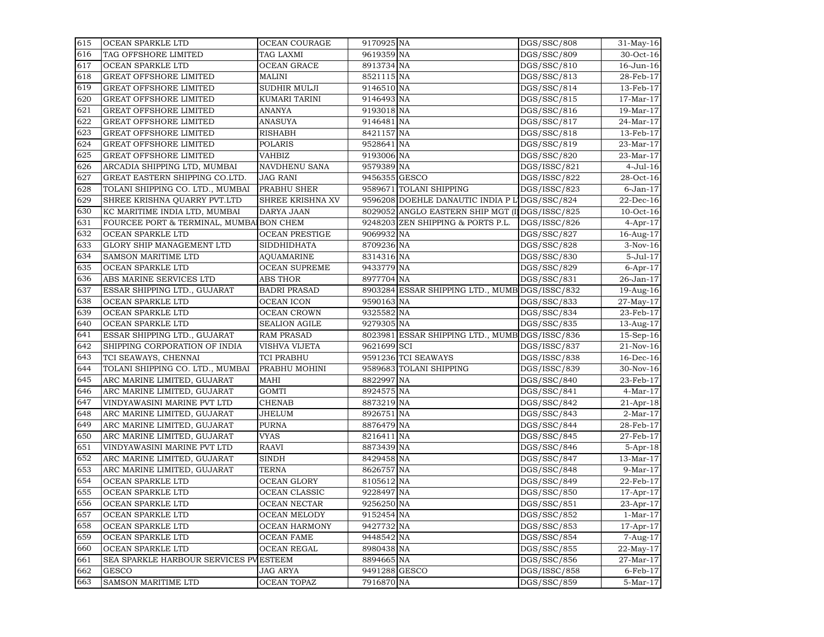| 615 | OCEAN SPARKLE LTD                       | OCEAN COURAGE         | 9170925 NA    |                                                 | DGS/SSC/808  | 31-May-16       |
|-----|-----------------------------------------|-----------------------|---------------|-------------------------------------------------|--------------|-----------------|
| 616 | TAG OFFSHORE LIMITED                    | TAG LAXMI             | 9619359 NA    |                                                 | DGS/SSC/809  | 30-Oct-16       |
| 617 | OCEAN SPARKLE LTD                       | <b>OCEAN GRACE</b>    | 8913734 NA    |                                                 | DGS/SSC/810  | 16-Jun-16       |
| 618 | GREAT OFFSHORE LIMITED                  | MALINI                | 8521115 NA    |                                                 | DGS/SSC/813  | 28-Feb-17       |
| 619 | <b>GREAT OFFSHORE LIMITED</b>           | SUDHIR MULJI          | 9146510 NA    |                                                 | DGS/SSC/814  | 13-Feb-17       |
| 620 | <b>GREAT OFFSHORE LIMITED</b>           | KUMARI TARINI         | 9146493 NA    |                                                 | DGS/SSC/815  | 17-Mar-17       |
| 621 | <b>GREAT OFFSHORE LIMITED</b>           | ANANYA                | 9193018 NA    |                                                 | DGS/SSC/816  | 19-Mar-17       |
| 622 | <b>GREAT OFFSHORE LIMITED</b>           | ANASUYA               | 9146481 NA    |                                                 | DGS/SSC/817  | 24-Mar-17       |
| 623 | GREAT OFFSHORE LIMITED                  | RISHABH               | 8421157 NA    |                                                 | DGS/SSC/818  | 13-Feb-17       |
| 624 | <b>GREAT OFFSHORE LIMITED</b>           | POLARIS               | 9528641 NA    |                                                 | DGS/SSC/819  | 23-Mar-17       |
| 625 | <b>GREAT OFFSHORE LIMITED</b>           | VAHBIZ                | 9193006 NA    |                                                 | DGS/SSC/820  | 23-Mar-17       |
| 626 | ARCADIA SHIPPING LTD, MUMBAI            | NAVDHENU SANA         | 9579389 NA    |                                                 | DGS/ISSC/821 | $4 -$ Jul $-16$ |
| 627 | GREAT EASTERN SHIPPING CO.LTD.          | JAG RANI              | 9456355 GESCO |                                                 | DGS/ISSC/822 | 28-Oct-16       |
| 628 | TOLANI SHIPPING CO. LTD., MUMBAI        | PRABHU SHER           |               | 9589671 TOLANI SHIPPING                         | DGS/ISSC/823 | 6-Jan-17        |
| 629 | SHREE KRISHNA QUARRY PVT.LTD            | SHREE KRISHNA XV      |               | 9596208 DOEHLE DANAUTIC INDIA P L DGS/SSC/824   |              | 22-Dec-16       |
| 630 | KC MARITIME INDIA LTD, MUMBAI           | DARYA JAAN            |               | 8029052 ANGLO EASTERN SHIP MGT (I) DGS/ISSC/825 |              | $10$ -Oct- $16$ |
| 631 | FOURCEE PORT & TERMINAL, MUMBAIBON CHEM |                       |               | 9248203 ZEN SHIPPING & PORTS P.L.               | DGS/ISSC/826 | $4$ -Apr-17     |
| 632 | OCEAN SPARKLE LTD                       | <b>OCEAN PRESTIGE</b> | 9069932 NA    |                                                 | DGS/SSC/827  | 16-Aug-17       |
| 633 | GLORY SHIP MANAGEMENT LTD               | SIDDHIDHATA           | 8709236 NA    |                                                 | DGS/SSC/828  | $3-Nov-16$      |
| 634 | SAMSON MARITIME LTD                     | <b>AQUAMARINE</b>     | 8314316 NA    |                                                 | DGS/SSC/830  | 5-Jul-17        |
| 635 | OCEAN SPARKLE LTD                       | <b>OCEAN SUPREME</b>  | 9433779 NA    |                                                 | DGS/SSC/829  | $6$ -Apr-17     |
| 636 | ABS MARINE SERVICES LTD                 | ABS THOR              | 8977704 NA    |                                                 | DGS/SSC/831  | 26-Jan-17       |
| 637 | ESSAR SHIPPING LTD., GUJARAT            | <b>BADRI PRASAD</b>   |               | 8903284 ESSAR SHIPPING LTD., MUMB DGS/ISSC/832  |              | 19-Aug-16       |
| 638 | OCEAN SPARKLE LTD                       | OCEAN ICON            | 9590163 NA    |                                                 | DGS/SSC/833  | 27-May-17       |
| 639 | OCEAN SPARKLE LTD                       | <b>OCEAN CROWN</b>    | 9325582 NA    |                                                 | DGS/SSC/834  | 23-Feb-17       |
| 640 | OCEAN SPARKLE LTD                       | <b>SEALION AGILE</b>  | 9279305 NA    |                                                 | DGS/SSC/835  | 13-Aug-17       |
| 641 | ESSAR SHIPPING LTD., GUJARAT            | <b>RAM PRASAD</b>     |               | 8023981 ESSAR SHIPPING LTD., MUMB DGS/ISSC/836  |              | $15-Sep-16$     |
| 642 | SHIPPING CORPORATION OF INDIA           | VISHVA VIJETA         | 9621699 SCI   |                                                 | DGS/ISSC/837 | 21-Nov-16       |
| 643 | TCI SEAWAYS, CHENNAI                    | <b>TCI PRABHU</b>     |               | 9591236 TCI SEAWAYS                             | DGS/ISSC/838 | $16$ -Dec- $16$ |
| 644 | TOLANI SHIPPING CO. LTD., MUMBAI        | PRABHU MOHINI         |               | 9589683 TOLANI SHIPPING                         | DGS/ISSC/839 | 30-Nov-16       |
| 645 | ARC MARINE LIMITED, GUJARAT             | MAHI                  | 8822997 NA    |                                                 | DGS/SSC/840  | 23-Feb-17       |
| 646 | ARC MARINE LIMITED, GUJARAT             | <b>GOMTI</b>          | 8924575 NA    |                                                 | DGS/SSC/841  | $4-Mar-17$      |
| 647 | VINDYAWASINI MARINE PVT LTD             | <b>CHENAB</b>         | 8873219 NA    |                                                 | DGS/SSC/842  | $21$ -Apr-18    |
| 648 | ARC MARINE LIMITED, GUJARAT             | JHELUM                | 8926751 NA    |                                                 | DGS/SSC/843  | $2-Mar-17$      |
| 649 | ARC MARINE LIMITED, GUJARAT             | PURNA                 | 8876479 NA    |                                                 | DGS/SSC/844  | 28-Feb-17       |
| 650 | ARC MARINE LIMITED, GUJARAT             | VYAS                  | 8216411 NA    |                                                 | DGS/SSC/845  | 27-Feb-17       |
| 651 | VINDYAWASINI MARINE PVT LTD             | RAAVI                 | 8873439 NA    |                                                 | DGS/SSC/846  | $5 - Apr - 18$  |
| 652 | ARC MARINE LIMITED, GUJARAT             | <b>SINDH</b>          | 8429458 NA    |                                                 | DGS/SSC/847  | 13-Mar-17       |
| 653 | ARC MARINE LIMITED, GUJARAT             | TERNA                 | 8626757 NA    |                                                 | DGS/SSC/848  | $9-Mar-17$      |
| 654 | OCEAN SPARKLE LTD                       | OCEAN GLORY           | 8105612 NA    |                                                 | DGS/SSC/849  | 22-Feb-17       |
| 655 | OCEAN SPARKLE LTD                       | <b>OCEAN CLASSIC</b>  | 9228497 NA    |                                                 | DGS/SSC/850  | 17-Apr-17       |
| 656 | OCEAN SPARKLE LTD                       | <b>OCEAN NECTAR</b>   | 9256250 NA    |                                                 | DGS/SSC/851  | $23$ -Apr-17    |
| 657 | OCEAN SPARKLE LTD                       | OCEAN MELODY          | 9152454 NA    |                                                 | DGS/SSC/852  | $1-Mar-17$      |
| 658 | OCEAN SPARKLE LTD                       | <b>OCEAN HARMONY</b>  | 9427732 NA    |                                                 | DGS/SSC/853  | 17-Apr-17       |
| 659 | OCEAN SPARKLE LTD                       | OCEAN FAME            | 9448542 NA    |                                                 | DGS/SSC/854  | 7-Aug-17        |
| 660 | OCEAN SPARKLE LTD                       | OCEAN REGAL           | 8980438 NA    |                                                 | DGS/SSC/855  | 22-May-17       |
| 661 | SEA SPARKLE HARBOUR SERVICES PVESTEEM   |                       | 8894665 NA    |                                                 | DGS/SSC/856  | 27-Mar-17       |
| 662 | <b>GESCO</b>                            | JAG ARYA              | 9491288 GESCO |                                                 | DGS/ISSC/858 | $6$ -Feb- $17$  |
| 663 | <b>SAMSON MARITIME LTD</b>              | <b>OCEAN TOPAZ</b>    | 7916870 NA    |                                                 | DGS/SSC/859  | 5-Mar-17        |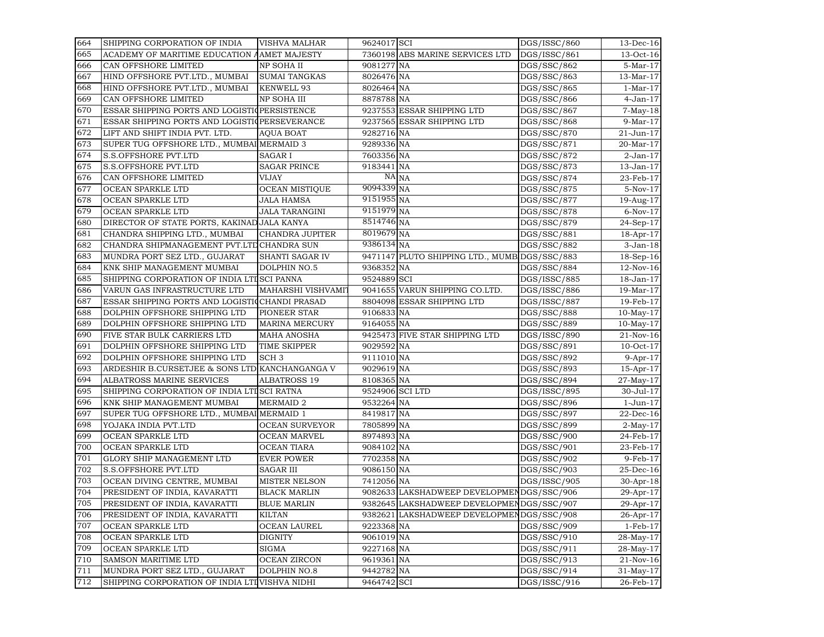| 664 | SHIPPING CORPORATION OF INDIA                  | <b>VISHVA MALHAR</b>  | 9624017 SCI     |                                               | DGS/ISSC/860 | $13$ -Dec-16    |
|-----|------------------------------------------------|-----------------------|-----------------|-----------------------------------------------|--------------|-----------------|
| 665 | ACADEMY OF MARITIME EDUCATION AAMET MAJESTY    |                       |                 | 7360198 ABS MARINE SERVICES LTD               | DGS/ISSC/861 | 13-Oct-16       |
| 666 | CAN OFFSHORE LIMITED                           | NP SOHA II            | 9081277 NA      |                                               | DGS/SSC/862  | 5-Mar-17        |
| 667 | HIND OFFSHORE PVT.LTD., MUMBAI                 | <b>SUMAI TANGKAS</b>  | 8026476 NA      |                                               | DGS/SSC/863  | 13-Mar-17       |
| 668 | HIND OFFSHORE PVT.LTD., MUMBAI                 | <b>KENWELL 93</b>     | 8026464 NA      |                                               | DGS/SSC/865  | $1-Mar-17$      |
| 669 | CAN OFFSHORE LIMITED                           | NP SOHA III           | 8878788 NA      |                                               | DGS/SSC/866  | $4-Jan-17$      |
| 670 | ESSAR SHIPPING PORTS AND LOGISTIC PERSISTENCE  |                       |                 | 9237553 ESSAR SHIPPING LTD                    | DGS/SSC/867  | $7-May-18$      |
| 671 | ESSAR SHIPPING PORTS AND LOGISTIQPERSEVERANCE  |                       |                 | 9237565 ESSAR SHIPPING LTD                    | DGS/SSC/868  | 9-Mar-17        |
| 672 | LIFT AND SHIFT INDIA PVT. LTD.                 | AQUA BOAT             | 9282716 NA      |                                               | DGS/SSC/870  | 21-Jun-17       |
| 673 | SUPER TUG OFFSHORE LTD., MUMBAI MERMAID 3      |                       | 9289336 NA      |                                               | DGS/SSC/871  | 20-Mar-17       |
| 674 | S.S.OFFSHORE PVT.LTD                           | <b>SAGAR I</b>        | 7603356 NA      |                                               | DGS/SSC/872  | $2$ -Jan- $17$  |
| 675 | <b>S.S.OFFSHORE PVT.LTD</b>                    | <b>SAGAR PRINCE</b>   | 9183441 NA      |                                               | DGS/SSC/873  | 13-Jan-17       |
| 676 | CAN OFFSHORE LIMITED                           | VIJAY                 |                 | NA NA                                         | DGS/SSC/874  | 23-Feb-17       |
| 677 | OCEAN SPARKLE LTD                              | <b>OCEAN MISTIQUE</b> | 9094339 NA      |                                               | DGS/SSC/875  | $5-Nov-17$      |
| 678 | OCEAN SPARKLE LTD                              | JALA HAMSA            | 9151955 NA      |                                               | DGS/SSC/877  | 19-Aug-17       |
| 679 | OCEAN SPARKLE LTD                              | JALA TARANGINI        | 9151979 NA      |                                               | DGS/SSC/878  | $6-Nov-17$      |
| 680 | DIRECTOR OF STATE PORTS, KAKINAD JALA KANYA    |                       | 8514746 NA      |                                               | DGS/SSC/879  | 24-Sep-17       |
| 681 | CHANDRA SHIPPING LTD., MUMBAI                  | CHANDRA JUPITER       | 8019679 NA      |                                               | DGS/SSC/881  | $18$ -Apr- $17$ |
| 682 | CHANDRA SHIPMANAGEMENT PVT.LTD CHANDRA SUN     |                       | 9386134 NA      |                                               | DGS/SSC/882  | $3$ -Jan- $18$  |
| 683 | MUNDRA PORT SEZ LTD., GUJARAT                  | SHANTI SAGAR IV       |                 | 9471147 PLUTO SHIPPING LTD., MUMB DGS/SSC/883 |              | 18-Sep-16       |
| 684 | KNK SHIP MANAGEMENT MUMBAI                     | DOLPHIN NO.5          | 9368352 NA      |                                               | DGS/SSC/884  | 12-Nov-16       |
| 685 | SHIPPING CORPORATION OF INDIA LTISCI PANNA     |                       | 9524889 SCI     |                                               | DGS/ISSC/885 | 18-Jan-17       |
| 686 | VARUN GAS INFRASTRUCTURE LTD                   | MAHARSHI VISHVAMI'I   |                 | 9041655 VARUN SHIPPING CO.LTD.                | DGS/ISSC/886 | 19-Mar-17       |
| 687 | ESSAR SHIPPING PORTS AND LOGISTI(CHANDI PRASAD |                       |                 | 8804098 ESSAR SHIPPING LTD                    | DGS/ISSC/887 | 19-Feb-17       |
| 688 | DOLPHIN OFFSHORE SHIPPING LTD                  | PIONEER STAR          | 9106833 NA      |                                               | DGS/SSC/888  | $10$ -May- $17$ |
| 689 | DOLPHIN OFFSHORE SHIPPING LTD                  | <b>MARINA MERCURY</b> | 9164055 NA      |                                               | DGS/SSC/889  | $10$ -May- $17$ |
| 690 | FIVE STAR BULK CARRIERS LTD                    | <b>MAHA ANOSHA</b>    |                 | 9425473 FIVE STAR SHIPPING LTD                | DGS/ISSC/890 | 21-Nov-16       |
| 691 | DOLPHIN OFFSHORE SHIPPING LTD                  | TIME SKIPPER          | 9029592 NA      |                                               | DGS/SSC/891  | $10$ -Oct- $17$ |
| 692 | DOLPHIN OFFSHORE SHIPPING LTD                  | SCH <sub>3</sub>      | 9111010 NA      |                                               | DGS/SSC/892  | $9$ -Apr-17     |
| 693 | ARDESHIR B.CURSETJEE & SONS LTD KANCHANGANGA V |                       | 9029619 NA      |                                               | DGS/SSC/893  | 15-Apr-17       |
| 694 | ALBATROSS MARINE SERVICES                      | <b>ALBATROSS 19</b>   | 8108365 NA      |                                               | DGS/SSC/894  | 27-May-17       |
| 695 | SHIPPING CORPORATION OF INDIA LTI SCI RATNA    |                       | 9524906 SCI LTD |                                               | DGS/ISSC/895 | 30-Jul-17       |
| 696 | KNK SHIP MANAGEMENT MUMBAI                     | <b>MERMAID 2</b>      | 9532264 NA      |                                               | DGS/SSC/896  | 1-Jun-17        |
| 697 | SUPER TUG OFFSHORE LTD., MUMBAI MERMAID 1      |                       | 8419817 NA      |                                               | DGS/SSC/897  | 22-Dec-16       |
| 698 | YOJAKA INDIA PVT.LTD                           | <b>OCEAN SURVEYOR</b> | 7805899 NA      |                                               | DGS/SSC/899  | $2$ -May-17     |
| 699 | OCEAN SPARKLE LTD                              | <b>OCEAN MARVEL</b>   | 8974893 NA      |                                               | DGS/SSC/900  | 24-Feb-17       |
| 700 | OCEAN SPARKLE LTD                              | <b>OCEAN TIARA</b>    | 9084102 NA      |                                               | DGS/SSC/901  | 23-Feb-17       |
| 701 | GLORY SHIP MANAGEMENT LTD                      | <b>EVER POWER</b>     | 7702358 NA      |                                               | DGS/SSC/902  | 9-Feb-17        |
| 702 | S.S.OFFSHORE PVT.LTD                           | <b>SAGAR III</b>      | 9086150 NA      |                                               | DGS/SSC/903  | 25-Dec-16       |
| 703 | OCEAN DIVING CENTRE, MUMBAI                    | <b>MISTER NELSON</b>  | 7412056 NA      |                                               | DGS/ISSC/905 | 30-Apr-18       |
| 704 | PRESIDENT OF INDIA, KAVARATTI                  | <b>BLACK MARLIN</b>   |                 | 9082633 LAKSHADWEEP DEVELOPMEN DGS/SSC/906    |              | 29-Apr-17       |
| 705 | PRESIDENT OF INDIA, KAVARATTI                  | <b>BLUE MARLIN</b>    |                 | 9382645 LAKSHADWEEP DEVELOPMEN DGS/SSC/907    |              | $29$ -Apr-17    |
| 706 | PRESIDENT OF INDIA, KAVARATTI                  | KILTAN                |                 | 9382621 LAKSHADWEEP DEVELOPMENDGS/SSC/908     |              | $26 - Apr - 17$ |
| 707 | OCEAN SPARKLE LTD                              | OCEAN LAUREL          | 9223368 NA      |                                               | DGS/SSC/909  | $1-Feb-17$      |
| 708 | OCEAN SPARKLE LTD                              | <b>DIGNITY</b>        | 9061019 NA      |                                               | DGS/SSC/910  | 28-May-17       |
| 709 | OCEAN SPARKLE LTD                              | SIGMA                 | 9227168 NA      |                                               | DGS/SSC/911  | 28-May-17       |
| 710 | SAMSON MARITIME LTD                            | OCEAN ZIRCON          | 9619361 NA      |                                               | DGS/SSC/913  | 21-Nov-16       |
| 711 | MUNDRA PORT SEZ LTD., GUJARAT                  | <b>DOLPHIN NO.8</b>   | 9442782 NA      |                                               | DGS/SSC/914  | 31-May-17       |
| 712 | SHIPPING CORPORATION OF INDIA LTI VISHVA NIDHI |                       | 9464742 SCI     |                                               | DGS/ISSC/916 | 26-Feb-17       |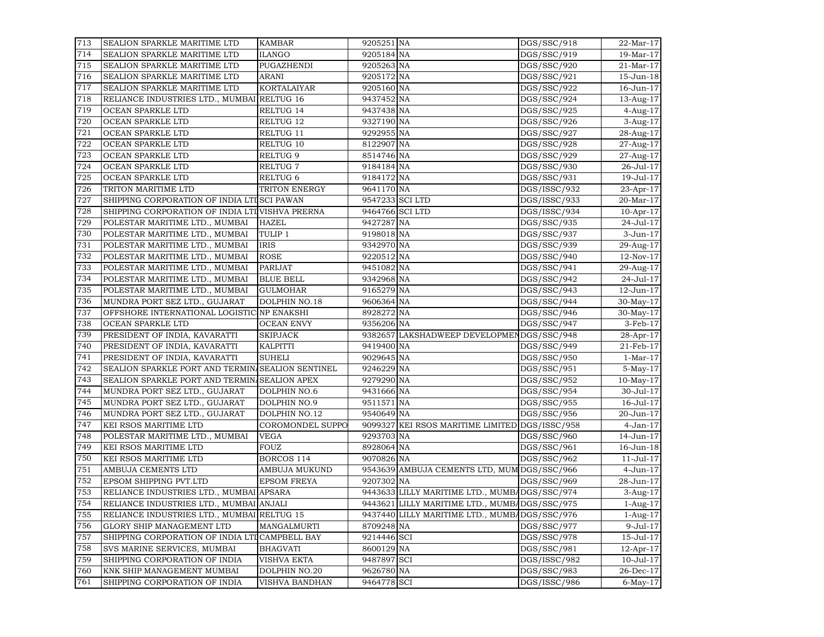| 713 | SEALION SPARKLE MARITIME LTD                     | KAMBAR             | 9205251 NA      |                                                | DGS/SSC/918  | 22-Mar-17        |
|-----|--------------------------------------------------|--------------------|-----------------|------------------------------------------------|--------------|------------------|
| 714 | SEALION SPARKLE MARITIME LTD                     | ILANGO             | 9205184 NA      |                                                | DGS/SSC/919  | 19-Mar-17        |
| 715 | SEALION SPARKLE MARITIME LTD                     | PUGAZHENDI         | 9205263 NA      |                                                | DGS/SSC/920  | 21-Mar-17        |
| 716 | SEALION SPARKLE MARITIME LTD                     | ARANI              | 9205172 NA      |                                                | DGS/SSC/921  | 15-Jun-18        |
| 717 | SEALION SPARKLE MARITIME LTD                     | <b>KORTALAIYAR</b> | 9205160 NA      |                                                | DGS/SSC/922  | 16-Jun-17        |
| 718 | RELIANCE INDUSTRIES LTD., MUMBAI RELTUG 16       |                    | 9437452 NA      |                                                | DGS/SSC/924  | 13-Aug-17        |
| 719 | OCEAN SPARKLE LTD                                | RELTUG 14          | 9437438 NA      |                                                | DGS/SSC/925  | 4-Aug-17         |
| 720 | OCEAN SPARKLE LTD                                | RELTUG 12          | 9327190 NA      |                                                | DGS/SSC/926  | 3-Aug-17         |
| 721 | OCEAN SPARKLE LTD                                | RELTUG 11          | 9292955 NA      |                                                | DGS/SSC/927  | 28-Aug-17        |
| 722 | OCEAN SPARKLE LTD                                | RELTUG 10          | 8122907 NA      |                                                | DGS/SSC/928  | 27-Aug-17        |
| 723 | OCEAN SPARKLE LTD                                | RELTUG 9           | 8514746 NA      |                                                | DGS/SSC/929  | 27-Aug-17        |
| 724 | OCEAN SPARKLE LTD                                | <b>RELTUG 7</b>    | 9184184 NA      |                                                | DGS/SSC/930  | 26-Jul-17        |
| 725 | OCEAN SPARKLE LTD                                | RELTUG 6           | 9184172 NA      |                                                | DGS/SSC/931  | 19-Jul-17        |
| 726 | TRITON MARITIME LTD                              | TRITON ENERGY      | 9641170 NA      |                                                | DGS/ISSC/932 | 23-Apr-17        |
| 727 | SHIPPING CORPORATION OF INDIA LTI SCI PAWAN      |                    | 9547233 SCI LTD |                                                | DGS/ISSC/933 | 20-Mar-17        |
| 728 | SHIPPING CORPORATION OF INDIA LTIVISHVA PRERNA   |                    | 9464766 SCI LTD |                                                | DGS/ISSC/934 | $10$ -Apr- $17$  |
| 729 | POLESTAR MARITIME LTD., MUMBAI                   | <b>HAZEL</b>       | 9427287 NA      |                                                | DGS/SSC/935  | 24-Jul-17        |
| 730 | POLESTAR MARITIME LTD., MUMBAI                   | TULIP 1            | 9198018 NA      |                                                | DGS/SSC/937  | 3-Jun-17         |
| 731 | POLESTAR MARITIME LTD., MUMBAI                   | IRIS               | 9342970 NA      |                                                | DGS/SSC/939  | 29-Aug-17        |
| 732 | POLESTAR MARITIME LTD., MUMBAI                   | <b>ROSE</b>        | 9220512 NA      |                                                | DGS/SSC/940  | $12$ -Nov- $17$  |
| 733 | POLESTAR MARITIME LTD., MUMBAI                   | PARIJAT            | 9451082 NA      |                                                | DGS/SSC/941  | 29-Aug-17        |
| 734 | POLESTAR MARITIME LTD., MUMBAI                   | <b>BLUE BELL</b>   | 9342968 NA      |                                                | DGS/SSC/942  | 24-Jul-17        |
| 735 | POLESTAR MARITIME LTD., MUMBAI                   | <b>GULMOHAR</b>    | 9165279 NA      |                                                | DGS/SSC/943  | 12-Jun-17        |
| 736 | MUNDRA PORT SEZ LTD., GUJARAT                    | DOLPHIN NO.18      | 9606364 NA      |                                                | DGS/SSC/944  | 30-May-17        |
| 737 | OFFSHORE INTERNATIONAL LOGISTIC NP ENAKSHI       |                    | 8928272 NA      |                                                | DGS/SSC/946  | 30-May-17        |
| 738 | OCEAN SPARKLE LTD                                | <b>OCEAN ENVY</b>  | 9356206 NA      |                                                | DGS/SSC/947  | 3-Feb-17         |
| 739 | PRESIDENT OF INDIA, KAVARATTI                    | <b>SKIPJACK</b>    |                 | 9382657 LAKSHADWEEP DEVELOPMENDGS/SSC/948      |              | 28-Apr-17        |
| 740 | PRESIDENT OF INDIA, KAVARATTI                    | KALPITTI           | 9419400 NA      |                                                | DGS/SSC/949  | 21-Feb-17        |
| 741 | PRESIDENT OF INDIA, KAVARATTI                    | SUHELI             | 9029645 NA      |                                                | DGS/SSC/950  | $1-Mar-17$       |
| 742 | SEALION SPARKLE PORT AND TERMIN SEALION SENTINEL |                    | 9246229 NA      |                                                | DGS/SSC/951  | $5-May-17$       |
| 743 | SEALION SPARKLE PORT AND TERMIN SEALION APEX     |                    | 9279290 NA      |                                                | DGS/SSC/952  | $10$ -May- $17$  |
| 744 | MUNDRA PORT SEZ LTD., GUJARAT                    | DOLPHIN NO.6       | 9431666 NA      |                                                | DGS/SSC/954  | 30-Jul-17        |
| 745 | MUNDRA PORT SEZ LTD., GUJARAT                    | DOLPHIN NO.9       | 9511571 NA      |                                                | DGS/SSC/955  | 16-Jul-17        |
| 746 | MUNDRA PORT SEZ LTD., GUJARAT                    | DOLPHIN NO.12      | 9540649 NA      |                                                | DGS/SSC/956  | 20-Jun-17        |
| 747 | KEI RSOS MARITIME LTD                            | COROMONDEL SUPPO   |                 | 9099327 KEI RSOS MARITIME LIMITED DGS/ISSC/958 |              | $4-Jan-17$       |
| 748 | POLESTAR MARITIME LTD., MUMBAI                   | VEGA               | 9293703 NA      |                                                | DGS/SSC/960  | 14-Jun-17        |
| 749 | KEI RSOS MARITIME LTD                            | FOUZ               | 8928064 NA      |                                                | DGS/SSC/961  | 16-Jun-18        |
| 750 | KEI RSOS MARITIME LTD                            | BORCOS 114         | 9070826 NA      |                                                | DGS/SSC/962  | $11 -$ Jul $-17$ |
| 751 | AMBUJA CEMENTS LTD                               | AMBUJA MUKUND      |                 | 9543639 AMBUJA CEMENTS LTD, MUM DGS/SSC/966    |              | 4-Jun-17         |
| 752 | EPSOM SHIPPING PVT.LTD                           | <b>EPSOM FREYA</b> | 9207302 NA      |                                                | DGS/SSC/969  | 28-Jun-17        |
| 753 | RELIANCE INDUSTRIES LTD., MUMBAI APSARA          |                    |                 | 9443633 LILLY MARITIME LTD., MUMBADGS/SSC/974  |              | 3-Aug-17         |
| 754 | RELIANCE INDUSTRIES LTD., MUMBAI ANJALI          |                    |                 | 9443621 LILLY MARITIME LTD., MUMBADGS/SSC/975  |              | $1-Aug-17$       |
| 755 | RELIANCE INDUSTRIES LTD., MUMBAI RELTUG 15       |                    |                 | 9437440 LILLY MARITIME LTD., MUMBADGS/SSC/976  |              | $1-Aug-17$       |
| 756 | <b>GLORY SHIP MANAGEMENT LTD</b>                 | MANGALMURTI        | 8709248 NA      |                                                | DGS/SSC/977  | $9-Jul-17$       |
| 757 | SHIPPING CORPORATION OF INDIA LTI CAMPBELL BAY   |                    | 9214446 SCI     |                                                | DGS/SSC/978  | $15 -$ Jul $-17$ |
| 758 | SVS MARINE SERVICES, MUMBAI                      | <b>BHAGVATI</b>    | 8600129 NA      |                                                | DGS/SSC/981  | $12$ -Apr- $17$  |
| 759 | SHIPPING CORPORATION OF INDIA                    | <b>VISHVA EKTA</b> | 9487897 SCI     |                                                | DGS/ISSC/982 | $10 -$ Jul $-17$ |
| 760 | KNK SHIP MANAGEMENT MUMBAI                       | DOLPHIN NO.20      | 9626780 NA      |                                                | DGS/SSC/983  | 26-Dec-17        |
| 761 | SHIPPING CORPORATION OF INDIA                    | VISHVA BANDHAN     | 9464778 SCI     |                                                | DGS/ISSC/986 | $6$ -May- $17$   |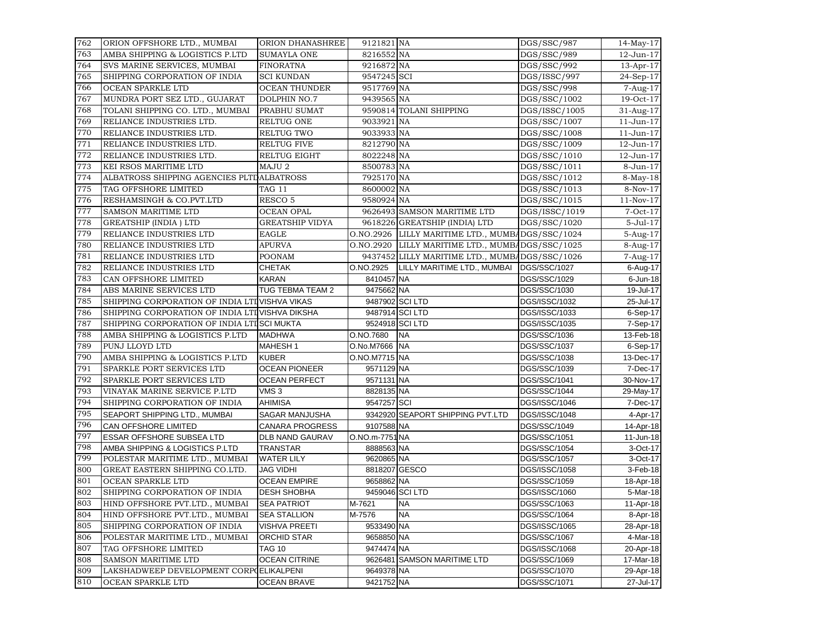| 762 | ORION OFFSHORE LTD., MUMBAI                    | ORION DHANASHREE       | 9121821 NA     |                                                  | DGS/SSC/987                | $14$ -May- $17$ |
|-----|------------------------------------------------|------------------------|----------------|--------------------------------------------------|----------------------------|-----------------|
| 763 | AMBA SHIPPING & LOGISTICS P.LTD                | <b>SUMAYLA ONE</b>     | 8216552 NA     |                                                  | DGS/SSC/989                | 12-Jun-17       |
| 764 | SVS MARINE SERVICES, MUMBAI                    | <b>FINORATNA</b>       | 9216872 NA     |                                                  | DGS/SSC/992                | 13-Apr-17       |
| 765 | SHIPPING CORPORATION OF INDIA                  | <b>SCI KUNDAN</b>      | 9547245 SCI    |                                                  | DGS/ISSC/997               | 24-Sep-17       |
| 766 | OCEAN SPARKLE LTD                              | <b>OCEAN THUNDER</b>   | 9517769 NA     |                                                  | DGS/SSC/998                | 7-Aug-17        |
| 767 | MUNDRA PORT SEZ LTD., GUJARAT                  | <b>DOLPHIN NO.7</b>    | 9439565 NA     |                                                  | DGS/SSC/1002               | 19-Oct-17       |
| 768 | TOLANI SHIPPING CO. LTD., MUMBAI               | PRABHU SUMAT           |                | 9590814 TOLANI SHIPPING                          | DGS/ISSC/1005              | 31-Aug-17       |
| 769 | RELIANCE INDUSTRIES LTD.                       | <b>RELTUG ONE</b>      | 9033921 NA     |                                                  | DGS/SSC/1007               | $11$ -Jun- $17$ |
| 770 | RELIANCE INDUSTRIES LTD.                       | RELTUG TWO             | 9033933 NA     |                                                  | DGS/SSC/1008               | $11-Jun-17$     |
| 771 | RELIANCE INDUSTRIES LTD.                       | <b>RELTUG FIVE</b>     | 8212790 NA     |                                                  | DGS/SSC/1009               | 12-Jun-17       |
| 772 | RELIANCE INDUSTRIES LTD.                       | RELTUG EIGHT           | 8022248 NA     |                                                  | $\overline{D}$ GS/SSC/1010 | 12-Jun-17       |
| 773 | KEI RSOS MARITIME LTD                          | MAJU <sub>2</sub>      | 8500783 NA     |                                                  | DGS/SSC/1011               | 8-Jun-17        |
| 774 | ALBATROSS SHIPPING AGENCIES PLTDALBATROSS      |                        | 7925170 NA     |                                                  | DGS/SSC/1012               | $8-May-18$      |
| 775 | TAG OFFSHORE LIMITED                           | TAG 11                 | 8600002 NA     |                                                  | DGS/SSC/1013               | 8-Nov-17        |
| 776 | RESHAMSINGH & CO.PVT.LTD                       | RESCO <sub>5</sub>     | 9580924 NA     |                                                  | DGS/SSC/1015               | $11-Nov-17$     |
| 777 | SAMSON MARITIME LTD                            | <b>OCEAN OPAL</b>      |                | 9626493 SAMSON MARITIME LTD                      | DGS/ISSC/1019              | $7-Oct-17$      |
| 778 | <b>GREATSHIP (INDIA) LTD</b>                   | <b>GREATSHIP VIDYA</b> |                | 9618226 GREATSHIP (INDIA) LTD                    | DGS/SSC/1020               | $5-Jul-17$      |
| 779 | RELIANCE INDUSTRIES LTD                        | <b>EAGLE</b>           |                | O.NO.2926 LILLY MARITIME LTD., MUMBADGS/SSC/1024 |                            | 5-Aug-17        |
| 780 | RELIANCE INDUSTRIES LTD                        | <b>APURVA</b>          |                | O.NO.2920 LILLY MARITIME LTD., MUMBADGS/SSC/1025 |                            | 8-Aug-17        |
| 781 | RELIANCE INDUSTRIES LTD                        | <b>POONAM</b>          |                | 9437452 LILLY MARITIME LTD., MUMBADGS/SSC/1026   |                            | 7-Aug-17        |
| 782 | RELIANCE INDUSTRIES LTD                        | <b>CHETAK</b>          | O.NO.2925      | LILLY MARITIME LTD., MUMBAI                      | DGS/SSC/1027               | 6-Aug-17        |
| 783 | CAN OFFSHORE LIMITED                           | <b>KARAN</b>           | 8410457 NA     |                                                  | DGS/SSC/1029               | $6$ -Jun-18     |
| 784 | ABS MARINE SERVICES LTD                        | TUG TEBMA TEAM 2       | 9475662 NA     |                                                  | DGS/SSC/1030               | 19-Jul-17       |
| 785 | SHIPPING CORPORATION OF INDIA LTIVISHVA VIKAS  |                        |                | 9487902 SCI LTD                                  | DGS/ISSC/1032              | 25-Jul-17       |
| 786 | SHIPPING CORPORATION OF INDIA LTIVISHVA DIKSHA |                        |                | 9487914 SCI LTD                                  | DGS/ISSC/1033              | 6-Sep-17        |
| 787 | SHIPPING CORPORATION OF INDIA LTISCI MUKTA     |                        |                | 9524918 SCI LTD                                  | DGS/ISSC/1035              | 7-Sep-17        |
| 788 | AMBA SHIPPING & LOGISTICS P.LTD                | <b>MADHWA</b>          | O.NO.7680      | <b>NA</b>                                        | DGS/SSC/1036               | 13-Feb-18       |
| 789 | PUNJ LLOYD LTD                                 | <b>MAHESH1</b>         | O.No.M7666 NA  |                                                  | DGS/SSC/1037               | 6-Sep-17        |
| 790 | AMBA SHIPPING & LOGISTICS P.LTD                | <b>KUBER</b>           | O.NO.M7715 NA  |                                                  | DGS/SSC/1038               | 13-Dec-17       |
| 791 | SPARKLE PORT SERVICES LTD                      | <b>OCEAN PIONEER</b>   | 9571129 NA     |                                                  | DGS/SSC/1039               | 7-Dec-17        |
| 792 | SPARKLE PORT SERVICES LTD                      | <b>OCEAN PERFECT</b>   | 9571131 NA     |                                                  | DGS/SSC/1041               | 30-Nov-17       |
| 793 | VINAYAK MARINE SERVICE P.LTD                   | VMS <sub>3</sub>       | 8828135 NA     |                                                  | DGS/SSC/1044               | 29-May-17       |
| 794 | SHIPPING CORPORATION OF INDIA                  | <b>AHIMISA</b>         | 9547257 SCI    |                                                  | DGS/ISSC/1046              | 7-Dec-17        |
| 795 | SEAPORT SHIPPING LTD., MUMBAI                  | SAGAR MANJUSHA         |                | 9342920 SEAPORT SHIPPING PVT.LTD                 | DGS/ISSC/1048              | 4-Apr-17        |
| 796 | <b>CAN OFFSHORE LIMITED</b>                    | <b>CANARA PROGRESS</b> | 9107588 NA     |                                                  | DGS/SSC/1049               | 14-Apr-18       |
| 797 | ESSAR OFFSHORE SUBSEA LTD                      | DLB NAND GAURAV        | O.NO.m-7751 NA |                                                  | DGS/SSC/1051               | 11-Jun-18       |
| 798 | AMBA SHIPPING & LOGISTICS P.LTD                | <b>TRANSTAR</b>        | 8888563 NA     |                                                  | DGS/SSC/1054               | 3-Oct-17        |
| 799 | POLESTAR MARITIME LTD., MUMBAI                 | <b>WATER LILY</b>      | 9620865 NA     |                                                  | DGS/SSC/1057               | 3-Oct-17        |
| 800 | GREAT EASTERN SHIPPING CO.LTD.                 | <b>JAG VIDHI</b>       | 8818207 GESCO  |                                                  | DGS/ISSC/1058              | 3-Feb-18        |
| 801 | OCEAN SPARKLE LTD                              | <b>OCEAN EMPIRE</b>    | 9658862 NA     |                                                  | DGS/SSC/1059               | 18-Apr-18       |
| 802 | SHIPPING CORPORATION OF INDIA                  | <b>DESH SHOBHA</b>     |                | 9459046 SCI LTD                                  | DGS/ISSC/1060              | 5-Mar-18        |
| 803 | HIND OFFSHORE PVT.LTD., MUMBAI                 | <b>SEA PATRIOT</b>     | M-7621         | <b>NA</b>                                        | DGS/SSC/1063               | 11-Apr-18       |
| 804 | HIND OFFSHORE PVT.LTD., MUMBAI                 | <b>SEA STALLION</b>    | M-7576         | <b>NA</b>                                        | DGS/SSC/1064               | 8-Apr-18        |
| 805 | SHIPPING CORPORATION OF INDIA                  | VISHVA PREETI          | 9533490 NA     |                                                  | DGS/ISSC/1065              | 28-Apr-18       |
| 806 | POLESTAR MARITIME LTD., MUMBAI                 | ORCHID STAR            | 9658850 NA     |                                                  | DGS/SSC/1067               | 4-Mar-18        |
| 807 | TAG OFFSHORE LIMITED                           | <b>TAG 10</b>          | 9474474 NA     |                                                  | DGS/ISSC/1068              | 20-Apr-18       |
| 808 | SAMSON MARITIME LTD                            | <b>OCEAN CITRINE</b>   |                | 9626481 SAMSON MARITIME LTD                      | DGS/SSC/1069               | 17-Mar-18       |
| 809 | LAKSHADWEEP DEVELOPMENT CORP(ELIKALPENI        |                        | 9649378 NA     |                                                  | DGS/SSC/1070               | 29-Apr-18       |
| 810 | OCEAN SPARKLE LTD                              | <b>OCEAN BRAVE</b>     | 9421752 NA     |                                                  | DGS/SSC/1071               | 27-Jul-17       |